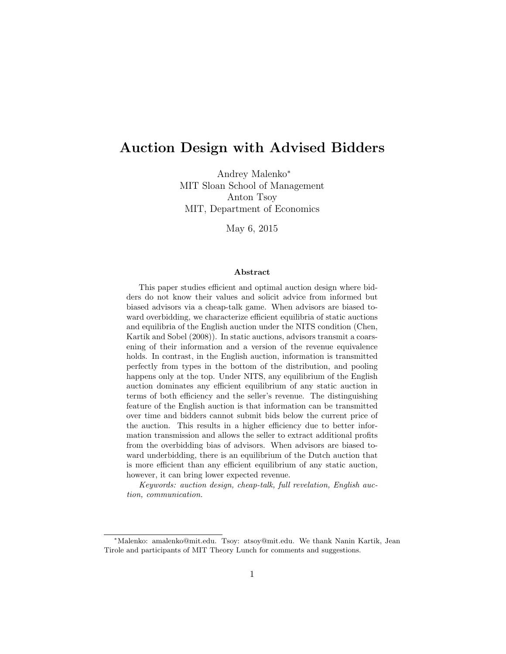# Auction Design with Advised Bidders

Andrey Malenko<sup>∗</sup> MIT Sloan School of Management Anton Tsoy MIT, Department of Economics

May 6, 2015

#### Abstract

This paper studies efficient and optimal auction design where bidders do not know their values and solicit advice from informed but biased advisors via a cheap-talk game. When advisors are biased toward overbidding, we characterize efficient equilibria of static auctions and equilibria of the English auction under the NITS condition (Chen, Kartik and Sobel (2008)). In static auctions, advisors transmit a coarsening of their information and a version of the revenue equivalence holds. In contrast, in the English auction, information is transmitted perfectly from types in the bottom of the distribution, and pooling happens only at the top. Under NITS, any equilibrium of the English auction dominates any efficient equilibrium of any static auction in terms of both efficiency and the seller's revenue. The distinguishing feature of the English auction is that information can be transmitted over time and bidders cannot submit bids below the current price of the auction. This results in a higher efficiency due to better information transmission and allows the seller to extract additional profits from the overbidding bias of advisors. When advisors are biased toward underbidding, there is an equilibrium of the Dutch auction that is more efficient than any efficient equilibrium of any static auction, however, it can bring lower expected revenue.

Keywords: auction design, cheap-talk, full revelation, English auction, communication.

<sup>∗</sup>Malenko: amalenko@mit.edu. Tsoy: atsoy@mit.edu. We thank Nanin Kartik, Jean Tirole and participants of MIT Theory Lunch for comments and suggestions.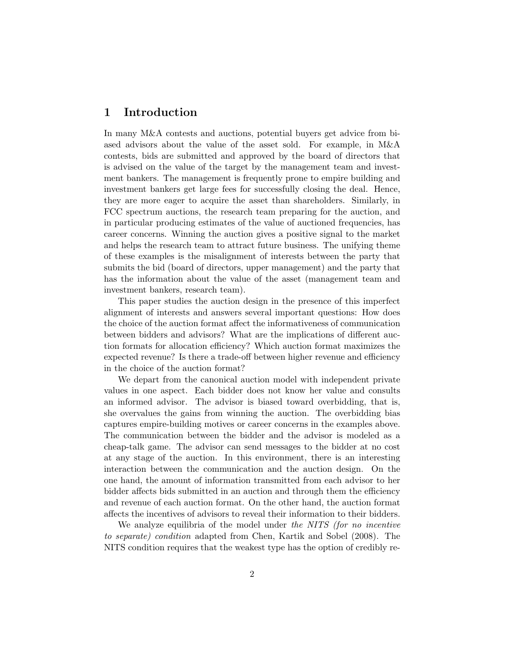# 1 Introduction

In many M&A contests and auctions, potential buyers get advice from biased advisors about the value of the asset sold. For example, in M&A contests, bids are submitted and approved by the board of directors that is advised on the value of the target by the management team and investment bankers. The management is frequently prone to empire building and investment bankers get large fees for successfully closing the deal. Hence, they are more eager to acquire the asset than shareholders. Similarly, in FCC spectrum auctions, the research team preparing for the auction, and in particular producing estimates of the value of auctioned frequencies, has career concerns. Winning the auction gives a positive signal to the market and helps the research team to attract future business. The unifying theme of these examples is the misalignment of interests between the party that submits the bid (board of directors, upper management) and the party that has the information about the value of the asset (management team and investment bankers, research team).

This paper studies the auction design in the presence of this imperfect alignment of interests and answers several important questions: How does the choice of the auction format affect the informativeness of communication between bidders and advisors? What are the implications of different auction formats for allocation efficiency? Which auction format maximizes the expected revenue? Is there a trade-off between higher revenue and efficiency in the choice of the auction format?

We depart from the canonical auction model with independent private values in one aspect. Each bidder does not know her value and consults an informed advisor. The advisor is biased toward overbidding, that is, she overvalues the gains from winning the auction. The overbidding bias captures empire-building motives or career concerns in the examples above. The communication between the bidder and the advisor is modeled as a cheap-talk game. The advisor can send messages to the bidder at no cost at any stage of the auction. In this environment, there is an interesting interaction between the communication and the auction design. On the one hand, the amount of information transmitted from each advisor to her bidder affects bids submitted in an auction and through them the efficiency and revenue of each auction format. On the other hand, the auction format affects the incentives of advisors to reveal their information to their bidders.

We analyze equilibria of the model under the NITS (for no incentive to separate) condition adapted from Chen, Kartik and Sobel (2008). The NITS condition requires that the weakest type has the option of credibly re-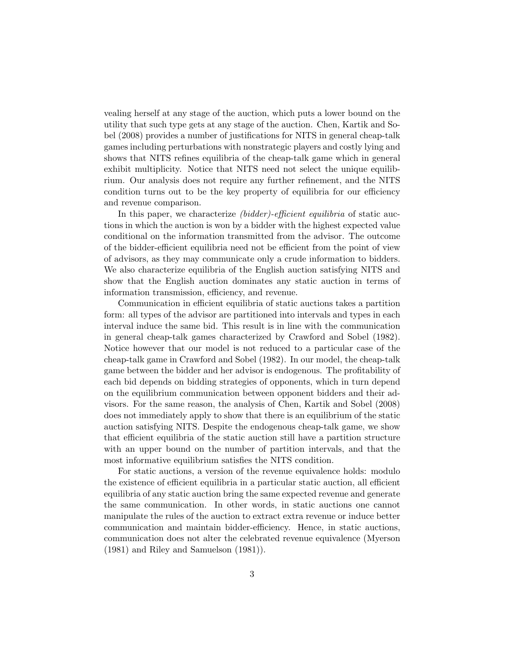vealing herself at any stage of the auction, which puts a lower bound on the utility that such type gets at any stage of the auction. Chen, Kartik and Sobel (2008) provides a number of justifications for NITS in general cheap-talk games including perturbations with nonstrategic players and costly lying and shows that NITS refines equilibria of the cheap-talk game which in general exhibit multiplicity. Notice that NITS need not select the unique equilibrium. Our analysis does not require any further refinement, and the NITS condition turns out to be the key property of equilibria for our efficiency and revenue comparison.

In this paper, we characterize *(bidder)-efficient equilibria* of static auctions in which the auction is won by a bidder with the highest expected value conditional on the information transmitted from the advisor. The outcome of the bidder-efficient equilibria need not be efficient from the point of view of advisors, as they may communicate only a crude information to bidders. We also characterize equilibria of the English auction satisfying NITS and show that the English auction dominates any static auction in terms of information transmission, efficiency, and revenue.

Communication in efficient equilibria of static auctions takes a partition form: all types of the advisor are partitioned into intervals and types in each interval induce the same bid. This result is in line with the communication in general cheap-talk games characterized by Crawford and Sobel (1982). Notice however that our model is not reduced to a particular case of the cheap-talk game in Crawford and Sobel (1982). In our model, the cheap-talk game between the bidder and her advisor is endogenous. The profitability of each bid depends on bidding strategies of opponents, which in turn depend on the equilibrium communication between opponent bidders and their advisors. For the same reason, the analysis of Chen, Kartik and Sobel (2008) does not immediately apply to show that there is an equilibrium of the static auction satisfying NITS. Despite the endogenous cheap-talk game, we show that efficient equilibria of the static auction still have a partition structure with an upper bound on the number of partition intervals, and that the most informative equilibrium satisfies the NITS condition.

For static auctions, a version of the revenue equivalence holds: modulo the existence of efficient equilibria in a particular static auction, all efficient equilibria of any static auction bring the same expected revenue and generate the same communication. In other words, in static auctions one cannot manipulate the rules of the auction to extract extra revenue or induce better communication and maintain bidder-efficiency. Hence, in static auctions, communication does not alter the celebrated revenue equivalence (Myerson (1981) and Riley and Samuelson (1981)).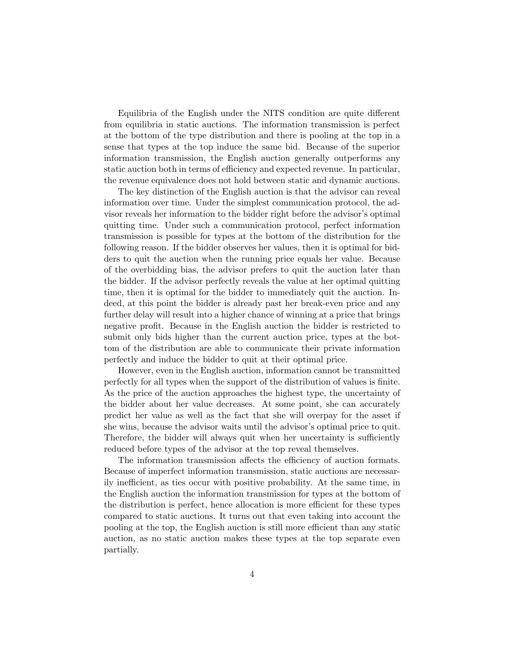Equilibria of the English under the NITS condition are quite different from equilibria in static auctions. The information transmission is perfect at the bottom of the type distribution and there is pooling at the top in a sense that types at the top induce the same bid. Because of the superior information transmission, the English auction generally outperforms any static auction both in terms of efficiency and expected revenue. In particular, the revenue equivalence does not hold between static and dynamic auctions.

The key distinction of the English auction is that the advisor can reveal information over time. Under the simplest communication protocol, the advisor reveals her information to the bidder right before the advisor's optimal quitting time. Under such a communication protocol, perfect information transmission is possible for types at the bottom of the distribution for the following reason. If the bidder observes her values, then it is optimal for bidders to quit the auction when the running price equals her value. Because of the overbidding bias, the advisor prefers to quit the auction later than the bidder. If the advisor perfectly reveals the value at her optimal quitting time, then it is optimal for the bidder to immediately quit the auction. Indeed, at this point the bidder is already past her break-even price and any further delay will result into a higher chance of winning at a price that brings negative profit. Because in the English auction the bidder is restricted to submit only bids higher than the current auction price, types at the bottom of the distribution are able to communicate their private information perfectly and induce the bidder to quit at their optimal price.

However, even in the English auction, information cannot be transmitted perfectly for all types when the support of the distribution of values is finite. As the price of the auction approaches the highest type, the uncertainty of the bidder about her value decreases. At some point, she can accurately predict her value as well as the fact that she will overpay for the asset if she wins, because the advisor waits until the advisor's optimal price to quit. Therefore, the bidder will always quit when her uncertainty is sufficiently reduced before types of the advisor at the top reveal themselves.

The information transmission affects the efficiency of auction formats. Because of imperfect information transmission, static auctions are necessarily inefficient, as ties occur with positive probability. At the same time, in the English auction the information transmission for types at the bottom of the distribution is perfect, hence allocation is more efficient for these types compared to static auctions. It turns out that even taking into account the pooling at the top, the English auction is still more efficient than any static auction, as no static auction makes these types at the top separate even partially.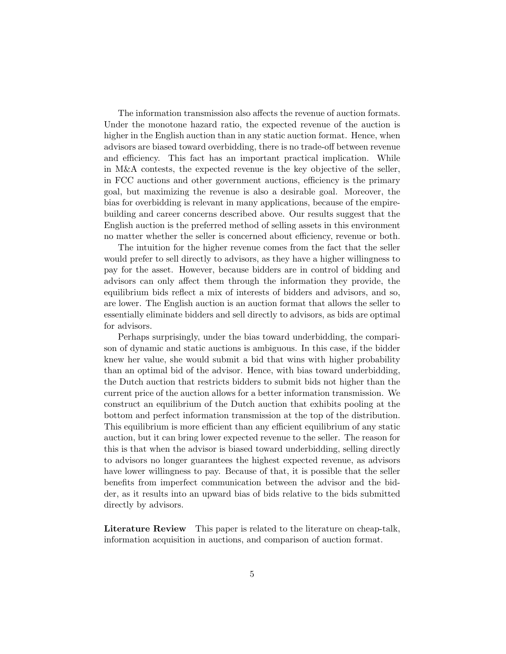The information transmission also affects the revenue of auction formats. Under the monotone hazard ratio, the expected revenue of the auction is higher in the English auction than in any static auction format. Hence, when advisors are biased toward overbidding, there is no trade-off between revenue and efficiency. This fact has an important practical implication. While in M&A contests, the expected revenue is the key objective of the seller, in FCC auctions and other government auctions, efficiency is the primary goal, but maximizing the revenue is also a desirable goal. Moreover, the bias for overbidding is relevant in many applications, because of the empirebuilding and career concerns described above. Our results suggest that the English auction is the preferred method of selling assets in this environment no matter whether the seller is concerned about efficiency, revenue or both.

The intuition for the higher revenue comes from the fact that the seller would prefer to sell directly to advisors, as they have a higher willingness to pay for the asset. However, because bidders are in control of bidding and advisors can only affect them through the information they provide, the equilibrium bids reflect a mix of interests of bidders and advisors, and so, are lower. The English auction is an auction format that allows the seller to essentially eliminate bidders and sell directly to advisors, as bids are optimal for advisors.

Perhaps surprisingly, under the bias toward underbidding, the comparison of dynamic and static auctions is ambiguous. In this case, if the bidder knew her value, she would submit a bid that wins with higher probability than an optimal bid of the advisor. Hence, with bias toward underbidding, the Dutch auction that restricts bidders to submit bids not higher than the current price of the auction allows for a better information transmission. We construct an equilibrium of the Dutch auction that exhibits pooling at the bottom and perfect information transmission at the top of the distribution. This equilibrium is more efficient than any efficient equilibrium of any static auction, but it can bring lower expected revenue to the seller. The reason for this is that when the advisor is biased toward underbidding, selling directly to advisors no longer guarantees the highest expected revenue, as advisors have lower willingness to pay. Because of that, it is possible that the seller benefits from imperfect communication between the advisor and the bidder, as it results into an upward bias of bids relative to the bids submitted directly by advisors.

Literature Review This paper is related to the literature on cheap-talk, information acquisition in auctions, and comparison of auction format.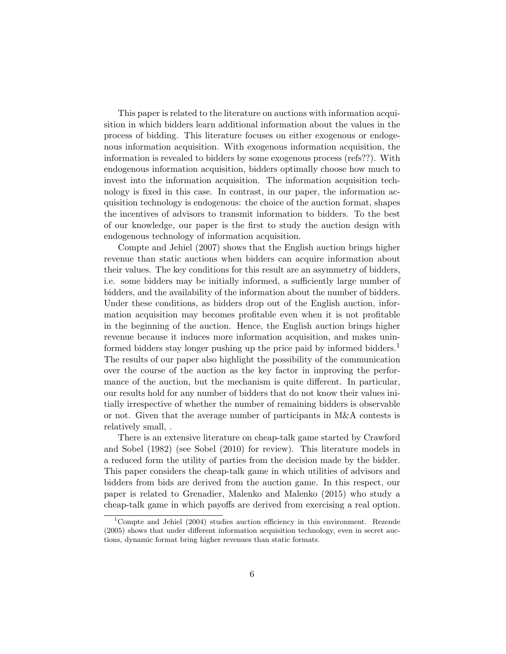This paper is related to the literature on auctions with information acquisition in which bidders learn additional information about the values in the process of bidding. This literature focuses on either exogenous or endogenous information acquisition. With exogenous information acquisition, the information is revealed to bidders by some exogenous process (refs??). With endogenous information acquisition, bidders optimally choose how much to invest into the information acquisition. The information acquisition technology is fixed in this case. In contrast, in our paper, the information acquisition technology is endogenous: the choice of the auction format, shapes the incentives of advisors to transmit information to bidders. To the best of our knowledge, our paper is the first to study the auction design with endogenous technology of information acquisition.

Compte and Jehiel (2007) shows that the English auction brings higher revenue than static auctions when bidders can acquire information about their values. The key conditions for this result are an asymmetry of bidders, i.e. some bidders may be initially informed, a sufficiently large number of bidders, and the availability of the information about the number of bidders. Under these conditions, as bidders drop out of the English auction, information acquisition may becomes profitable even when it is not profitable in the beginning of the auction. Hence, the English auction brings higher revenue because it induces more information acquisition, and makes uninformed bidders stay longer pushing up the price paid by informed bidders.<sup>1</sup> The results of our paper also highlight the possibility of the communication over the course of the auction as the key factor in improving the performance of the auction, but the mechanism is quite different. In particular, our results hold for any number of bidders that do not know their values initially irrespective of whether the number of remaining bidders is observable or not. Given that the average number of participants in M&A contests is relatively small, .

There is an extensive literature on cheap-talk game started by Crawford and Sobel (1982) (see Sobel (2010) for review). This literature models in a reduced form the utility of parties from the decision made by the bidder. This paper considers the cheap-talk game in which utilities of advisors and bidders from bids are derived from the auction game. In this respect, our paper is related to Grenadier, Malenko and Malenko (2015) who study a cheap-talk game in which payoffs are derived from exercising a real option.

<sup>&</sup>lt;sup>1</sup>Compte and Jehiel (2004) studies auction efficiency in this environment. Rezende (2005) shows that under different information acquisition technology, even in secret auctions, dynamic format bring higher revenues than static formats.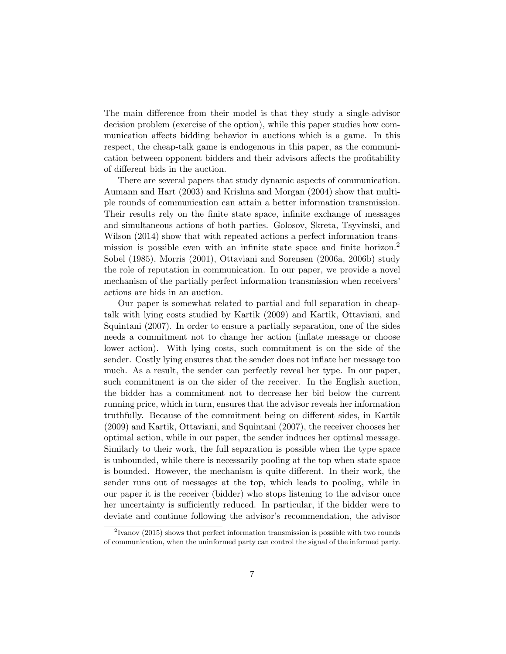The main difference from their model is that they study a single-advisor decision problem (exercise of the option), while this paper studies how communication affects bidding behavior in auctions which is a game. In this respect, the cheap-talk game is endogenous in this paper, as the communication between opponent bidders and their advisors affects the profitability of different bids in the auction.

There are several papers that study dynamic aspects of communication. Aumann and Hart (2003) and Krishna and Morgan (2004) show that multiple rounds of communication can attain a better information transmission. Their results rely on the finite state space, infinite exchange of messages and simultaneous actions of both parties. Golosov, Skreta, Tsyvinski, and Wilson  $(2014)$  show that with repeated actions a perfect information transmission is possible even with an infinite state space and finite horizon.<sup>2</sup> Sobel (1985), Morris (2001), Ottaviani and Sorensen (2006a, 2006b) study the role of reputation in communication. In our paper, we provide a novel mechanism of the partially perfect information transmission when receivers' actions are bids in an auction.

Our paper is somewhat related to partial and full separation in cheaptalk with lying costs studied by Kartik (2009) and Kartik, Ottaviani, and Squintani (2007). In order to ensure a partially separation, one of the sides needs a commitment not to change her action (inflate message or choose lower action). With lying costs, such commitment is on the side of the sender. Costly lying ensures that the sender does not inflate her message too much. As a result, the sender can perfectly reveal her type. In our paper, such commitment is on the sider of the receiver. In the English auction, the bidder has a commitment not to decrease her bid below the current running price, which in turn, ensures that the advisor reveals her information truthfully. Because of the commitment being on different sides, in Kartik (2009) and Kartik, Ottaviani, and Squintani (2007), the receiver chooses her optimal action, while in our paper, the sender induces her optimal message. Similarly to their work, the full separation is possible when the type space is unbounded, while there is necessarily pooling at the top when state space is bounded. However, the mechanism is quite different. In their work, the sender runs out of messages at the top, which leads to pooling, while in our paper it is the receiver (bidder) who stops listening to the advisor once her uncertainty is sufficiently reduced. In particular, if the bidder were to deviate and continue following the advisor's recommendation, the advisor

 $2$ Ivanov (2015) shows that perfect information transmission is possible with two rounds of communication, when the uninformed party can control the signal of the informed party.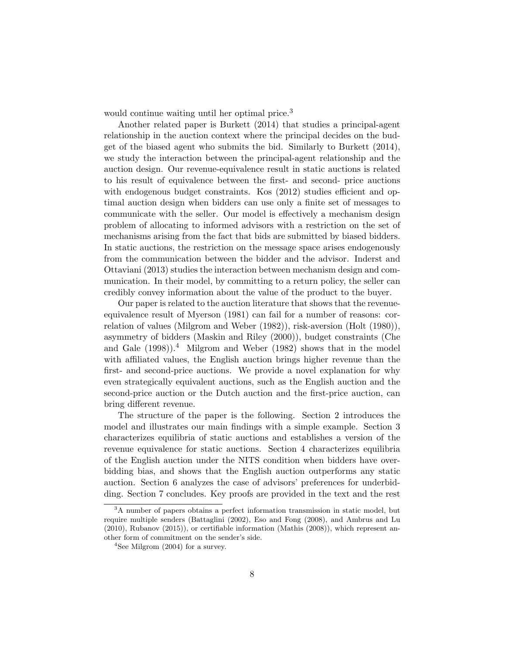would continue waiting until her optimal price.<sup>3</sup>

Another related paper is Burkett (2014) that studies a principal-agent relationship in the auction context where the principal decides on the budget of the biased agent who submits the bid. Similarly to Burkett (2014), we study the interaction between the principal-agent relationship and the auction design. Our revenue-equivalence result in static auctions is related to his result of equivalence between the first- and second- price auctions with endogenous budget constraints. Kos (2012) studies efficient and optimal auction design when bidders can use only a finite set of messages to communicate with the seller. Our model is effectively a mechanism design problem of allocating to informed advisors with a restriction on the set of mechanisms arising from the fact that bids are submitted by biased bidders. In static auctions, the restriction on the message space arises endogenously from the communication between the bidder and the advisor. Inderst and Ottaviani (2013) studies the interaction between mechanism design and communication. In their model, by committing to a return policy, the seller can credibly convey information about the value of the product to the buyer.

Our paper is related to the auction literature that shows that the revenueequivalence result of Myerson (1981) can fail for a number of reasons: correlation of values (Milgrom and Weber (1982)), risk-aversion (Holt (1980)), asymmetry of bidders (Maskin and Riley (2000)), budget constraints (Che and Gale  $(1998)$ <sup>1</sup>. Milgrom and Weber  $(1982)$  shows that in the model with affiliated values, the English auction brings higher revenue than the first- and second-price auctions. We provide a novel explanation for why even strategically equivalent auctions, such as the English auction and the second-price auction or the Dutch auction and the first-price auction, can bring different revenue.

The structure of the paper is the following. Section 2 introduces the model and illustrates our main findings with a simple example. Section 3 characterizes equilibria of static auctions and establishes a version of the revenue equivalence for static auctions. Section 4 characterizes equilibria of the English auction under the NITS condition when bidders have overbidding bias, and shows that the English auction outperforms any static auction. Section 6 analyzes the case of advisors' preferences for underbidding. Section 7 concludes. Key proofs are provided in the text and the rest

 $3A$  number of papers obtains a perfect information transmission in static model, but require multiple senders (Battaglini (2002), Eso and Fong (2008), and Ambrus and Lu (2010), Rubanov (2015)), or certifiable information (Mathis (2008)), which represent another form of commitment on the sender's side.

<sup>&</sup>lt;sup>4</sup>See Milgrom (2004) for a survey.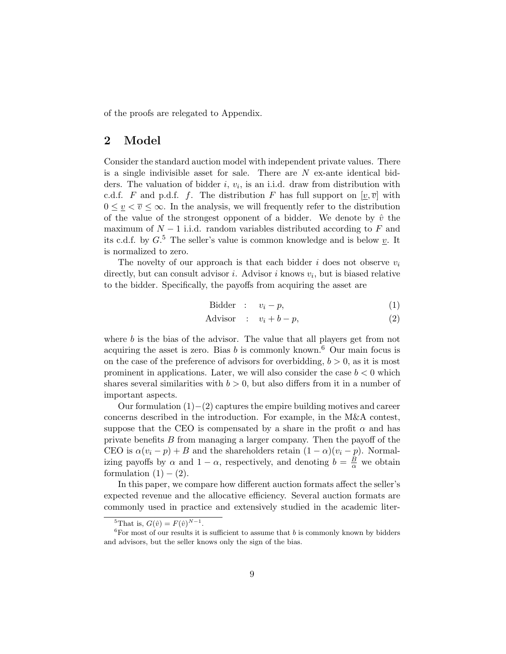of the proofs are relegated to Appendix.

# 2 Model

Consider the standard auction model with independent private values. There is a single indivisible asset for sale. There are  $N$  ex-ante identical bidders. The valuation of bidder  $i, v_i$ , is an i.i.d. draw from distribution with c.d.f. F and p.d.f. f. The distribution F has full support on  $[v, \overline{v}]$  with  $0 \leq v \leq \overline{v} \leq \infty$ . In the analysis, we will frequently refer to the distribution of the value of the strongest opponent of a bidder. We denote by  $\hat{v}$  the maximum of  $N-1$  i.i.d. random variables distributed according to F and its c.d.f. by  $G<sup>5</sup>$ . The seller's value is common knowledge and is below  $\underline{v}$ . It is normalized to zero.

The novelty of our approach is that each bidder  $i$  does not observe  $v_i$ directly, but can consult advisor *i*. Advisor *i* knows  $v_i$ , but is biased relative to the bidder. Specifically, the payoffs from acquiring the asset are

$$
Bidder : v_i - p,
$$
\n<sup>(1)</sup>

$$
Advisor : v_i + b - p,
$$
\n<sup>(2)</sup>

where  $b$  is the bias of the advisor. The value that all players get from not acquiring the asset is zero. Bias  $b$  is commonly known.<sup>6</sup> Our main focus is on the case of the preference of advisors for overbidding,  $b > 0$ , as it is most prominent in applications. Later, we will also consider the case  $b < 0$  which shares several similarities with  $b > 0$ , but also differs from it in a number of important aspects.

Our formulation  $(1)–(2)$  captures the empire building motives and career concerns described in the introduction. For example, in the M&A contest, suppose that the CEO is compensated by a share in the profit  $\alpha$  and has private benefits  $B$  from managing a larger company. Then the payoff of the CEO is  $\alpha(v_i - p) + B$  and the shareholders retain  $(1 - \alpha)(v_i - p)$ . Normalizing payoffs by  $\alpha$  and  $1 - \alpha$ , respectively, and denoting  $b = \frac{B}{\alpha}$  we obtain formulation  $(1) - (2)$ .

In this paper, we compare how different auction formats affect the seller's expected revenue and the allocative efficiency. Several auction formats are commonly used in practice and extensively studied in the academic liter-

<sup>&</sup>lt;sup>5</sup>That is,  $G(\hat{v}) = F(\hat{v})^{N-1}$ .

<sup>&</sup>lt;sup>6</sup>For most of our results it is sufficient to assume that  $b$  is commonly known by bidders and advisors, but the seller knows only the sign of the bias.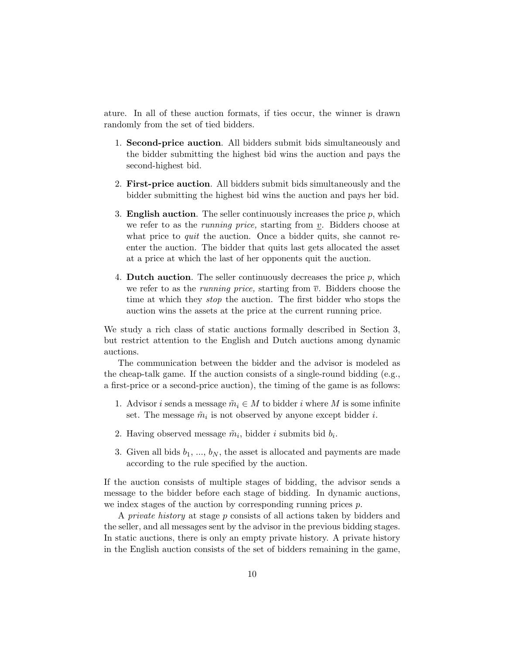ature. In all of these auction formats, if ties occur, the winner is drawn randomly from the set of tied bidders.

- 1. Second-price auction. All bidders submit bids simultaneously and the bidder submitting the highest bid wins the auction and pays the second-highest bid.
- 2. First-price auction. All bidders submit bids simultaneously and the bidder submitting the highest bid wins the auction and pays her bid.
- 3. **English auction**. The seller continuously increases the price  $p$ , which we refer to as the *running price*, starting from  $\nu$ . Bidders choose at what price to *quit* the auction. Once a bidder quits, she cannot reenter the auction. The bidder that quits last gets allocated the asset at a price at which the last of her opponents quit the auction.
- 4. **Dutch auction**. The seller continuously decreases the price  $p$ , which we refer to as the *running price*, starting from  $\overline{v}$ . Bidders choose the time at which they stop the auction. The first bidder who stops the auction wins the assets at the price at the current running price.

We study a rich class of static auctions formally described in Section 3, but restrict attention to the English and Dutch auctions among dynamic auctions.

The communication between the bidder and the advisor is modeled as the cheap-talk game. If the auction consists of a single-round bidding (e.g., a first-price or a second-price auction), the timing of the game is as follows:

- 1. Advisor *i* sends a message  $\tilde{m}_i \in M$  to bidder *i* where M is some infinite set. The message  $\tilde{m}_i$  is not observed by anyone except bidder *i*.
- 2. Having observed message  $\tilde{m}_i$ , bidder *i* submits bid  $b_i$ .
- 3. Given all bids  $b_1, ..., b_N$ , the asset is allocated and payments are made according to the rule specified by the auction.

If the auction consists of multiple stages of bidding, the advisor sends a message to the bidder before each stage of bidding. In dynamic auctions, we index stages of the auction by corresponding running prices  $p$ .

A private history at stage p consists of all actions taken by bidders and the seller, and all messages sent by the advisor in the previous bidding stages. In static auctions, there is only an empty private history. A private history in the English auction consists of the set of bidders remaining in the game,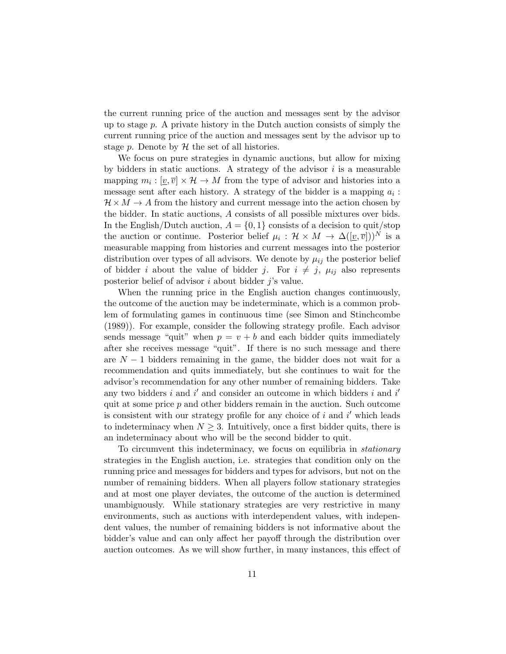the current running price of the auction and messages sent by the advisor up to stage  $p$ . A private history in the Dutch auction consists of simply the current running price of the auction and messages sent by the advisor up to stage p. Denote by  $H$  the set of all histories.

We focus on pure strategies in dynamic auctions, but allow for mixing by bidders in static auctions. A strategy of the advisor  $i$  is a measurable mapping  $m_i : [\underline{v}, \overline{v}] \times \mathcal{H} \to M$  from the type of advisor and histories into a message sent after each history. A strategy of the bidder is a mapping  $a_i$ :  $\mathcal{H} \times M \rightarrow A$  from the history and current message into the action chosen by the bidder. In static auctions, A consists of all possible mixtures over bids. In the English/Dutch auction,  $A = \{0, 1\}$  consists of a decision to quit/stop the auction or continue. Posterior belief  $\mu_i : \mathcal{H} \times M \to \Delta([\underline{v}, \overline{v}]))^N$  is a measurable mapping from histories and current messages into the posterior distribution over types of all advisors. We denote by  $\mu_{ij}$  the posterior belief of bidder i about the value of bidder j. For  $i \neq j$ ,  $\mu_{ij}$  also represents posterior belief of advisor  $i$  about bidder  $j$ 's value.

When the running price in the English auction changes continuously, the outcome of the auction may be indeterminate, which is a common problem of formulating games in continuous time (see Simon and Stinchcombe (1989)). For example, consider the following strategy profile. Each advisor sends message "quit" when  $p = v + b$  and each bidder quits immediately after she receives message "quit". If there is no such message and there are  $N-1$  bidders remaining in the game, the bidder does not wait for a recommendation and quits immediately, but she continues to wait for the advisor's recommendation for any other number of remaining bidders. Take any two bidders  $i$  and  $i'$  and consider an outcome in which bidders  $i$  and  $i'$ quit at some price  $p$  and other bidders remain in the auction. Such outcome is consistent with our strategy profile for any choice of  $i$  and  $i'$  which leads to indeterminacy when  $N \geq 3$ . Intuitively, once a first bidder quits, there is an indeterminacy about who will be the second bidder to quit.

To circumvent this indeterminacy, we focus on equilibria in stationary strategies in the English auction, i.e. strategies that condition only on the running price and messages for bidders and types for advisors, but not on the number of remaining bidders. When all players follow stationary strategies and at most one player deviates, the outcome of the auction is determined unambiguously. While stationary strategies are very restrictive in many environments, such as auctions with interdependent values, with independent values, the number of remaining bidders is not informative about the bidder's value and can only affect her payoff through the distribution over auction outcomes. As we will show further, in many instances, this effect of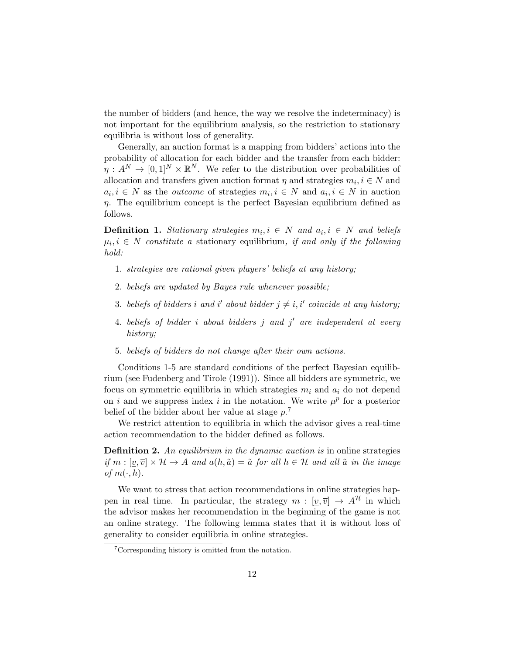the number of bidders (and hence, the way we resolve the indeterminacy) is not important for the equilibrium analysis, so the restriction to stationary equilibria is without loss of generality.

Generally, an auction format is a mapping from bidders' actions into the probability of allocation for each bidder and the transfer from each bidder:  $\eta: A^N \to [0,1]^N \times \mathbb{R}^N$ . We refer to the distribution over probabilities of allocation and transfers given auction format  $\eta$  and strategies  $m_i, i \in \mathbb{N}$  and  $a_i, i \in N$  as the *outcome* of strategies  $m_i, i \in N$  and  $a_i, i \in N$  in auction  $\eta$ . The equilibrium concept is the perfect Bayesian equilibrium defined as follows.

**Definition 1.** Stationary strategies  $m_i, i \in N$  and  $a_i, i \in N$  and beliefs  $\mu_i, i \in N$  constitute a stationary equilibrium, if and only if the following hold:

- 1. strategies are rational given players' beliefs at any history;
- 2. beliefs are updated by Bayes rule whenever possible;
- 3. beliefs of bidders i and i' about bidder  $j \neq i, i'$  coincide at any history;
- 4. beliefs of bidder  $i$  about bidders  $j$  and  $j'$  are independent at every history;
- 5. beliefs of bidders do not change after their own actions.

Conditions 1-5 are standard conditions of the perfect Bayesian equilibrium (see Fudenberg and Tirole (1991)). Since all bidders are symmetric, we focus on symmetric equilibria in which strategies  $m_i$  and  $a_i$  do not depend on i and we suppress index i in the notation. We write  $\mu^p$  for a posterior belief of the bidder about her value at stage  $p^2$ .

We restrict attention to equilibria in which the advisor gives a real-time action recommendation to the bidder defined as follows.

**Definition 2.** An equilibrium in the dynamic auction is in online strategies if  $m : [\underline{v}, \overline{v}] \times \mathcal{H} \to A$  and  $a(h, \tilde{a}) = \tilde{a}$  for all  $h \in \mathcal{H}$  and all  $\tilde{a}$  in the image of  $m(\cdot, h)$ .

We want to stress that action recommendations in online strategies happen in real time. In particular, the strategy  $m : [v, \overline{v}] \rightarrow A^{\mathcal{H}}$  in which the advisor makes her recommendation in the beginning of the game is not an online strategy. The following lemma states that it is without loss of generality to consider equilibria in online strategies.

<sup>7</sup>Corresponding history is omitted from the notation.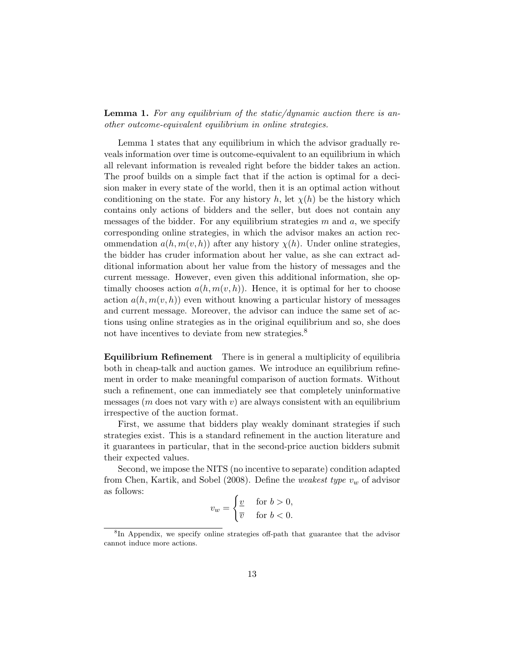**Lemma 1.** For any equilibrium of the static/dynamic auction there is another outcome-equivalent equilibrium in online strategies.

Lemma 1 states that any equilibrium in which the advisor gradually reveals information over time is outcome-equivalent to an equilibrium in which all relevant information is revealed right before the bidder takes an action. The proof builds on a simple fact that if the action is optimal for a decision maker in every state of the world, then it is an optimal action without conditioning on the state. For any history h, let  $\chi(h)$  be the history which contains only actions of bidders and the seller, but does not contain any messages of the bidder. For any equilibrium strategies  $m$  and  $a$ , we specify corresponding online strategies, in which the advisor makes an action recommendation  $a(h, m(v, h))$  after any history  $\chi(h)$ . Under online strategies, the bidder has cruder information about her value, as she can extract additional information about her value from the history of messages and the current message. However, even given this additional information, she optimally chooses action  $a(h, m(v, h))$ . Hence, it is optimal for her to choose action  $a(h, m(v, h))$  even without knowing a particular history of messages and current message. Moreover, the advisor can induce the same set of actions using online strategies as in the original equilibrium and so, she does not have incentives to deviate from new strategies.<sup>8</sup>

Equilibrium Refinement There is in general a multiplicity of equilibria both in cheap-talk and auction games. We introduce an equilibrium refinement in order to make meaningful comparison of auction formats. Without such a refinement, one can immediately see that completely uninformative messages ( $m$  does not vary with  $v$ ) are always consistent with an equilibrium irrespective of the auction format.

First, we assume that bidders play weakly dominant strategies if such strategies exist. This is a standard refinement in the auction literature and it guarantees in particular, that in the second-price auction bidders submit their expected values.

Second, we impose the NITS (no incentive to separate) condition adapted from Chen, Kartik, and Sobel (2008). Define the *weakest type*  $v_w$  of advisor as follows:

$$
v_w = \begin{cases} \frac{v}{v} & \text{for } b > 0, \\ \overline{v} & \text{for } b < 0. \end{cases}
$$

<sup>&</sup>lt;sup>8</sup>In Appendix, we specify online strategies off-path that guarantee that the advisor cannot induce more actions.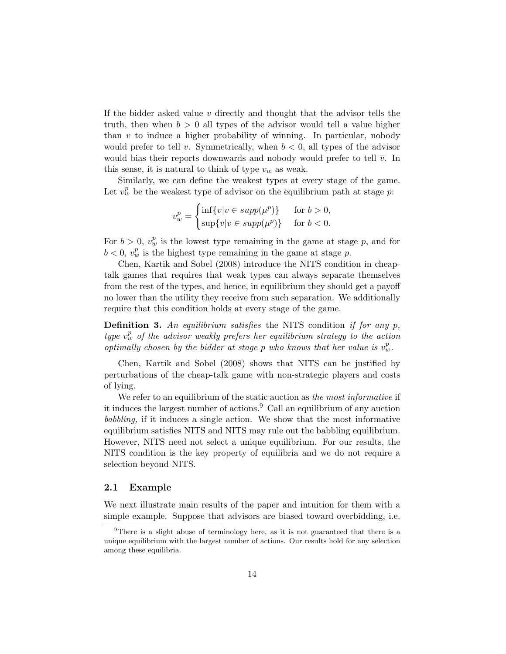If the bidder asked value  $v$  directly and thought that the advisor tells the truth, then when  $b > 0$  all types of the advisor would tell a value higher than  $v$  to induce a higher probability of winning. In particular, nobody would prefer to tell v. Symmetrically, when  $b < 0$ , all types of the advisor would bias their reports downwards and nobody would prefer to tell  $\overline{v}$ . In this sense, it is natural to think of type  $v_w$  as weak.

Similarly, we can define the weakest types at every stage of the game. Let  $v_w^p$  be the weakest type of advisor on the equilibrium path at stage p:

$$
v_w^p = \begin{cases} \inf\{v|v \in \text{supp}(\mu^p)\} & \text{for } b > 0, \\ \sup\{v|v \in \text{supp}(\mu^p)\} & \text{for } b < 0. \end{cases}
$$

For  $b > 0$ ,  $v_w^p$  is the lowest type remaining in the game at stage p, and for  $b < 0, v_w^p$  is the highest type remaining in the game at stage p.

Chen, Kartik and Sobel (2008) introduce the NITS condition in cheaptalk games that requires that weak types can always separate themselves from the rest of the types, and hence, in equilibrium they should get a payoff no lower than the utility they receive from such separation. We additionally require that this condition holds at every stage of the game.

**Definition 3.** An equilibrium satisfies the NITS condition if for any  $p$ , type  $v_w^p$  of the advisor weakly prefers her equilibrium strategy to the action optimally chosen by the bidder at stage p who knows that her value is  $v_w^p$ .

Chen, Kartik and Sobel (2008) shows that NITS can be justified by perturbations of the cheap-talk game with non-strategic players and costs of lying.

We refer to an equilibrium of the static auction as the most informative if it induces the largest number of actions.<sup>9</sup> Call an equilibrium of any auction babbling, if it induces a single action. We show that the most informative equilibrium satisfies NITS and NITS may rule out the babbling equilibrium. However, NITS need not select a unique equilibrium. For our results, the NITS condition is the key property of equilibria and we do not require a selection beyond NITS.

### 2.1 Example

We next illustrate main results of the paper and intuition for them with a simple example. Suppose that advisors are biased toward overbidding, i.e.

<sup>9</sup>There is a slight abuse of terminology here, as it is not guaranteed that there is a unique equilibrium with the largest number of actions. Our results hold for any selection among these equilibria.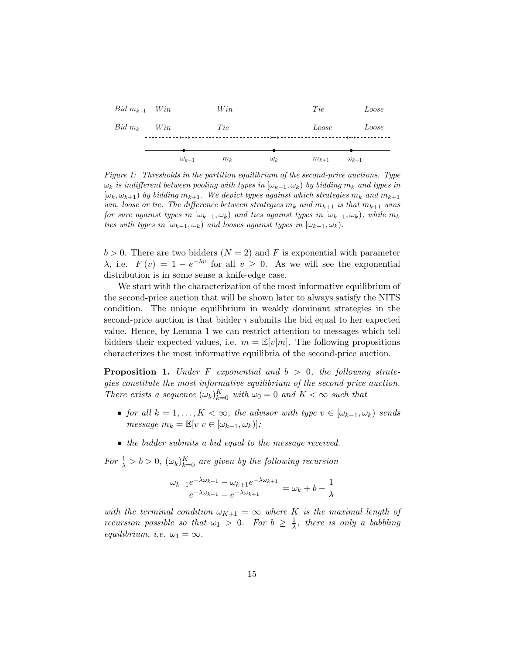| $Bid\ m_{k+1}$ Win    |                | Win   |            | Tie       | Loose          |
|-----------------------|----------------|-------|------------|-----------|----------------|
| $Bid\ m_k \qquad Win$ |                | Tie   |            | Loose     | Loose          |
|                       | $\omega_{k-1}$ | $m_k$ | $\omega_k$ | $m_{k+1}$ | $\omega_{k+1}$ |

Figure 1: Thresholds in the partition equilibrium of the second-price auctions. Type  $\omega_k$  is indifferent between pooling with types in  $[\omega_{k-1}, \omega_k)$  by bidding  $m_k$  and types in  $[\omega_k, \omega_{k+1}]$  by bidding  $m_{k+1}$ . We depict types against which strategies  $m_k$  and  $m_{k+1}$ win, loose or tie. The difference between strategies  $m_k$  and  $m_{k+1}$  is that  $m_{k+1}$  wins for sure against types in  $[\omega_{k-1}, \omega_k)$  and ties against types in  $[\omega_{k-1}, \omega_k)$ , while  $m_k$ ties with types in  $[\omega_{k-1}, \omega_k)$  and looses against types in  $[\omega_{k-1}, \omega_k)$ .

 $b > 0$ . There are two bidders  $(N = 2)$  and F is exponential with parameter  $\lambda$ , i.e.  $F(v) = 1 - e^{-\lambda v}$  for all  $v \geq 0$ . As we will see the exponential distribution is in some sense a knife-edge case.

We start with the characterization of the most informative equilibrium of the second-price auction that will be shown later to always satisfy the NITS condition. The unique equilibrium in weakly dominant strategies in the second-price auction is that bidder  $i$  submits the bid equal to her expected value. Hence, by Lemma 1 we can restrict attention to messages which tell bidders their expected values, i.e.  $m = \mathbb{E}[v|m]$ . The following propositions characterizes the most informative equilibria of the second-price auction.

**Proposition 1.** Under F exponential and  $b > 0$ , the following strategies constitute the most informative equilibrium of the second-price auction. There exists a sequence  $(\omega_k)_{k=0}^K$  with  $\omega_0 = 0$  and  $K < \infty$  such that

- for all  $k = 1, ..., K < \infty$ , the advisor with type  $v \in [\omega_{k-1}, \omega_k)$  sends  $message m_k = \mathbb{E}[v|v \in [\omega_{k-1}, \omega_k)];$
- the bidder submits a bid equal to the message received.

For  $\frac{1}{\lambda} > b > 0$ ,  $(\omega_k)_{k=0}^K$  are given by the following recursion

$$
\frac{\omega_{k-1}e^{-\lambda\omega_{k-1}} - \omega_{k+1}e^{-\lambda\omega_{k+1}}}{e^{-\lambda\omega_{k-1}} - e^{-\lambda\omega_{k+1}}} = \omega_k + b - \frac{1}{\lambda}
$$

with the terminal condition  $\omega_{K+1} = \infty$  where K is the maximal length of *recursion possible so that*  $\omega_1 > 0$ . For  $b \geq \frac{1}{\lambda}$  $\frac{1}{\lambda}$ , there is only a babbling equilibrium, i.e.  $\omega_1 = \infty$ .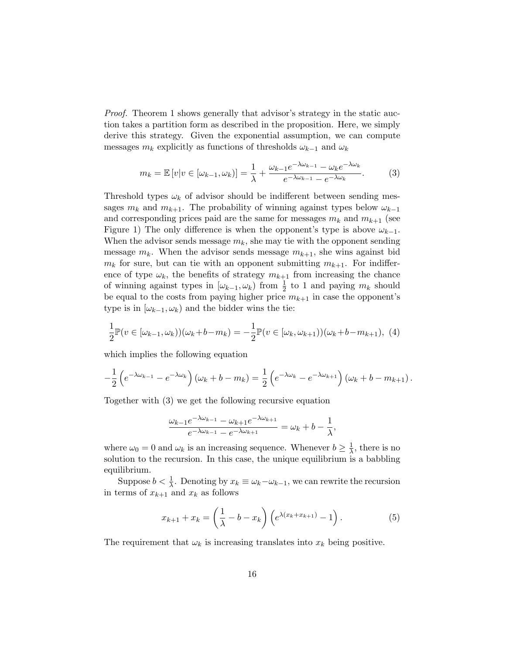Proof. Theorem 1 shows generally that advisor's strategy in the static auction takes a partition form as described in the proposition. Here, we simply derive this strategy. Given the exponential assumption, we can compute messages  $m_k$  explicitly as functions of thresholds  $\omega_{k-1}$  and  $\omega_k$ 

$$
m_k = \mathbb{E}\left[v|v \in [\omega_{k-1}, \omega_k)\right] = \frac{1}{\lambda} + \frac{\omega_{k-1}e^{-\lambda\omega_{k-1}} - \omega_k e^{-\lambda\omega_k}}{e^{-\lambda\omega_{k-1}} - e^{-\lambda\omega_k}}.\tag{3}
$$

Threshold types  $\omega_k$  of advisor should be indifferent between sending messages  $m_k$  and  $m_{k+1}$ . The probability of winning against types below  $\omega_{k-1}$ and corresponding prices paid are the same for messages  $m_k$  and  $m_{k+1}$  (see Figure 1) The only difference is when the opponent's type is above  $\omega_{k-1}$ . When the advisor sends message  $m_k$ , she may tie with the opponent sending message  $m_k$ . When the advisor sends message  $m_{k+1}$ , she wins against bid  $m_k$  for sure, but can tie with an opponent submitting  $m_{k+1}$ . For indifference of type  $\omega_k$ , the benefits of strategy  $m_{k+1}$  from increasing the chance of winning against types in  $[\omega_{k-1}, \omega_k)$  from  $\frac{1}{2}$  to 1 and paying  $m_k$  should be equal to the costs from paying higher price  $m_{k+1}$  in case the opponent's type is in  $[\omega_{k-1}, \omega_k)$  and the bidder wins the tie:

$$
\frac{1}{2}\mathbb{P}(v \in [\omega_{k-1}, \omega_k))(\omega_k + b - m_k) = -\frac{1}{2}\mathbb{P}(v \in [\omega_k, \omega_{k+1}))(\omega_k + b - m_{k+1}), \tag{4}
$$

which implies the following equation

$$
-\frac{1}{2}\left(e^{-\lambda\omega_{k-1}}-e^{-\lambda\omega_k}\right)(\omega_k+b-m_k)=\frac{1}{2}\left(e^{-\lambda\omega_k}-e^{-\lambda\omega_{k+1}}\right)(\omega_k+b-m_{k+1}).
$$

Together with (3) we get the following recursive equation

$$
\frac{\omega_{k-1}e^{-\lambda\omega_{k-1}}-\omega_{k+1}e^{-\lambda\omega_{k+1}}}{e^{-\lambda\omega_{k-1}}-e^{-\lambda\omega_{k+1}}}=\omega_k+b-\frac{1}{\lambda},
$$

where  $\omega_0 = 0$  and  $\omega_k$  is an increasing sequence. Whenever  $b \geq \frac{1}{\lambda}$  $\frac{1}{\lambda}$ , there is no solution to the recursion. In this case, the unique equilibrium is a babbling equilibrium.

Suppose  $b < \frac{1}{\lambda}$ . Denoting by  $x_k \equiv \omega_k - \omega_{k-1}$ , we can rewrite the recursion in terms of  $x_{k+1}$  and  $x_k$  as follows

$$
x_{k+1} + x_k = \left(\frac{1}{\lambda} - b - x_k\right) \left(e^{\lambda(x_k + x_{k+1})} - 1\right). \tag{5}
$$

The requirement that  $\omega_k$  is increasing translates into  $x_k$  being positive.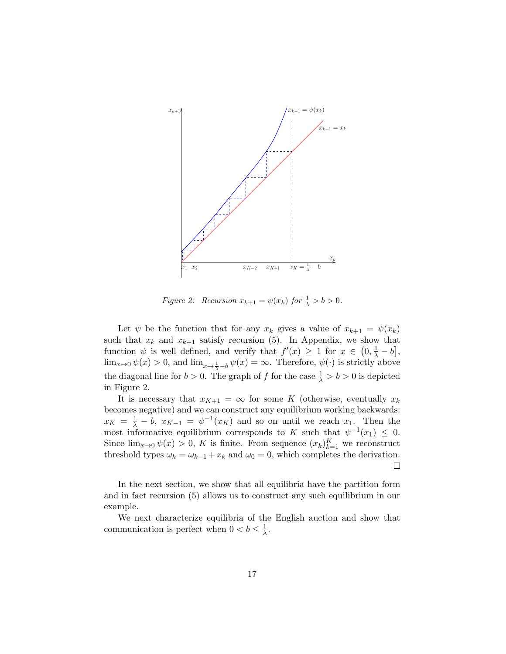

Figure 2: Recursion  $x_{k+1} = \psi(x_k)$  for  $\frac{1}{\lambda} > b > 0$ .

Let  $\psi$  be the function that for any  $x_k$  gives a value of  $x_{k+1} = \psi(x_k)$ such that  $x_k$  and  $x_{k+1}$  satisfy recursion (5). In Appendix, we show that function  $\psi$  is well defined, and verify that  $f'(x) \geq 1$  for  $x \in (0, \frac{1}{\lambda} - b]$ ,  $\lim_{x\to 0} \psi(x) > 0$ , and  $\lim_{x\to \frac{1}{\lambda}-b} \psi(x) = \infty$ . Therefore,  $\psi(\cdot)$  is strictly above the diagonal line for  $b > 0$ . The graph of f for the case  $\frac{1}{\lambda} > b > 0$  is depicted in Figure 2.

It is necessary that  $x_{K+1} = \infty$  for some K (otherwise, eventually  $x_k$ ) becomes negative) and we can construct any equilibrium working backwards:  $x_K = \frac{1}{\lambda} - b$ ,  $x_{K-1} = \psi^{-1}(x_K)$  and so on until we reach  $x_1$ . Then the most informative equilibrium corresponds to K such that  $\psi^{-1}(x_1) \leq 0$ . Since  $\lim_{x\to 0} \psi(x) > 0$ , K is finite. From sequence  $(x_k)_{k=1}^K$  we reconstruct threshold types  $\omega_k = \omega_{k-1} + x_k$  and  $\omega_0 = 0$ , which completes the derivation. □

In the next section, we show that all equilibria have the partition form and in fact recursion (5) allows us to construct any such equilibrium in our example.

We next characterize equilibria of the English auction and show that communication is perfect when  $0 < b \leq \frac{1}{\lambda}$  $\frac{1}{\lambda}$ .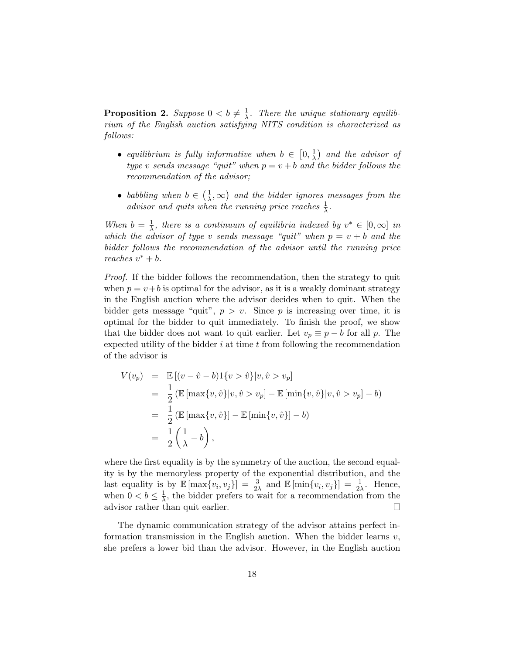**Proposition 2.** Suppose  $0 < b \neq \frac{1}{\lambda}$  $\frac{1}{\lambda}$ . There the unique stationary equilibrium of the English auction satisfying NITS condition is characterized as follows:

- equilibrium is fully informative when  $b \in [0, \frac{1}{\lambda}]$  $\frac{1}{\lambda}$  and the advisor of type v sends message "quit" when  $p = v + b$  and the bidder follows the recommendation of the advisor;
- babbling when  $b \in \left(\frac{1}{\lambda}\right)$  $(\frac{1}{\lambda}, \infty)$  and the bidder ignores messages from the advisor and quits when the running price reaches  $\frac{1}{\lambda}$ .

When  $b = \frac{1}{\lambda}$  $\frac{1}{\lambda}$ , there is a continuum of equilibria indexed by  $v^* \in [0, \infty]$  in which the advisor of type v sends message "quit" when  $p = v + b$  and the bidder follows the recommendation of the advisor until the running price reaches  $v^* + b$ .

Proof. If the bidder follows the recommendation, then the strategy to quit when  $p = v + b$  is optimal for the advisor, as it is a weakly dominant strategy in the English auction where the advisor decides when to quit. When the bidder gets message "quit",  $p > v$ . Since p is increasing over time, it is optimal for the bidder to quit immediately. To finish the proof, we show that the bidder does not want to quit earlier. Let  $v_p \equiv p - b$  for all p. The expected utility of the bidder  $i$  at time  $t$  from following the recommendation of the advisor is

$$
V(v_p) = \mathbb{E} [(v - \hat{v} - b)1\{v > \hat{v}\}|v, \hat{v} > v_p]
$$
  
=  $\frac{1}{2} (\mathbb{E} [\max\{v, \hat{v}\}|v, \hat{v} > v_p] - \mathbb{E} [\min\{v, \hat{v}\}|v, \hat{v} > v_p] - b)$   
=  $\frac{1}{2} (\mathbb{E} [\max\{v, \hat{v}\}] - \mathbb{E} [\min\{v, \hat{v}\}] - b)$   
=  $\frac{1}{2} (\frac{1}{\lambda} - b),$ 

where the first equality is by the symmetry of the auction, the second equality is by the memoryless property of the exponential distribution, and the last equality is by  $\mathbb{E} [\max\{v_i, v_j\}] = \frac{3}{2\lambda}$  and  $\mathbb{E} [\min\{v_i, v_j\}] = \frac{1}{2\lambda}$ . Hence, when  $0 < b \leq \frac{1}{\lambda}$  $\frac{1}{\lambda}$ , the bidder prefers to wait for a recommendation from the advisor rather than quit earlier.  $\Box$ 

The dynamic communication strategy of the advisor attains perfect information transmission in the English auction. When the bidder learns  $v$ , she prefers a lower bid than the advisor. However, in the English auction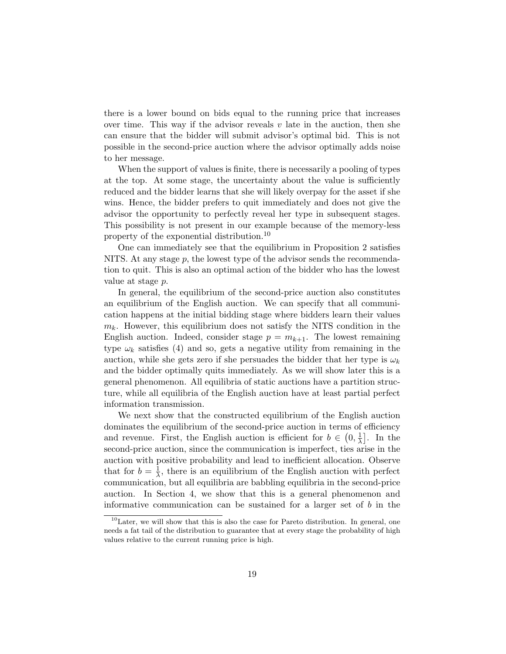there is a lower bound on bids equal to the running price that increases over time. This way if the advisor reveals  $v$  late in the auction, then she can ensure that the bidder will submit advisor's optimal bid. This is not possible in the second-price auction where the advisor optimally adds noise to her message.

When the support of values is finite, there is necessarily a pooling of types at the top. At some stage, the uncertainty about the value is sufficiently reduced and the bidder learns that she will likely overpay for the asset if she wins. Hence, the bidder prefers to quit immediately and does not give the advisor the opportunity to perfectly reveal her type in subsequent stages. This possibility is not present in our example because of the memory-less property of the exponential distribution.<sup>10</sup>

One can immediately see that the equilibrium in Proposition 2 satisfies NITS. At any stage  $p$ , the lowest type of the advisor sends the recommendation to quit. This is also an optimal action of the bidder who has the lowest value at stage p.

In general, the equilibrium of the second-price auction also constitutes an equilibrium of the English auction. We can specify that all communication happens at the initial bidding stage where bidders learn their values  $m_k$ . However, this equilibrium does not satisfy the NITS condition in the English auction. Indeed, consider stage  $p = m_{k+1}$ . The lowest remaining type  $\omega_k$  satisfies (4) and so, gets a negative utility from remaining in the auction, while she gets zero if she persuades the bidder that her type is  $\omega_k$ and the bidder optimally quits immediately. As we will show later this is a general phenomenon. All equilibria of static auctions have a partition structure, while all equilibria of the English auction have at least partial perfect information transmission.

We next show that the constructed equilibrium of the English auction dominates the equilibrium of the second-price auction in terms of efficiency and revenue. First, the English auction is efficient for  $b \in (0, \frac{1}{\lambda})$  $\frac{1}{\lambda}$ . In the second-price auction, since the communication is imperfect, ties arise in the auction with positive probability and lead to inefficient allocation. Observe that for  $b=\frac{1}{\lambda}$  $\frac{1}{\lambda}$ , there is an equilibrium of the English auction with perfect communication, but all equilibria are babbling equilibria in the second-price auction. In Section 4, we show that this is a general phenomenon and informative communication can be sustained for a larger set of  $b$  in the

 $10$ Later, we will show that this is also the case for Pareto distribution. In general, one needs a fat tail of the distribution to guarantee that at every stage the probability of high values relative to the current running price is high.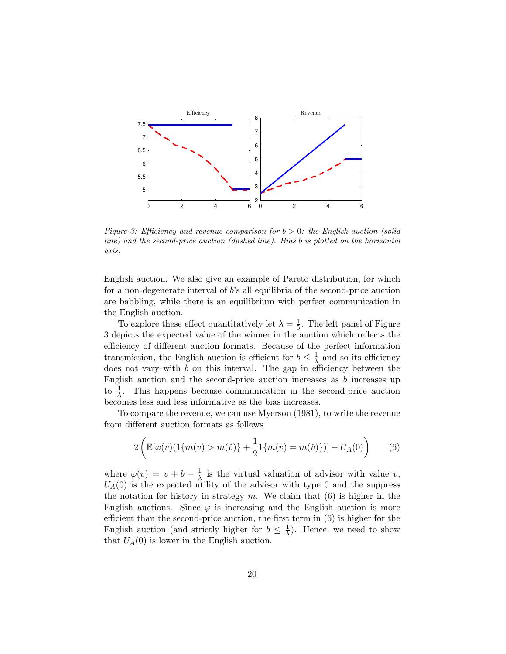

Figure 3: Efficiency and revenue comparison for  $b > 0$ : the English auction (solid line) and the second-price auction (dashed line). Bias b is plotted on the horizontal axis.

English auction. We also give an example of Pareto distribution, for which for a non-degenerate interval of b's all equilibria of the second-price auction are babbling, while there is an equilibrium with perfect communication in the English auction.

To explore these effect quantitatively let  $\lambda = \frac{1}{5}$  $\frac{1}{5}$ . The left panel of Figure 3 depicts the expected value of the winner in the auction which reflects the efficiency of different auction formats. Because of the perfect information transmission, the English auction is efficient for  $b \leq \frac{1}{\lambda}$  $\frac{1}{\lambda}$  and so its efficiency does not vary with b on this interval. The gap in efficiency between the English auction and the second-price auction increases as b increases up to  $\frac{1}{\lambda}$ . This happens because communication in the second-price auction becomes less and less informative as the bias increases.

To compare the revenue, we can use Myerson (1981), to write the revenue from different auction formats as follows

$$
2\left(\mathbb{E}[\varphi(v)(1\{m(v) > m(\hat{v})\} + \frac{1}{2}1\{m(v) = m(\hat{v})\})] - U_A(0)\right) \tag{6}
$$

where  $\varphi(v) = v + b - \frac{1}{\lambda}$  $\frac{1}{\lambda}$  is the virtual valuation of advisor with value v,  $U_A(0)$  is the expected utility of the advisor with type 0 and the suppress the notation for history in strategy  $m$ . We claim that  $(6)$  is higher in the English auctions. Since  $\varphi$  is increasing and the English auction is more efficient than the second-price auction, the first term in (6) is higher for the English auction (and strictly higher for  $b \leq \frac{1}{\lambda}$ )  $\frac{1}{\lambda}$ ). Hence, we need to show that  $U_A(0)$  is lower in the English auction.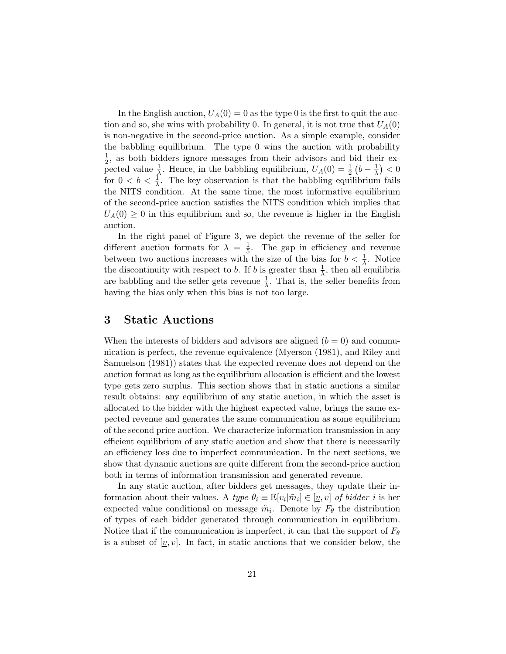In the English auction,  $U_A(0) = 0$  as the type 0 is the first to quit the auction and so, she wins with probability 0. In general, it is not true that  $U_A(0)$ is non-negative in the second-price auction. As a simple example, consider the babbling equilibrium. The type 0 wins the auction with probability  $\frac{1}{2}$ , as both bidders ignore messages from their advisors and bid their ex- $\frac{1}{2}$ , as both biddens ignore messages from their advisors and bid the pected value  $\frac{1}{\lambda}$ . Hence, in the babbling equilibrium,  $U_A(0) = \frac{1}{2} (b - \frac{1}{\lambda})$  $\frac{1}{\lambda}$ ) < 0 for  $0 < b < \frac{1}{\lambda}$ . The key observation is that the babbling equilibrium fails the NITS condition. At the same time, the most informative equilibrium of the second-price auction satisfies the NITS condition which implies that  $U_A(0) \geq 0$  in this equilibrium and so, the revenue is higher in the English auction.

In the right panel of Figure 3, we depict the revenue of the seller for different auction formats for  $\lambda = \frac{1}{5}$  $\frac{1}{5}$ . The gap in efficiency and revenue between two auctions increases with the size of the bias for  $b < \frac{1}{\lambda}$ . Notice the discontinuity with respect to b. If b is greater than  $\frac{1}{\lambda}$ , then all equilibria are babbling and the seller gets revenue  $\frac{1}{\lambda}$ . That is, the seller benefits from having the bias only when this bias is not too large.

# 3 Static Auctions

When the interests of bidders and advisors are aligned  $(b = 0)$  and communication is perfect, the revenue equivalence (Myerson (1981), and Riley and Samuelson (1981)) states that the expected revenue does not depend on the auction format as long as the equilibrium allocation is efficient and the lowest type gets zero surplus. This section shows that in static auctions a similar result obtains: any equilibrium of any static auction, in which the asset is allocated to the bidder with the highest expected value, brings the same expected revenue and generates the same communication as some equilibrium of the second price auction. We characterize information transmission in any efficient equilibrium of any static auction and show that there is necessarily an efficiency loss due to imperfect communication. In the next sections, we show that dynamic auctions are quite different from the second-price auction both in terms of information transmission and generated revenue.

In any static auction, after bidders get messages, they update their information about their values. A type  $\theta_i \equiv \mathbb{E}[v_i|\tilde{m}_i] \in [\underline{v}, \overline{v}]$  of bidder i is her expected value conditional on message  $\tilde{m}_i$ . Denote by  $F_\theta$  the distribution of types of each bidder generated through communication in equilibrium. Notice that if the communication is imperfect, it can that the support of  $F_{\theta}$ is a subset of  $[v, \overline{v}]$ . In fact, in static auctions that we consider below, the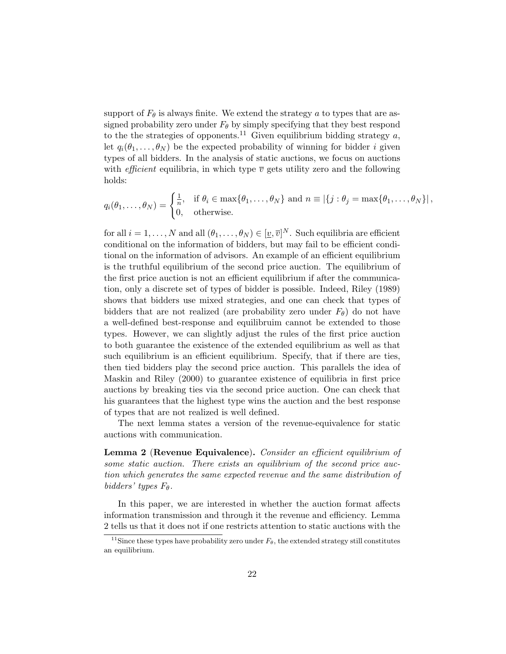support of  $F_{\theta}$  is always finite. We extend the strategy a to types that are assigned probability zero under  $F_{\theta}$  by simply specifying that they best respond to the the strategies of opponents.<sup>11</sup> Given equilibrium bidding strategy a, let  $q_i(\theta_1,\ldots,\theta_N)$  be the expected probability of winning for bidder i given types of all bidders. In the analysis of static auctions, we focus on auctions with *efficient* equilibria, in which type  $\bar{v}$  gets utility zero and the following holds:

$$
q_i(\theta_1,\ldots,\theta_N) = \begin{cases} \frac{1}{n}, & \text{if } \theta_i \in \max\{\theta_1,\ldots,\theta_N\} \text{ and } n \equiv |\{j : \theta_j = \max\{\theta_1,\ldots,\theta_N\}|, \\ 0, & \text{otherwise.} \end{cases}
$$

for all  $i = 1, \ldots, N$  and all  $(\theta_1, \ldots, \theta_N) \in [\underline{v}, \overline{v}]^N$ . Such equilibria are efficient conditional on the information of bidders, but may fail to be efficient conditional on the information of advisors. An example of an efficient equilibrium is the truthful equilibrium of the second price auction. The equilibrium of the first price auction is not an efficient equilibrium if after the communication, only a discrete set of types of bidder is possible. Indeed, Riley (1989) shows that bidders use mixed strategies, and one can check that types of bidders that are not realized (are probability zero under  $F_{\theta}$ ) do not have a well-defined best-response and equilibruim cannot be extended to those types. However, we can slightly adjust the rules of the first price auction to both guarantee the existence of the extended equilibrium as well as that such equilibrium is an efficient equilibrium. Specify, that if there are ties, then tied bidders play the second price auction. This parallels the idea of Maskin and Riley (2000) to guarantee existence of equilibria in first price auctions by breaking ties via the second price auction. One can check that his guarantees that the highest type wins the auction and the best response of types that are not realized is well defined.

The next lemma states a version of the revenue-equivalence for static auctions with communication.

Lemma 2 (Revenue Equivalence). Consider an efficient equilibrium of some static auction. There exists an equilibrium of the second price auction which generates the same expected revenue and the same distribution of bidders' types  $F_{\theta}$ .

In this paper, we are interested in whether the auction format affects information transmission and through it the revenue and efficiency. Lemma 2 tells us that it does not if one restricts attention to static auctions with the

<sup>&</sup>lt;sup>11</sup>Since these types have probability zero under  $F_{\theta}$ , the extended strategy still constitutes an equilibrium.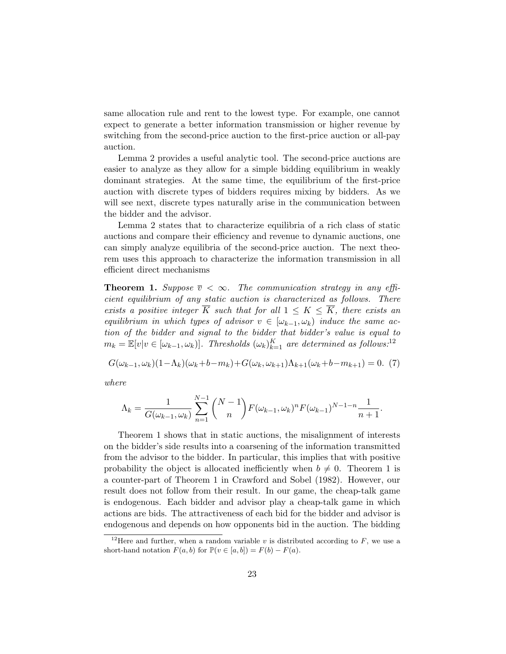same allocation rule and rent to the lowest type. For example, one cannot expect to generate a better information transmission or higher revenue by switching from the second-price auction to the first-price auction or all-pay auction.

Lemma 2 provides a useful analytic tool. The second-price auctions are easier to analyze as they allow for a simple bidding equilibrium in weakly dominant strategies. At the same time, the equilibrium of the first-price auction with discrete types of bidders requires mixing by bidders. As we will see next, discrete types naturally arise in the communication between the bidder and the advisor.

Lemma 2 states that to characterize equilibria of a rich class of static auctions and compare their efficiency and revenue to dynamic auctions, one can simply analyze equilibria of the second-price auction. The next theorem uses this approach to characterize the information transmission in all efficient direct mechanisms

**Theorem 1.** Suppose  $\overline{v} < \infty$ . The communication strategy in any efficient equilibrium of any static auction is characterized as follows. There exists a positive integer  $\overline{K}$  such that for all  $1 \leq K \leq \overline{K}$ , there exists an equilibrium in which types of advisor  $v \in [\omega_{k-1}, \omega_k)$  induce the same action of the bidder and signal to the bidder that bidder's value is equal to  $m_k = \mathbb{E}[v|v \in [\omega_{k-1}, \omega_k)]$ . Thresholds  $(\omega_k)_{k=1}^K$  are determined as follows:<sup>12</sup>

 $G(\omega_{k-1}, \omega_k)(1-\Lambda_k)(\omega_k+b-m_k)+G(\omega_k, \omega_{k+1})\Lambda_{k+1}(\omega_k+b-m_{k+1})=0.$  (7)

where

$$
\Lambda_k = \frac{1}{G(\omega_{k-1}, \omega_k)} \sum_{n=1}^{N-1} {N-1 \choose n} F(\omega_{k-1}, \omega_k)^n F(\omega_{k-1})^{N-1-n} \frac{1}{n+1}.
$$

Theorem 1 shows that in static auctions, the misalignment of interests on the bidder's side results into a coarsening of the information transmitted from the advisor to the bidder. In particular, this implies that with positive probability the object is allocated inefficiently when  $b \neq 0$ . Theorem 1 is a counter-part of Theorem 1 in Crawford and Sobel (1982). However, our result does not follow from their result. In our game, the cheap-talk game is endogenous. Each bidder and advisor play a cheap-talk game in which actions are bids. The attractiveness of each bid for the bidder and advisor is endogenous and depends on how opponents bid in the auction. The bidding

<sup>&</sup>lt;sup>12</sup>Here and further, when a random variable v is distributed according to  $F$ , we use a short-hand notation  $F(a, b)$  for  $\mathbb{P}(v \in [a, b]) = F(b) - F(a)$ .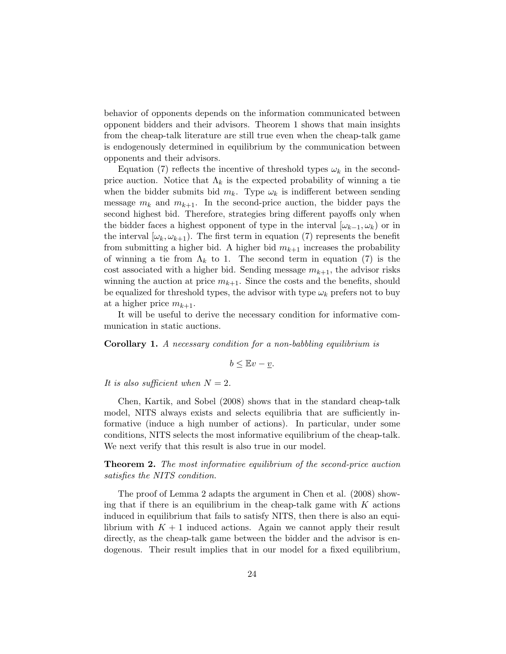behavior of opponents depends on the information communicated between opponent bidders and their advisors. Theorem 1 shows that main insights from the cheap-talk literature are still true even when the cheap-talk game is endogenously determined in equilibrium by the communication between opponents and their advisors.

Equation (7) reflects the incentive of threshold types  $\omega_k$  in the secondprice auction. Notice that  $\Lambda_k$  is the expected probability of winning a tie when the bidder submits bid  $m_k$ . Type  $\omega_k$  is indifferent between sending message  $m_k$  and  $m_{k+1}$ . In the second-price auction, the bidder pays the second highest bid. Therefore, strategies bring different payoffs only when the bidder faces a highest opponent of type in the interval  $[\omega_{k-1}, \omega_k)$  or in the interval  $[\omega_k, \omega_{k+1})$ . The first term in equation (7) represents the benefit from submitting a higher bid. A higher bid  $m_{k+1}$  increases the probability of winning a tie from  $\Lambda_k$  to 1. The second term in equation (7) is the cost associated with a higher bid. Sending message  $m_{k+1}$ , the advisor risks winning the auction at price  $m_{k+1}$ . Since the costs and the benefits, should be equalized for threshold types, the advisor with type  $\omega_k$  prefers not to buy at a higher price  $m_{k+1}$ .

It will be useful to derive the necessary condition for informative communication in static auctions.

Corollary 1. A necessary condition for a non-babbling equilibrium is

$$
b \leq \mathbb{E}v - \underline{v}.
$$

It is also sufficient when  $N=2$ .

Chen, Kartik, and Sobel (2008) shows that in the standard cheap-talk model, NITS always exists and selects equilibria that are sufficiently informative (induce a high number of actions). In particular, under some conditions, NITS selects the most informative equilibrium of the cheap-talk. We next verify that this result is also true in our model.

**Theorem 2.** The most informative equilibrium of the second-price auction satisfies the NITS condition.

The proof of Lemma 2 adapts the argument in Chen et al. (2008) showing that if there is an equilibrium in the cheap-talk game with  $K$  actions induced in equilibrium that fails to satisfy NITS, then there is also an equilibrium with  $K + 1$  induced actions. Again we cannot apply their result directly, as the cheap-talk game between the bidder and the advisor is endogenous. Their result implies that in our model for a fixed equilibrium,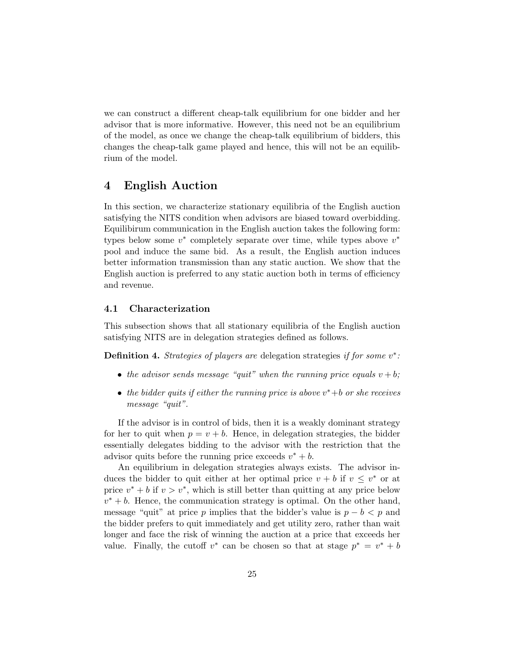we can construct a different cheap-talk equilibrium for one bidder and her advisor that is more informative. However, this need not be an equilibrium of the model, as once we change the cheap-talk equilibrium of bidders, this changes the cheap-talk game played and hence, this will not be an equilibrium of the model.

# 4 English Auction

In this section, we characterize stationary equilibria of the English auction satisfying the NITS condition when advisors are biased toward overbidding. Equilibirum communication in the English auction takes the following form: types below some  $v^*$  completely separate over time, while types above  $v^*$ pool and induce the same bid. As a result, the English auction induces better information transmission than any static auction. We show that the English auction is preferred to any static auction both in terms of efficiency and revenue.

# 4.1 Characterization

This subsection shows that all stationary equilibria of the English auction satisfying NITS are in delegation strategies defined as follows.

**Definition 4.** Strategies of players are delegation strategies if for some  $v^*$ :

- the advisor sends message "quit" when the running price equals  $v + b$ ;
- the bidder quits if either the running price is above  $v^*+b$  or she receives message "quit".

If the advisor is in control of bids, then it is a weakly dominant strategy for her to quit when  $p = v + b$ . Hence, in delegation strategies, the bidder essentially delegates bidding to the advisor with the restriction that the advisor quits before the running price exceeds  $v^* + b$ .

An equilibrium in delegation strategies always exists. The advisor induces the bidder to quit either at her optimal price  $v + b$  if  $v \leq v^*$  or at price  $v^* + b$  if  $v > v^*$ , which is still better than quitting at any price below  $v^* + b$ . Hence, the communication strategy is optimal. On the other hand, message "quit" at price p implies that the bidder's value is  $p - b < p$  and the bidder prefers to quit immediately and get utility zero, rather than wait longer and face the risk of winning the auction at a price that exceeds her value. Finally, the cutoff  $v^*$  can be chosen so that at stage  $p^* = v^* + b$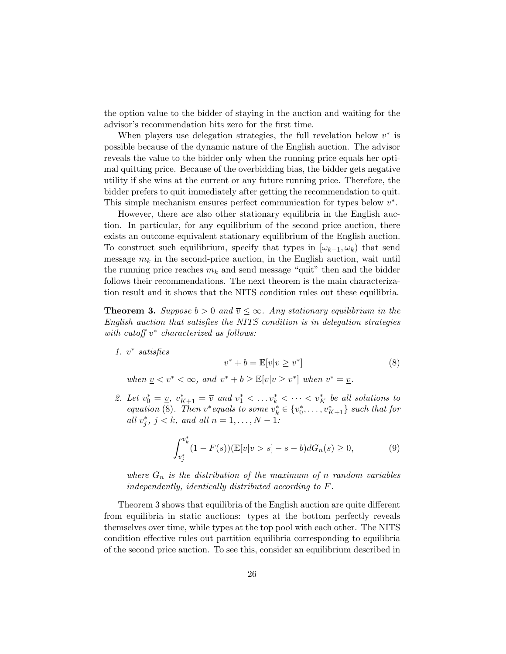the option value to the bidder of staying in the auction and waiting for the advisor's recommendation hits zero for the first time.

When players use delegation strategies, the full revelation below  $v^*$  is possible because of the dynamic nature of the English auction. The advisor reveals the value to the bidder only when the running price equals her optimal quitting price. Because of the overbidding bias, the bidder gets negative utility if she wins at the current or any future running price. Therefore, the bidder prefers to quit immediately after getting the recommendation to quit. This simple mechanism ensures perfect communication for types below  $v^*$ .

However, there are also other stationary equilibria in the English auction. In particular, for any equilibrium of the second price auction, there exists an outcome-equivalent stationary equilibrium of the English auction. To construct such equilibrium, specify that types in  $[\omega_{k-1}, \omega_k]$  that send message  $m_k$  in the second-price auction, in the English auction, wait until the running price reaches  $m_k$  and send message "quit" then and the bidder follows their recommendations. The next theorem is the main characterization result and it shows that the NITS condition rules out these equilibria.

**Theorem 3.** Suppose  $b > 0$  and  $\overline{v} \leq \infty$ . Any stationary equilibrium in the English auction that satisfies the NITS condition is in delegation strategies with cutoff  $v^*$  characterized as follows:

1.  $v^*$  satisfies

$$
v^* + b = \mathbb{E}[v|v \ge v^*]
$$
\n<sup>(8)</sup>

when  $\underline{v} < v^* < \infty$ , and  $v^* + b \geq \mathbb{E}[v|v \geq v^*]$  when  $v^* = \underline{v}$ .

2. Let  $v_0^* = \underline{v}$ ,  $v_{K+1}^* = \overline{v}$  and  $v_1^* < \ldots v_k^* < \cdots < v_K^*$  be all solutions to equation (8). Then  $v^*$  equals to some  $v_k^* \in \{v_0^*, \ldots, v_{K+1}^*\}$  such that for all  $v_j^*, j < k,$  and all  $n = 1, ..., N - 1$ :

$$
\int_{v_j^*}^{v_k^*} (1 - F(s)) (\mathbb{E}[v|v > s] - s - b) dG_n(s) \ge 0,
$$
\n(9)

where  $G_n$  is the distribution of the maximum of n random variables independently, identically distributed according to F.

Theorem 3 shows that equilibria of the English auction are quite different from equilibria in static auctions: types at the bottom perfectly reveals themselves over time, while types at the top pool with each other. The NITS condition effective rules out partition equilibria corresponding to equilibria of the second price auction. To see this, consider an equilibrium described in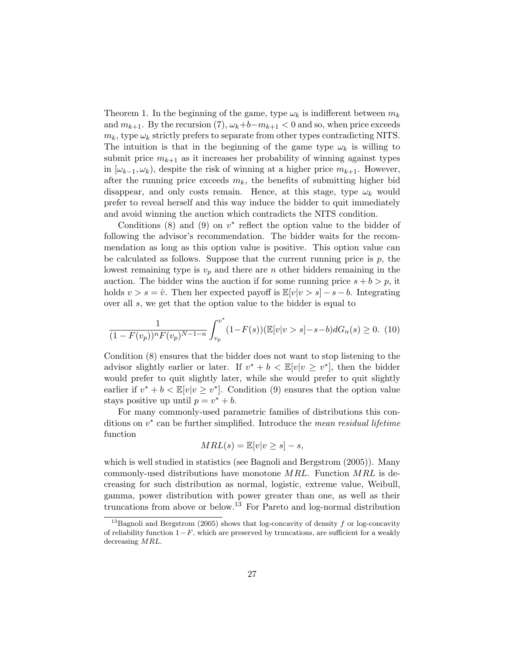Theorem 1. In the beginning of the game, type  $\omega_k$  is indifferent between  $m_k$ and  $m_{k+1}$ . By the recursion (7),  $\omega_k+b-m_{k+1}<0$  and so, when price exceeds  $m_k$ , type  $\omega_k$  strictly prefers to separate from other types contradicting NITS. The intuition is that in the beginning of the game type  $\omega_k$  is willing to submit price  $m_{k+1}$  as it increases her probability of winning against types in  $[\omega_{k-1}, \omega_k]$ , despite the risk of winning at a higher price  $m_{k+1}$ . However, after the running price exceeds  $m_k$ , the benefits of submitting higher bid disappear, and only costs remain. Hence, at this stage, type  $\omega_k$  would prefer to reveal herself and this way induce the bidder to quit immediately and avoid winning the auction which contradicts the NITS condition.

Conditions  $(8)$  and  $(9)$  on  $v^*$  reflect the option value to the bidder of following the advisor's recommendation. The bidder waits for the recommendation as long as this option value is positive. This option value can be calculated as follows. Suppose that the current running price is  $p$ , the lowest remaining type is  $v_p$  and there are n other bidders remaining in the auction. The bidder wins the auction if for some running price  $s + b > p$ , it holds  $v > s = \hat{v}$ . Then her expected payoff is  $\mathbb{E}[v|v > s] - s - b$ . Integrating over all s, we get that the option value to the bidder is equal to

$$
\frac{1}{(1 - F(v_p))^n F(v_p)^{N-1-n}} \int_{v_p}^{v^*} (1 - F(s)) (\mathbb{E}[v|v > s] - s - b) dG_n(s) \ge 0. \tag{10}
$$

Condition (8) ensures that the bidder does not want to stop listening to the advisor slightly earlier or later. If  $v^* + b < \mathbb{E}[v|v \geq v^*]$ , then the bidder would prefer to quit slightly later, while she would prefer to quit slightly earlier if  $v^* + b < \mathbb{E}[v]v \geq v^*$ . Condition (9) ensures that the option value stays positive up until  $p = v^* + b$ .

For many commonly-used parametric families of distributions this conditions on  $v^*$  can be further simplified. Introduce the mean residual lifetime function

$$
MRL(s) = \mathbb{E}[v|v \ge s] - s,
$$

which is well studied in statistics (see Bagnoli and Bergstrom (2005)). Many commonly-used distributions have monotone  $MRL$ . Function  $MRL$  is decreasing for such distribution as normal, logistic, extreme value, Weibull, gamma, power distribution with power greater than one, as well as their truncations from above or below.<sup>13</sup> For Pareto and log-normal distribution

<sup>&</sup>lt;sup>13</sup>Bagnoli and Bergstrom (2005) shows that log-concavity of density f or log-concavity of reliability function  $1-F$ , which are preserved by truncations, are sufficient for a weakly decreasing MRL.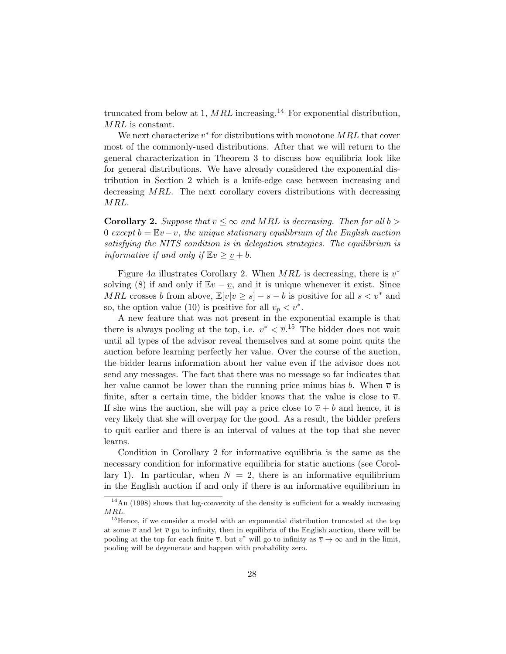truncated from below at 1, MRL increasing.<sup>14</sup> For exponential distribution, MRL is constant.

We next characterize  $v^*$  for distributions with monotone  $MRL$  that cover most of the commonly-used distributions. After that we will return to the general characterization in Theorem 3 to discuss how equilibria look like for general distributions. We have already considered the exponential distribution in Section 2 which is a knife-edge case between increasing and decreasing MRL. The next corollary covers distributions with decreasing MRL.

**Corollary 2.** Suppose that  $\overline{v} \leq \infty$  and MRL is decreasing. Then for all b > 0 except  $b = Ev-v$ , the unique stationary equilibrium of the English auction satisfying the NITS condition is in delegation strategies. The equilibrium is informative if and only if  $\mathbb{E}v \geq v + b$ .

Figure 4a illustrates Corollary 2. When  $MRL$  is decreasing, there is  $v^*$ solving (8) if and only if  $\mathbb{E}v - v$ , and it is unique whenever it exist. Since MRL crosses b from above,  $\mathbb{E}[v|v \geq s] - s - b$  is positive for all  $s < v^*$  and so, the option value (10) is positive for all  $v_p < v^*$ .

A new feature that was not present in the exponential example is that there is always pooling at the top, i.e.  $v^* < \overline{v}^{15}$ . The bidder does not wait until all types of the advisor reveal themselves and at some point quits the auction before learning perfectly her value. Over the course of the auction, the bidder learns information about her value even if the advisor does not send any messages. The fact that there was no message so far indicates that her value cannot be lower than the running price minus bias b. When  $\bar{v}$  is finite, after a certain time, the bidder knows that the value is close to  $\overline{v}$ . If she wins the auction, she will pay a price close to  $\overline{v} + b$  and hence, it is very likely that she will overpay for the good. As a result, the bidder prefers to quit earlier and there is an interval of values at the top that she never learns.

Condition in Corollary 2 for informative equilibria is the same as the necessary condition for informative equilibria for static auctions (see Corollary 1). In particular, when  $N = 2$ , there is an informative equilibrium in the English auction if and only if there is an informative equilibrium in

 $^{14}{\rm An}$  (1998) shows that log-convexity of the density is sufficient for a weakly increasing MRL.

<sup>&</sup>lt;sup>15</sup>Hence, if we consider a model with an exponential distribution truncated at the top at some  $\overline{v}$  and let  $\overline{v}$  go to infinity, then in equilibria of the English auction, there will be pooling at the top for each finite  $\overline{v}$ , but  $v^*$  will go to infinity as  $\overline{v} \to \infty$  and in the limit, pooling will be degenerate and happen with probability zero.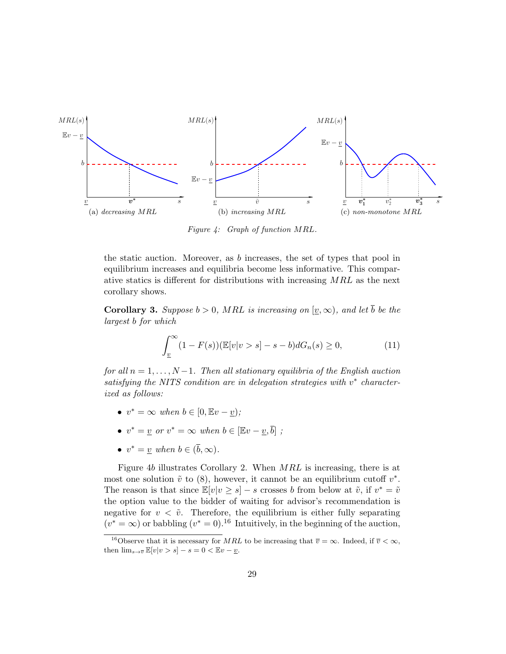

Figure 4: Graph of function MRL.

the static auction. Moreover, as b increases, the set of types that pool in equilibrium increases and equilibria become less informative. This comparative statics is different for distributions with increasing  $MRL$  as the next corollary shows.

**Corollary 3.** Suppose  $b > 0$ , MRL is increasing on  $[v, \infty)$ , and let  $\overline{b}$  be the largest b for which

$$
\int_{\underline{v}}^{\infty} (1 - F(s)) (\mathbb{E}[v|v > s] - s - b) dG_n(s) \ge 0,
$$
\n(11)

for all  $n = 1, \ldots, N-1$ . Then all stationary equilibria of the English auction satisfying the NITS condition are in delegation strategies with  $v^*$  characterized as follows:

- $v^* = \infty$  when  $b \in [0, Ev v)$ ;
- $v^* = \underline{v}$  or  $v^* = \infty$  when  $b \in [\mathbb{E}v \underline{v}, \overline{b}]$ ;
- $v^* = \underline{v}$  when  $b \in (\overline{b}, \infty)$ .

Figure 4b illustrates Corollary 2. When MRL is increasing, there is at most one solution  $\tilde{v}$  to  $(8)$ , however, it cannot be an equilibrium cutoff  $v^*$ . The reason is that since  $\mathbb{E}[v|v \geq s] - s$  crosses b from below at  $\tilde{v}$ , if  $v^* = \tilde{v}$ the option value to the bidder of waiting for advisor's recommendation is negative for  $v < \tilde{v}$ . Therefore, the equilibrium is either fully separating  $(v^* = \infty)$  or babbling  $(v^* = 0)$ .<sup>16</sup> Intuitively, in the beginning of the auction,

<sup>&</sup>lt;sup>16</sup>Observe that it is necessary for MRL to be increasing that  $\overline{v} = \infty$ . Indeed, if  $\overline{v} < \infty$ , then  $\lim_{s\to\overline{v}} \mathbb{E}[v|v>s] - s = 0 < \mathbb{E}v - \underline{v}$ .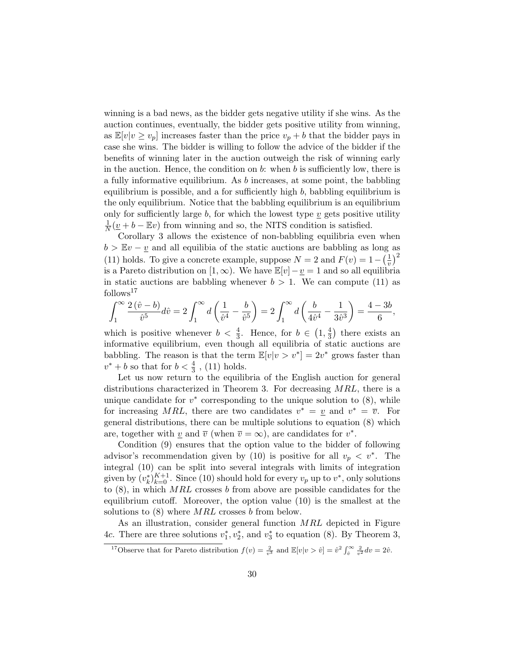winning is a bad news, as the bidder gets negative utility if she wins. As the auction continues, eventually, the bidder gets positive utility from winning, as  $\mathbb{E}[v|v \geq v_p]$  increases faster than the price  $v_p + b$  that the bidder pays in case she wins. The bidder is willing to follow the advice of the bidder if the benefits of winning later in the auction outweigh the risk of winning early in the auction. Hence, the condition on b: when b is sufficiently low, there is a fully informative equilibrium. As b increases, at some point, the babbling equilibrium is possible, and a for sufficiently high  $b$ , babbling equilibrium is the only equilibrium. Notice that the babbling equilibrium is an equilibrium only for sufficiently large  $b$ , for which the lowest type  $v$  gets positive utility 1  $\frac{1}{N}(\underline{v} + b - \mathbb{E}v)$  from winning and so, the NITS condition is satisfied.

Corollary 3 allows the existence of non-babbling equilibria even when  $b > Ev - v$  and all equilibia of the static auctions are babbling as long as (11) holds. To give a concrete example, suppose  $N = 2$  and  $F(v) = 1 - \left(\frac{1}{v}\right)^2$  $\left(\frac{1}{v}\right)^2$ is a Pareto distribution on [1, ∞). We have  $\mathbb{E}[v] - \underline{v} = 1$  and so all equilibria in static auctions are babbling whenever  $b > 1$ . We can compute (11) as follows<sup>17</sup>

$$
\int_1^{\infty} \frac{2(\hat{v} - b)}{\hat{v}^5} d\hat{v} = 2 \int_1^{\infty} d\left(\frac{1}{\hat{v}^4} - \frac{b}{\hat{v}^5}\right) = 2 \int_1^{\infty} d\left(\frac{b}{4\hat{v}^4} - \frac{1}{3\hat{v}^3}\right) = \frac{4 - 3b}{6},
$$

which is positive whenever  $b < \frac{4}{3}$ . Hence, for  $b \in (1, \frac{4}{3})$  $(\frac{4}{3})$  there exists an informative equilibrium, even though all equilibria of static auctions are babbling. The reason is that the term  $\mathbb{E}[v|v > v^*] = 2v^*$  grows faster than  $v^* + b$  so that for  $b < \frac{4}{3}$ , (11) holds.

Let us now return to the equilibria of the English auction for general distributions characterized in Theorem 3. For decreasing MRL, there is a unique candidate for  $v^*$  corresponding to the unique solution to  $(8)$ , while for increasing MRL, there are two candidates  $v^* = v$  and  $v^* = \overline{v}$ . For general distributions, there can be multiple solutions to equation (8) which are, together with  $\underline{v}$  and  $\overline{v}$  (when  $\overline{v} = \infty$ ), are candidates for  $v^*$ .

Condition (9) ensures that the option value to the bidder of following advisor's recommendation given by (10) is positive for all  $v_p < v^*$ . The integral (10) can be split into several integrals with limits of integration given by  $(v_k^*)_{k=0}^{K+1}$ . Since (10) should hold for every  $v_p$  up to  $v^*$ , only solutions to  $(8)$ , in which MRL crosses b from above are possible candidates for the equilibrium cutoff. Moreover, the option value (10) is the smallest at the solutions to  $(8)$  where  $MRL$  crosses b from below.

As an illustration, consider general function MRL depicted in Figure 4c. There are three solutions  $v_1^*, v_2^*,$  and  $v_3^*$  to equation (8). By Theorem 3,

<sup>&</sup>lt;sup>17</sup>Observe that for Pareto distribution  $f(v) = \frac{2}{v^3}$  and  $\mathbb{E}[v|v > \hat{v}] = \hat{v}^2 \int_{\hat{v}}^{\infty} \frac{2}{v^2} dv = 2\hat{v}$ .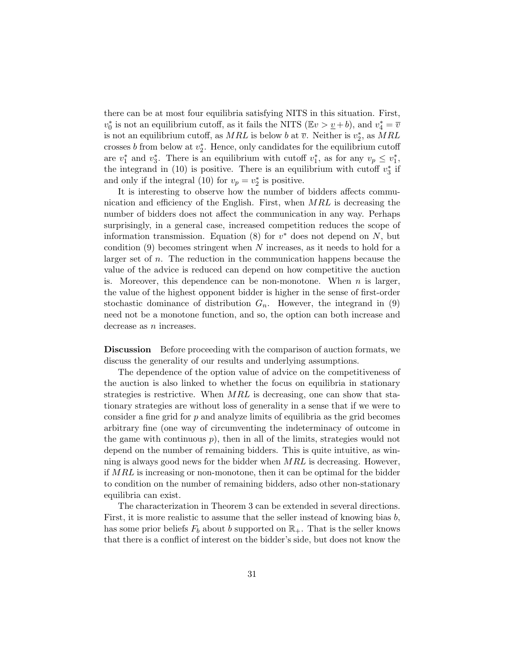there can be at most four equilibria satisfying NITS in this situation. First,  $v_0^*$  is not an equilibrium cutoff, as it fails the NITS ( $\mathbb{E}v > \underline{v} + b$ ), and  $v_4^* = \overline{v}$ is not an equilibrium cutoff, as  $MRL$  is below b at  $\overline{v}$ . Neither is  $v_2^*$ , as  $MRL$ crosses b from below at  $v_2^*$ . Hence, only candidates for the equilibrium cutoff are  $v_1^*$  and  $v_3^*$ . There is an equilibrium with cutoff  $v_1^*$ , as for any  $v_p \le v_1^*$ , the integrand in (10) is positive. There is an equilibrium with cutoff  $v_3^*$  if and only if the integral (10) for  $v_p = v_2^*$  is positive.

It is interesting to observe how the number of bidders affects communication and efficiency of the English. First, when MRL is decreasing the number of bidders does not affect the communication in any way. Perhaps surprisingly, in a general case, increased competition reduces the scope of information transmission. Equation (8) for  $v^*$  does not depend on N, but condition  $(9)$  becomes stringent when N increases, as it needs to hold for a larger set of n. The reduction in the communication happens because the value of the advice is reduced can depend on how competitive the auction is. Moreover, this dependence can be non-monotone. When  $n$  is larger, the value of the highest opponent bidder is higher in the sense of first-order stochastic dominance of distribution  $G_n$ . However, the integrand in (9) need not be a monotone function, and so, the option can both increase and decrease as  $n$  increases.

Discussion Before proceeding with the comparison of auction formats, we discuss the generality of our results and underlying assumptions.

The dependence of the option value of advice on the competitiveness of the auction is also linked to whether the focus on equilibria in stationary strategies is restrictive. When MRL is decreasing, one can show that stationary strategies are without loss of generality in a sense that if we were to consider a fine grid for  $p$  and analyze limits of equilibria as the grid becomes arbitrary fine (one way of circumventing the indeterminacy of outcome in the game with continuous  $p$ , then in all of the limits, strategies would not depend on the number of remaining bidders. This is quite intuitive, as winning is always good news for the bidder when  $MRL$  is decreasing. However, if MRL is increasing or non-monotone, then it can be optimal for the bidder to condition on the number of remaining bidders, adso other non-stationary equilibria can exist.

The characterization in Theorem 3 can be extended in several directions. First, it is more realistic to assume that the seller instead of knowing bias  $b$ , has some prior beliefs  $F_b$  about b supported on  $\mathbb{R}_+$ . That is the seller knows that there is a conflict of interest on the bidder's side, but does not know the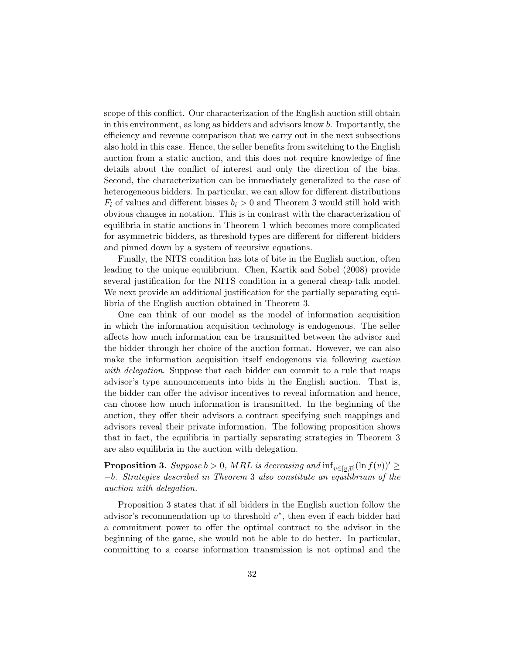scope of this conflict. Our characterization of the English auction still obtain in this environment, as long as bidders and advisors know b. Importantly, the efficiency and revenue comparison that we carry out in the next subsections also hold in this case. Hence, the seller benefits from switching to the English auction from a static auction, and this does not require knowledge of fine details about the conflict of interest and only the direction of the bias. Second, the characterization can be immediately generalized to the case of heterogeneous bidders. In particular, we can allow for different distributions  $F_i$  of values and different biases  $b_i > 0$  and Theorem 3 would still hold with obvious changes in notation. This is in contrast with the characterization of equilibria in static auctions in Theorem 1 which becomes more complicated for asymmetric bidders, as threshold types are different for different bidders and pinned down by a system of recursive equations.

Finally, the NITS condition has lots of bite in the English auction, often leading to the unique equilibrium. Chen, Kartik and Sobel (2008) provide several justification for the NITS condition in a general cheap-talk model. We next provide an additional justification for the partially separating equilibria of the English auction obtained in Theorem 3.

One can think of our model as the model of information acquisition in which the information acquisition technology is endogenous. The seller affects how much information can be transmitted between the advisor and the bidder through her choice of the auction format. However, we can also make the information acquisition itself endogenous via following *auction* with delegation. Suppose that each bidder can commit to a rule that maps advisor's type announcements into bids in the English auction. That is, the bidder can offer the advisor incentives to reveal information and hence, can choose how much information is transmitted. In the beginning of the auction, they offer their advisors a contract specifying such mappings and advisors reveal their private information. The following proposition shows that in fact, the equilibria in partially separating strategies in Theorem 3 are also equilibria in the auction with delegation.

**Proposition 3.** Suppose  $b > 0$ , MRL is decreasing and  $\inf_{v \in [v,\overline{v}]} (\ln f(v))' \geq$ −b. Strategies described in Theorem 3 also constitute an equilibrium of the auction with delegation.

Proposition 3 states that if all bidders in the English auction follow the advisor's recommendation up to threshold  $v^*$ , then even if each bidder had a commitment power to offer the optimal contract to the advisor in the beginning of the game, she would not be able to do better. In particular, committing to a coarse information transmission is not optimal and the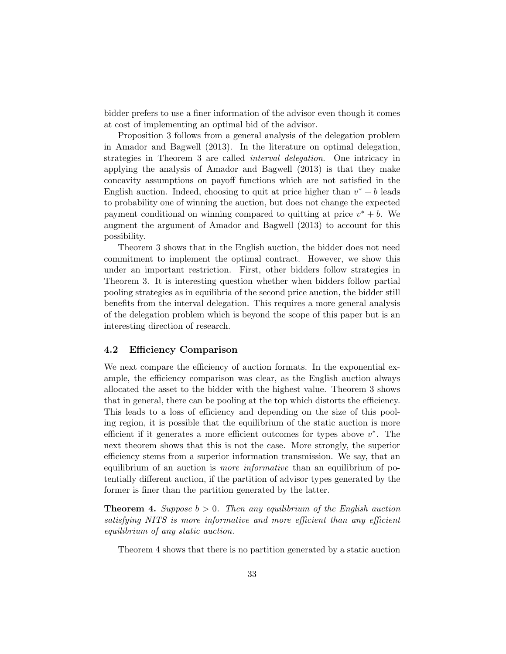bidder prefers to use a finer information of the advisor even though it comes at cost of implementing an optimal bid of the advisor.

Proposition 3 follows from a general analysis of the delegation problem in Amador and Bagwell (2013). In the literature on optimal delegation, strategies in Theorem 3 are called interval delegation. One intricacy in applying the analysis of Amador and Bagwell (2013) is that they make concavity assumptions on payoff functions which are not satisfied in the English auction. Indeed, choosing to quit at price higher than  $v^* + b$  leads to probability one of winning the auction, but does not change the expected payment conditional on winning compared to quitting at price  $v^* + b$ . We augment the argument of Amador and Bagwell (2013) to account for this possibility.

Theorem 3 shows that in the English auction, the bidder does not need commitment to implement the optimal contract. However, we show this under an important restriction. First, other bidders follow strategies in Theorem 3. It is interesting question whether when bidders follow partial pooling strategies as in equilibria of the second price auction, the bidder still benefits from the interval delegation. This requires a more general analysis of the delegation problem which is beyond the scope of this paper but is an interesting direction of research.

### 4.2 Efficiency Comparison

We next compare the efficiency of auction formats. In the exponential example, the efficiency comparison was clear, as the English auction always allocated the asset to the bidder with the highest value. Theorem 3 shows that in general, there can be pooling at the top which distorts the efficiency. This leads to a loss of efficiency and depending on the size of this pooling region, it is possible that the equilibrium of the static auction is more efficient if it generates a more efficient outcomes for types above  $v^*$ . The next theorem shows that this is not the case. More strongly, the superior efficiency stems from a superior information transmission. We say, that an equilibrium of an auction is *more informative* than an equilibrium of potentially different auction, if the partition of advisor types generated by the former is finer than the partition generated by the latter.

**Theorem 4.** Suppose  $b > 0$ . Then any equilibrium of the English auction satisfying NITS is more informative and more efficient than any efficient equilibrium of any static auction.

Theorem 4 shows that there is no partition generated by a static auction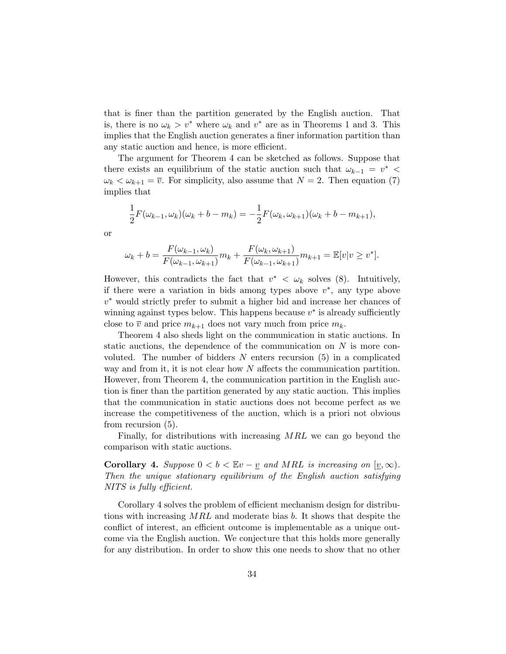that is finer than the partition generated by the English auction. That is, there is no  $\omega_k > v^*$  where  $\omega_k$  and  $v^*$  are as in Theorems 1 and 3. This implies that the English auction generates a finer information partition than any static auction and hence, is more efficient.

The argument for Theorem 4 can be sketched as follows. Suppose that there exists an equilibrium of the static auction such that  $\omega_{k-1} = v^*$  $\omega_k < \omega_{k+1} = \overline{v}$ . For simplicity, also assume that  $N = 2$ . Then equation (7) implies that

$$
\frac{1}{2}F(\omega_{k-1}, \omega_k)(\omega_k + b - m_k) = -\frac{1}{2}F(\omega_k, \omega_{k+1})(\omega_k + b - m_{k+1}),
$$

or

$$
\omega_k + b = \frac{F(\omega_{k-1}, \omega_k)}{F(\omega_{k-1}, \omega_{k+1})} m_k + \frac{F(\omega_k, \omega_{k+1})}{F(\omega_{k-1}, \omega_{k+1})} m_{k+1} = \mathbb{E}[v | v \ge v^*].
$$

However, this contradicts the fact that  $v^* < \omega_k$  solves (8). Intuitively, if there were a variation in bids among types above  $v^*$ , any type above v <sup>∗</sup> would strictly prefer to submit a higher bid and increase her chances of winning against types below. This happens because  $v^*$  is already sufficiently close to  $\overline{v}$  and price  $m_{k+1}$  does not vary much from price  $m_k$ .

Theorem 4 also sheds light on the communication in static auctions. In static auctions, the dependence of the communication on  $N$  is more convoluted. The number of bidders  $N$  enters recursion  $(5)$  in a complicated way and from it, it is not clear how  $N$  affects the communication partition. However, from Theorem 4, the communication partition in the English auction is finer than the partition generated by any static auction. This implies that the communication in static auctions does not become perfect as we increase the competitiveness of the auction, which is a priori not obvious from recursion (5).

Finally, for distributions with increasing MRL we can go beyond the comparison with static auctions.

**Corollary 4.** Suppose  $0 < b < \mathbb{E}v - v$  and MRL is increasing on  $[v, \infty)$ . Then the unique stationary equilibrium of the English auction satisfying NITS is fully efficient.

Corollary 4 solves the problem of efficient mechanism design for distributions with increasing  $MRL$  and moderate bias b. It shows that despite the conflict of interest, an efficient outcome is implementable as a unique outcome via the English auction. We conjecture that this holds more generally for any distribution. In order to show this one needs to show that no other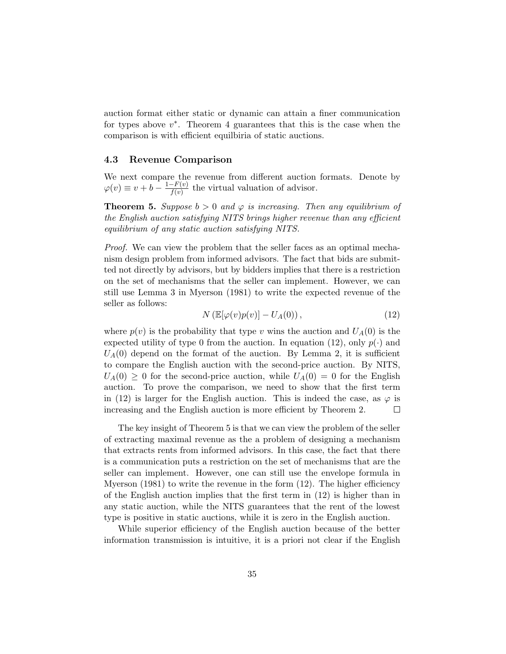auction format either static or dynamic can attain a finer communication for types above  $v^*$ . Theorem 4 guarantees that this is the case when the comparison is with efficient equilbiria of static auctions.

### 4.3 Revenue Comparison

We next compare the revenue from different auction formats. Denote by  $\varphi(v) \equiv v + b - \frac{1-F(v)}{f(v)}$  $\frac{f(x)}{f(y)}$  the virtual valuation of advisor.

**Theorem 5.** Suppose  $b > 0$  and  $\varphi$  is increasing. Then any equilibrium of the English auction satisfying NITS brings higher revenue than any efficient equilibrium of any static auction satisfying NITS.

Proof. We can view the problem that the seller faces as an optimal mechanism design problem from informed advisors. The fact that bids are submitted not directly by advisors, but by bidders implies that there is a restriction on the set of mechanisms that the seller can implement. However, we can still use Lemma 3 in Myerson (1981) to write the expected revenue of the seller as follows:

$$
N\left(\mathbb{E}[\varphi(v)p(v)] - U_A(0)\right),\tag{12}
$$

where  $p(v)$  is the probability that type v wins the auction and  $U_A(0)$  is the expected utility of type 0 from the auction. In equation (12), only  $p(\cdot)$  and  $U_A(0)$  depend on the format of the auction. By Lemma 2, it is sufficient to compare the English auction with the second-price auction. By NITS,  $U_A(0) \geq 0$  for the second-price auction, while  $U_A(0) = 0$  for the English auction. To prove the comparison, we need to show that the first term in (12) is larger for the English auction. This is indeed the case, as  $\varphi$  is increasing and the English auction is more efficient by Theorem 2.  $\Box$ 

The key insight of Theorem 5 is that we can view the problem of the seller of extracting maximal revenue as the a problem of designing a mechanism that extracts rents from informed advisors. In this case, the fact that there is a communication puts a restriction on the set of mechanisms that are the seller can implement. However, one can still use the envelope formula in Myerson  $(1981)$  to write the revenue in the form  $(12)$ . The higher efficiency of the English auction implies that the first term in (12) is higher than in any static auction, while the NITS guarantees that the rent of the lowest type is positive in static auctions, while it is zero in the English auction.

While superior efficiency of the English auction because of the better information transmission is intuitive, it is a priori not clear if the English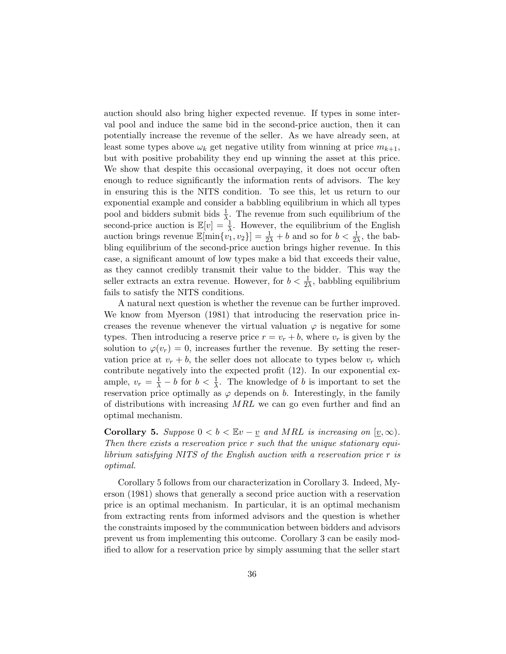auction should also bring higher expected revenue. If types in some interval pool and induce the same bid in the second-price auction, then it can potentially increase the revenue of the seller. As we have already seen, at least some types above  $\omega_k$  get negative utility from winning at price  $m_{k+1}$ , but with positive probability they end up winning the asset at this price. We show that despite this occasional overpaying, it does not occur often enough to reduce significantly the information rents of advisors. The key in ensuring this is the NITS condition. To see this, let us return to our exponential example and consider a babbling equilibrium in which all types pool and bidders submit bids  $\frac{1}{\lambda}$ . The revenue from such equilibrium of the second-price auction is  $\mathbb{E}[v] = \frac{1}{\lambda}$ . However, the equilibrium of the English auction brings revenue  $\mathbb{E}[\min\{v_1, v_2\}] = \frac{1}{2\lambda} + b$  and so for  $b < \frac{1}{2\lambda}$ , the babbling equilibrium of the second-price auction brings higher revenue. In this case, a significant amount of low types make a bid that exceeds their value, as they cannot credibly transmit their value to the bidder. This way the seller extracts an extra revenue. However, for  $b < \frac{1}{2\lambda}$ , babbling equilibrium fails to satisfy the NITS conditions.

A natural next question is whether the revenue can be further improved. We know from Myerson (1981) that introducing the reservation price increases the revenue whenever the virtual valuation  $\varphi$  is negative for some types. Then introducing a reserve price  $r = v_r + b$ , where  $v_r$  is given by the solution to  $\varphi(v_r) = 0$ , increases further the revenue. By setting the reservation price at  $v_r + b$ , the seller does not allocate to types below  $v_r$  which contribute negatively into the expected profit (12). In our exponential example,  $v_r = \frac{1}{\lambda} - b$  for  $b < \frac{1}{\lambda}$ . The knowledge of b is important to set the reservation price optimally as  $\varphi$  depends on b. Interestingly, in the family of distributions with increasing  $MRL$  we can go even further and find an optimal mechanism.

**Corollary 5.** Suppose  $0 < b < \mathbb{E}v - \underline{v}$  and MRL is increasing on  $[\underline{v}, \infty)$ . Then there exists a reservation price r such that the unique stationary equilibrium satisfying NITS of the English auction with a reservation price r is optimal.

Corollary 5 follows from our characterization in Corollary 3. Indeed, Myerson (1981) shows that generally a second price auction with a reservation price is an optimal mechanism. In particular, it is an optimal mechanism from extracting rents from informed advisors and the question is whether the constraints imposed by the communication between bidders and advisors prevent us from implementing this outcome. Corollary 3 can be easily modified to allow for a reservation price by simply assuming that the seller start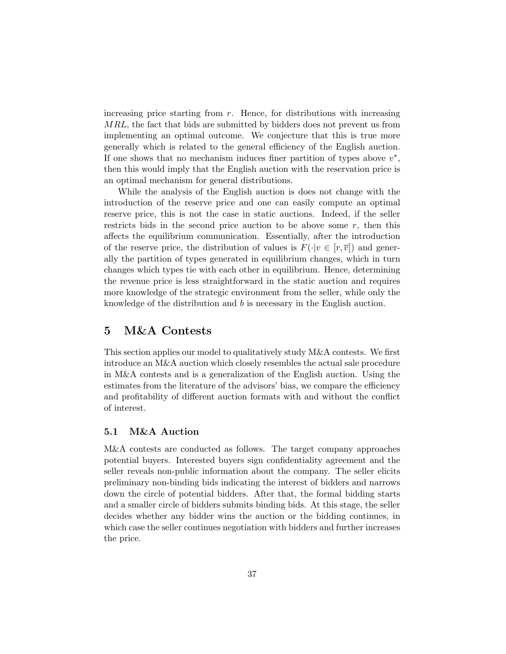increasing price starting from  $r$ . Hence, for distributions with increasing MRL, the fact that bids are submitted by bidders does not prevent us from implementing an optimal outcome. We conjecture that this is true more generally which is related to the general efficiency of the English auction. If one shows that no mechanism induces finer partition of types above  $v^*$ , then this would imply that the English auction with the reservation price is an optimal mechanism for general distributions.

While the analysis of the English auction is does not change with the introduction of the reserve price and one can easily compute an optimal reserve price, this is not the case in static auctions. Indeed, if the seller restricts bids in the second price auction to be above some  $r$ , then this affects the equilibrium communication. Essentially, after the introduction of the reserve price, the distribution of values is  $F(\cdot|v \in [r,\overline{v}])$  and generally the partition of types generated in equilibrium changes, which in turn changes which types tie with each other in equilibrium. Hence, determining the revenue price is less straightforward in the static auction and requires more knowledge of the strategic environment from the seller, while only the knowledge of the distribution and b is necessary in the English auction.

# 5 M&A Contests

This section applies our model to qualitatively study M&A contests. We first introduce an M&A auction which closely resembles the actual sale procedure in M&A contests and is a generalization of the English auction. Using the estimates from the literature of the advisors' bias, we compare the efficiency and profitability of different auction formats with and without the conflict of interest.

# 5.1 M&A Auction

M&A contests are conducted as follows. The target company approaches potential buyers. Interested buyers sign confidentiality agreement and the seller reveals non-public information about the company. The seller elicits preliminary non-binding bids indicating the interest of bidders and narrows down the circle of potential bidders. After that, the formal bidding starts and a smaller circle of bidders submits binding bids. At this stage, the seller decides whether any bidder wins the auction or the bidding continues, in which case the seller continues negotiation with bidders and further increases the price.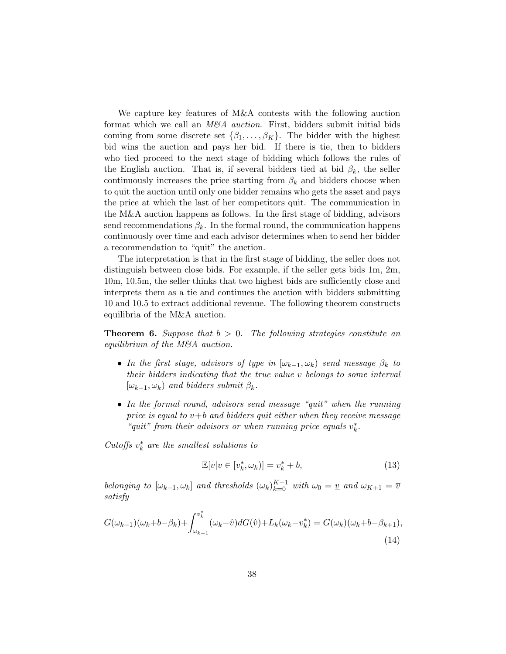We capture key features of M&A contests with the following auction format which we call an  $M\&A$  *auction*. First, bidders submit initial bids coming from some discrete set  $\{\beta_1, \ldots, \beta_K\}$ . The bidder with the highest bid wins the auction and pays her bid. If there is tie, then to bidders who tied proceed to the next stage of bidding which follows the rules of the English auction. That is, if several bidders tied at bid  $\beta_k$ , the seller continuously increases the price starting from  $\beta_k$  and bidders choose when to quit the auction until only one bidder remains who gets the asset and pays the price at which the last of her competitors quit. The communication in the M&A auction happens as follows. In the first stage of bidding, advisors send recommendations  $\beta_k$ . In the formal round, the communication happens continuously over time and each advisor determines when to send her bidder a recommendation to "quit" the auction.

The interpretation is that in the first stage of bidding, the seller does not distinguish between close bids. For example, if the seller gets bids 1m, 2m, 10m, 10.5m, the seller thinks that two highest bids are sufficiently close and interprets them as a tie and continues the auction with bidders submitting 10 and 10.5 to extract additional revenue. The following theorem constructs equilibria of the M&A auction.

**Theorem 6.** Suppose that  $b > 0$ . The following strategies constitute an equilibrium of the M&A auction.

- In the first stage, advisors of type in  $[\omega_{k-1}, \omega_k)$  send message  $\beta_k$  to their bidders indicating that the true value v belongs to some interval  $[\omega_{k-1}, \omega_k]$  and bidders submit  $\beta_k$ .
- In the formal round, advisors send message "quit" when the running price is equal to  $v+b$  and bidders quit either when they receive message "quit" from their advisors or when running price equals  $v_k^*$ .

Cutoffs  $v_k^*$  are the smallest solutions to

$$
\mathbb{E}[v|v \in [v_k^*, \omega_k)] = v_k^* + b,\tag{13}
$$

belonging to  $[\omega_{k-1}, \omega_k]$  and thresholds  $(\omega_k)_{k=0}^{K+1}$  with  $\omega_0 = \underline{v}$  and  $\omega_{K+1} = \overline{v}$ satisfy

$$
G(\omega_{k-1})(\omega_k + b - \beta_k) + \int_{\omega_{k-1}}^{v_k^*} (\omega_k - \hat{v}) dG(\hat{v}) + L_k(\omega_k - v_k^*) = G(\omega_k)(\omega_k + b - \beta_{k+1}),
$$
\n(14)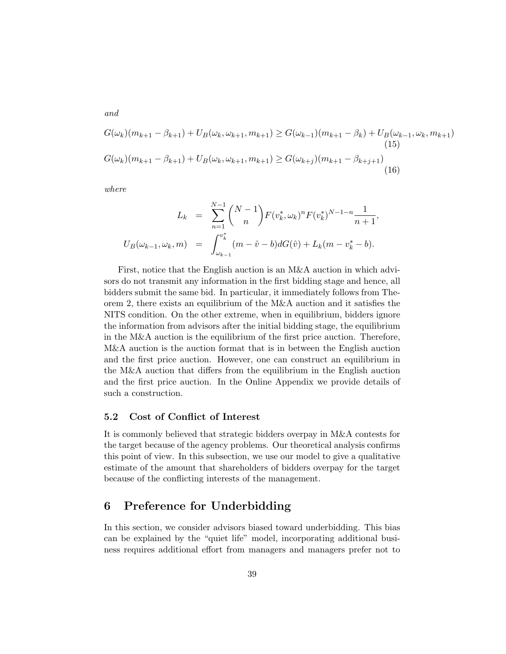$$
G(\omega_k)(m_{k+1} - \beta_{k+1}) + U_B(\omega_k, \omega_{k+1}, m_{k+1}) \ge G(\omega_{k-1})(m_{k+1} - \beta_k) + U_B(\omega_{k-1}, \omega_k, m_{k+1})
$$
\n
$$
G(\omega_k)(m_{k+1} - \beta_{k+1}) + U_B(\omega_k, \omega_{k+1}, m_{k+1}) \ge G(\omega_{k+j})(m_{k+1} - \beta_{k+j+1})
$$
\n
$$
(16)
$$

where

and

$$
L_k = \sum_{n=1}^{N-1} {N-1 \choose n} F(v_k^*, \omega_k)^n F(v_k^*)^{N-1-n} \frac{1}{n+1},
$$
  

$$
U_B(\omega_{k-1}, \omega_k, m) = \int_{\omega_{k-1}}^{v_k^*} (m - \hat{v} - b) dG(\hat{v}) + L_k(m - v_k^* - b).
$$

First, notice that the English auction is an M&A auction in which advisors do not transmit any information in the first bidding stage and hence, all bidders submit the same bid. In particular, it immediately follows from Theorem 2, there exists an equilibrium of the M&A auction and it satisfies the NITS condition. On the other extreme, when in equilibrium, bidders ignore the information from advisors after the initial bidding stage, the equilibrium in the M&A auction is the equilibrium of the first price auction. Therefore, M&A auction is the auction format that is in between the English auction and the first price auction. However, one can construct an equilibrium in the M&A auction that differs from the equilibrium in the English auction and the first price auction. In the Online Appendix we provide details of such a construction.

### 5.2 Cost of Conflict of Interest

It is commonly believed that strategic bidders overpay in M&A contests for the target because of the agency problems. Our theoretical analysis confirms this point of view. In this subsection, we use our model to give a qualitative estimate of the amount that shareholders of bidders overpay for the target because of the conflicting interests of the management.

# 6 Preference for Underbidding

In this section, we consider advisors biased toward underbidding. This bias can be explained by the "quiet life" model, incorporating additional business requires additional effort from managers and managers prefer not to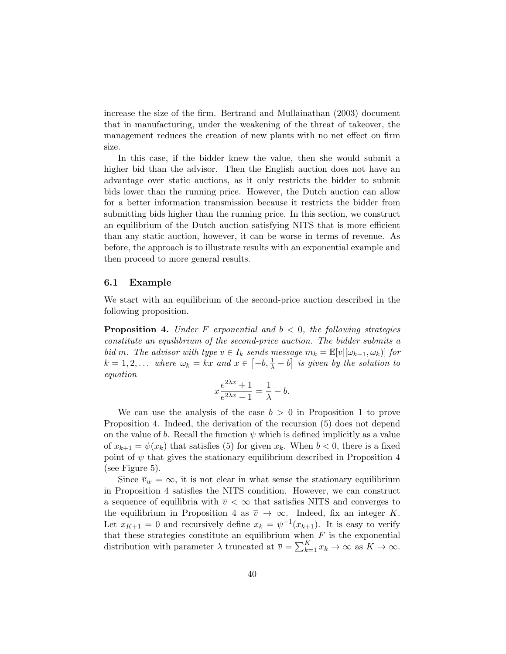increase the size of the firm. Bertrand and Mullainathan (2003) document that in manufacturing, under the weakening of the threat of takeover, the management reduces the creation of new plants with no net effect on firm size.

In this case, if the bidder knew the value, then she would submit a higher bid than the advisor. Then the English auction does not have an advantage over static auctions, as it only restricts the bidder to submit bids lower than the running price. However, the Dutch auction can allow for a better information transmission because it restricts the bidder from submitting bids higher than the running price. In this section, we construct an equilibrium of the Dutch auction satisfying NITS that is more efficient than any static auction, however, it can be worse in terms of revenue. As before, the approach is to illustrate results with an exponential example and then proceed to more general results.

#### 6.1 Example

We start with an equilibrium of the second-price auction described in the following proposition.

**Proposition 4.** Under F exponential and  $b < 0$ , the following strategies constitute an equilibrium of the second-price auction. The bidder submits a bid m. The advisor with type  $v \in I_k$  sends message  $m_k = \mathbb{E}[v | [\omega_{k-1}, \omega_k] ]$  for  $k = 1, 2, \ldots$  where  $\omega_k = kx$  and  $x \in \left[-b, \frac{1}{\lambda} - b\right]$  is given by the solution to equation

$$
x\frac{e^{2\lambda x} + 1}{e^{2\lambda x} - 1} = \frac{1}{\lambda} - b.
$$

We can use the analysis of the case  $b > 0$  in Proposition 1 to prove Proposition 4. Indeed, the derivation of the recursion (5) does not depend on the value of b. Recall the function  $\psi$  which is defined implicitly as a value of  $x_{k+1} = \psi(x_k)$  that satisfies (5) for given  $x_k$ . When  $b < 0$ , there is a fixed point of  $\psi$  that gives the stationary equilibrium described in Proposition 4 (see Figure 5).

Since  $\overline{v}_w = \infty$ , it is not clear in what sense the stationary equilibrium in Proposition 4 satisfies the NITS condition. However, we can construct a sequence of equilibria with  $\overline{v} < \infty$  that satisfies NITS and converges to the equilibrium in Proposition 4 as  $\overline{v} \to \infty$ . Indeed, fix an integer K. Let  $x_{K+1} = 0$  and recursively define  $x_k = \psi^{-1}(x_{k+1})$ . It is easy to verify that these strategies constitute an equilibrium when  $F$  is the exponential distribution with parameter  $\lambda$  truncated at  $\overline{v} = \sum_{k=1}^{K} x_k \to \infty$  as  $K \to \infty$ .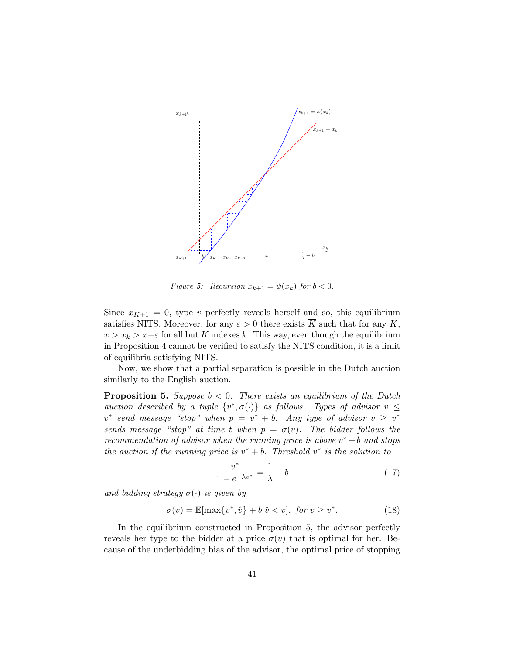

Figure 5: Recursion  $x_{k+1} = \psi(x_k)$  for  $b < 0$ .

Since  $x_{K+1} = 0$ , type  $\overline{v}$  perfectly reveals herself and so, this equilibrium satisfies NITS. Moreover, for any  $\varepsilon > 0$  there exists  $\overline{K}$  such that for any K,  $x > x_k > x-\varepsilon$  for all but  $\overline{K}$  indexes k. This way, even though the equilibrium in Proposition 4 cannot be verified to satisfy the NITS condition, it is a limit of equilibria satisfying NITS.

Now, we show that a partial separation is possible in the Dutch auction similarly to the English auction.

**Proposition 5.** Suppose  $b < 0$ . There exists an equilibrium of the Dutch auction described by a tuple  $\{v^*, \sigma(\cdot)\}\$ as follows. Types of advisor  $v \leq$  $v^*$  send message "stop" when  $p = v^* + b$ . Any type of advisor  $v \geq v^*$ sends message "stop" at time t when  $p = \sigma(v)$ . The bidder follows the recommendation of advisor when the running price is above  $v^* + b$  and stops the auction if the running price is  $v^* + b$ . Threshold  $v^*$  is the solution to

$$
\frac{v^*}{1 - e^{-\lambda v^*}} = \frac{1}{\lambda} - b \tag{17}
$$

and bidding strategy  $\sigma(\cdot)$  is given by

$$
\sigma(v) = \mathbb{E}[\max\{v^*, \hat{v}\} + b|\hat{v} < v], \text{ for } v \ge v^*.
$$
\n
$$
(18)
$$

In the equilibrium constructed in Proposition 5, the advisor perfectly reveals her type to the bidder at a price  $\sigma(v)$  that is optimal for her. Because of the underbidding bias of the advisor, the optimal price of stopping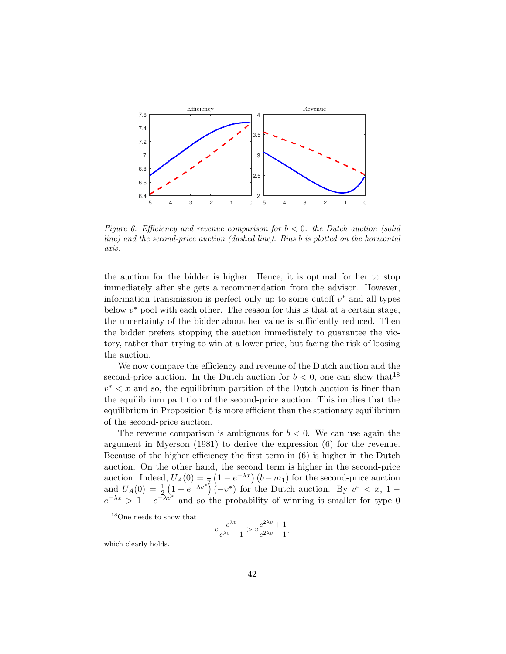

Figure 6: Efficiency and revenue comparison for  $b < 0$ : the Dutch auction (solid line) and the second-price auction (dashed line). Bias b is plotted on the horizontal axis.

the auction for the bidder is higher. Hence, it is optimal for her to stop immediately after she gets a recommendation from the advisor. However, information transmission is perfect only up to some cutoff  $v^*$  and all types below  $v^*$  pool with each other. The reason for this is that at a certain stage, the uncertainty of the bidder about her value is sufficiently reduced. Then the bidder prefers stopping the auction immediately to guarantee the victory, rather than trying to win at a lower price, but facing the risk of loosing the auction.

We now compare the efficiency and revenue of the Dutch auction and the second-price auction. In the Dutch auction for  $b < 0$ , one can show that <sup>18</sup>  $v^* < x$  and so, the equilibrium partition of the Dutch auction is finer than the equilibrium partition of the second-price auction. This implies that the equilibrium in Proposition 5 is more efficient than the stationary equilibrium of the second-price auction.

The revenue comparison is ambiguous for  $b < 0$ . We can use again the argument in Myerson (1981) to derive the expression (6) for the revenue. Because of the higher efficiency the first term in (6) is higher in the Dutch auction. On the other hand, the second term is higher in the second-price auction. Indeed,  $U_A(0) = \frac{1}{2} (1 - e^{-\lambda x}) (b - m_1)$  for the second-price auction and  $U_A(0) = \frac{1}{2} \left( 1 - e^{-\lambda v^*} \right) (-v^*)$  for the Dutch auction. By  $v^* < x$ , 1  $e^{-\lambda x} > 1 - e^{-\lambda v^*}$  and so the probability of winning is smaller for type 0

<sup>18</sup>One needs to show that

$$
v\frac{e^{\lambda v}}{e^{\lambda v}-1} > v\frac{e^{2\lambda v}+1}{e^{2\lambda v}-1},
$$

which clearly holds.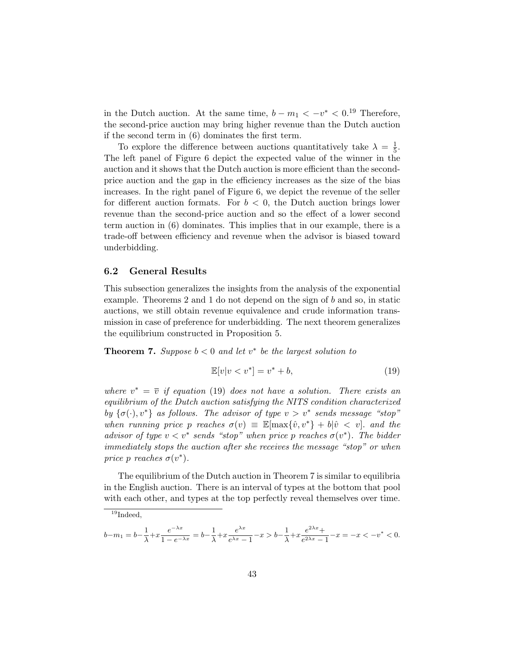in the Dutch auction. At the same time,  $b - m_1 < -v^* < 0$ <sup>19</sup> Therefore, the second-price auction may bring higher revenue than the Dutch auction if the second term in (6) dominates the first term.

To explore the difference between auctions quantitatively take  $\lambda = \frac{1}{5}$  $\frac{1}{5}$ . The left panel of Figure 6 depict the expected value of the winner in the auction and it shows that the Dutch auction is more efficient than the secondprice auction and the gap in the efficiency increases as the size of the bias increases. In the right panel of Figure 6, we depict the revenue of the seller for different auction formats. For  $b < 0$ , the Dutch auction brings lower revenue than the second-price auction and so the effect of a lower second term auction in (6) dominates. This implies that in our example, there is a trade-off between efficiency and revenue when the advisor is biased toward underbidding.

### 6.2 General Results

This subsection generalizes the insights from the analysis of the exponential example. Theorems 2 and 1 do not depend on the sign of b and so, in static auctions, we still obtain revenue equivalence and crude information transmission in case of preference for underbidding. The next theorem generalizes the equilibrium constructed in Proposition 5.

**Theorem 7.** Suppose  $b < 0$  and let  $v^*$  be the largest solution to

$$
\mathbb{E}[v|v
$$

where  $v^* = \overline{v}$  if equation (19) does not have a solution. There exists an equilibrium of the Dutch auction satisfying the NITS condition characterized by  $\{\sigma(\cdot), v^*\}$  as follows. The advisor of type  $v > v^*$  sends message "stop" when running price p reaches  $\sigma(v) \equiv \mathbb{E}[\max\{\hat{v}, v^*\} + b|\hat{v} < v]$  and the advisor of type  $v < v^*$  sends "stop" when price p reaches  $\sigma(v^*)$ . The bidder immediately stops the auction after she receives the message "stop" or when price p reaches  $\sigma(v^*)$ .

The equilibrium of the Dutch auction in Theorem 7 is similar to equilibria in the English auction. There is an interval of types at the bottom that pool with each other, and types at the top perfectly reveal themselves over time.

 $\overline{^{19}}$ Indeed,

 $b-m_1 = b-\frac{1}{\lambda}$  $\frac{1}{\lambda} + x \frac{e^{-\lambda x}}{1 - e^{-\lambda x}} = b - \frac{1}{\lambda}$  $\frac{1}{\lambda} + x \frac{e^{\lambda x}}{e^{\lambda x}}$  $\frac{e^{\lambda x}}{e^{\lambda x}-1} - x > b - \frac{1}{\lambda}$  $\frac{1}{\lambda} + x \frac{e^{2\lambda x} +}{e^{2\lambda x} -}$  $\frac{e^{-x}}{e^{2\lambda x}-1} - x = -x < -v^* < 0.$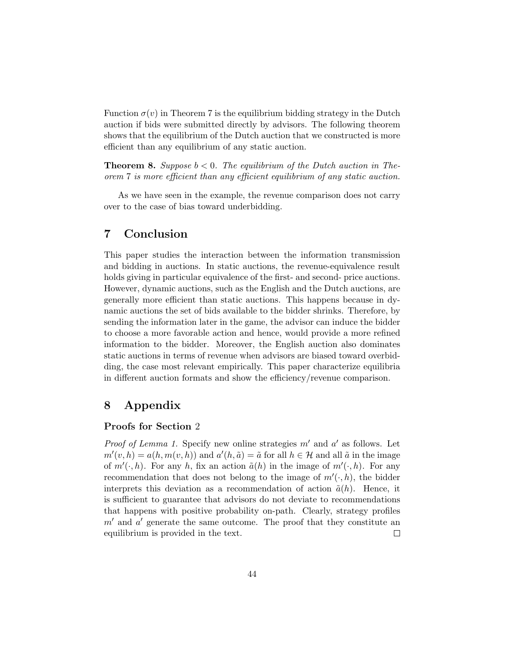Function  $\sigma(v)$  in Theorem 7 is the equilibrium bidding strategy in the Dutch auction if bids were submitted directly by advisors. The following theorem shows that the equilibrium of the Dutch auction that we constructed is more efficient than any equilibrium of any static auction.

**Theorem 8.** Suppose  $b < 0$ . The equilibrium of the Dutch auction in Theorem 7 is more efficient than any efficient equilibrium of any static auction.

As we have seen in the example, the revenue comparison does not carry over to the case of bias toward underbidding.

# 7 Conclusion

This paper studies the interaction between the information transmission and bidding in auctions. In static auctions, the revenue-equivalence result holds giving in particular equivalence of the first- and second- price auctions. However, dynamic auctions, such as the English and the Dutch auctions, are generally more efficient than static auctions. This happens because in dynamic auctions the set of bids available to the bidder shrinks. Therefore, by sending the information later in the game, the advisor can induce the bidder to choose a more favorable action and hence, would provide a more refined information to the bidder. Moreover, the English auction also dominates static auctions in terms of revenue when advisors are biased toward overbidding, the case most relevant empirically. This paper characterize equilibria in different auction formats and show the efficiency/revenue comparison.

# 8 Appendix

### Proofs for Section 2

*Proof of Lemma 1.* Specify new online strategies  $m'$  and  $a'$  as follows. Let  $m'(v, h) = a(h, m(v, h))$  and  $a'(h, \tilde{a}) = \tilde{a}$  for all  $h \in \mathcal{H}$  and all  $\tilde{a}$  in the image of  $m'(\cdot, h)$ . For any h, fix an action  $\tilde{a}(h)$  in the image of  $m'(\cdot, h)$ . For any recommendation that does not belong to the image of  $m'(\cdot, h)$ , the bidder interprets this deviation as a recommendation of action  $\tilde{a}(h)$ . Hence, it is sufficient to guarantee that advisors do not deviate to recommendations that happens with positive probability on-path. Clearly, strategy profiles  $m'$  and  $a'$  generate the same outcome. The proof that they constitute an equilibrium is provided in the text.  $\Box$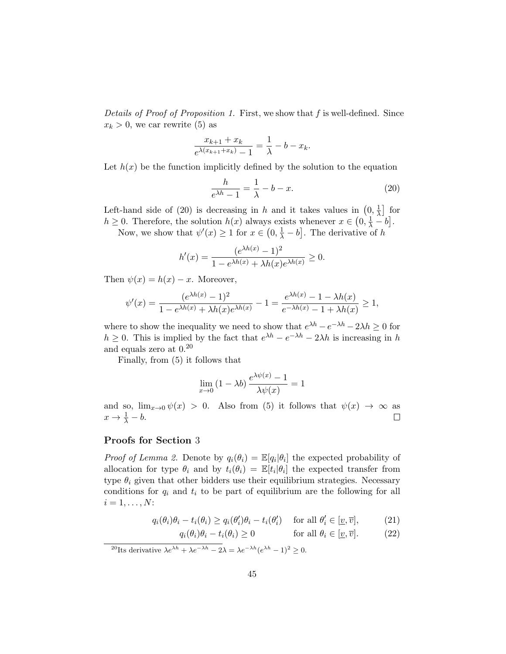Details of Proof of Proposition 1. First, we show that  $f$  is well-defined. Since  $x_k > 0$ , we car rewrite (5) as

$$
\frac{x_{k+1} + x_k}{e^{\lambda(x_{k+1} + x_k)} - 1} = \frac{1}{\lambda} - b - x_k.
$$

Let  $h(x)$  be the function implicitly defined by the solution to the equation

$$
\frac{h}{e^{\lambda h} - 1} = \frac{1}{\lambda} - b - x.
$$
 (20)

Left-hand side of (20) is decreasing in h and it takes values in  $(0, \frac{1}{\lambda})$  $\frac{1}{\lambda}$  for  $h \geq 0$ . Therefore, the solution  $h(x)$  always exists whenever  $x \in (0, \frac{1}{\lambda} - b]$ .

Now, we show that  $\psi'(x) \geq 1$  for  $x \in (0, \frac{1}{\lambda} - b]$ . The derivative of h

$$
h'(x) = \frac{(e^{\lambda h(x)} - 1)^2}{1 - e^{\lambda h(x)} + \lambda h(x)e^{\lambda h(x)}} \ge 0.
$$

Then  $\psi(x) = h(x) - x$ . Moreover,

$$
\psi'(x) = \frac{(e^{\lambda h(x)} - 1)^2}{1 - e^{\lambda h(x)} + \lambda h(x)e^{\lambda h(x)}} - 1 = \frac{e^{\lambda h(x)} - 1 - \lambda h(x)}{e^{-\lambda h(x)} - 1 + \lambda h(x)} \ge 1,
$$

where to show the inequality we need to show that  $e^{\lambda h} - e^{-\lambda h} - 2\lambda h \ge 0$  for  $h \geq 0$ . This is implied by the fact that  $e^{\lambda h} - e^{-\lambda h} - 2\lambda h$  is increasing in h and equals zero at 0.<sup>20</sup>

Finally, from (5) it follows that

$$
\lim_{x \to 0} (1 - \lambda b) \frac{e^{\lambda \psi(x)} - 1}{\lambda \psi(x)} = 1
$$

and so,  $\lim_{x\to 0} \psi(x) > 0$ . Also from (5) it follows that  $\psi(x) \to \infty$  as  $x \to \frac{1}{\lambda} - b.$  $\Box$ 

### Proofs for Section 3

*Proof of Lemma 2.* Denote by  $q_i(\theta_i) = \mathbb{E}[q_i|\theta_i]$  the expected probability of allocation for type  $\theta_i$  and by  $t_i(\theta_i) = \mathbb{E}[t_i|\theta_i]$  the expected transfer from type  $\theta_i$  given that other bidders use their equilibrium strategies. Necessary conditions for  $q_i$  and  $t_i$  to be part of equilibrium are the following for all  $i = 1, \ldots, N$ :

$$
q_i(\theta_i)\theta_i - t_i(\theta_i) \ge q_i(\theta_i')\theta_i - t_i(\theta_i') \quad \text{for all } \theta_i' \in [\underline{v}, \overline{v}], \tag{21}
$$

$$
q_i(\theta_i)\theta_i - t_i(\theta_i) \ge 0 \qquad \text{for all } \theta_i \in [\underline{v}, \overline{v}]. \tag{22}
$$

<sup>20</sup>Its derivative  $\lambda e^{\lambda h} + \lambda e^{-\lambda h} - 2\lambda = \lambda e^{-\lambda h} (e^{\lambda h} - 1)^2 \geq 0.$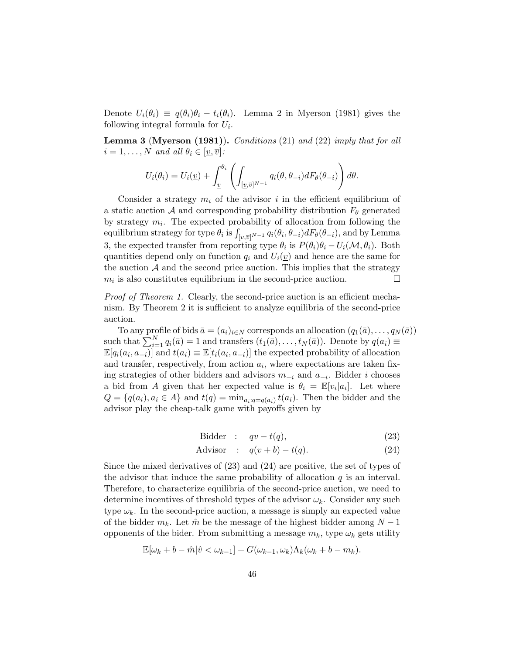Denote  $U_i(\theta_i) \equiv q(\theta_i)\theta_i - t_i(\theta_i)$ . Lemma 2 in Myerson (1981) gives the following integral formula for  $U_i$ .

Lemma 3 (Myerson (1981)). Conditions (21) and (22) imply that for all  $i = 1, \ldots, N$  and all  $\theta_i \in [\underline{v}, \overline{v}]$ :

$$
U_i(\theta_i) = U_i(\underline{v}) + \int_{\underline{v}}^{\theta_i} \left( \int_{[\underline{v},\overline{v}]^{N-1}} q_i(\theta,\theta_{-i}) dF_{\theta}(\theta_{-i}) \right) d\theta.
$$

Consider a strategy  $m_i$  of the advisor i in the efficient equilibrium of a static auction A and corresponding probability distribution  $F_{\theta}$  generated by strategy  $m_i$ . The expected probability of allocation from following the equilibrium strategy for type  $\theta_i$  is  $\int_{[\underline{v},\overline{v}]^{N-1}} q_i(\theta_i,\theta_{-i})dF_\theta(\theta_{-i}),$  and by Lemma 3, the expected transfer from reporting type  $\theta_i$  is  $P(\theta_i)\theta_i - U_i(\mathcal{M}, \theta_i)$ . Both quantities depend only on function  $q_i$  and  $U_i(\underline{v})$  and hence are the same for the auction  $\mathcal A$  and the second price auction. This implies that the strategy  $m_i$  is also constitutes equilibrium in the second-price auction.  $\Box$ 

Proof of Theorem 1. Clearly, the second-price auction is an efficient mechanism. By Theorem 2 it is sufficient to analyze equilibria of the second-price auction.

To any profile of bids  $\bar{a} = (a_i)_{i \in N}$  corresponds an allocation  $(q_1(\bar{a}), \ldots, q_N(\bar{a}))$ such that  $\sum_{i=1}^{N} q_i(\bar{a}) = 1$  and transfers  $(t_1(\bar{a}), \ldots, t_N(\bar{a}))$ . Denote by  $q(a_i) \equiv$  $\mathbb{E}[q_i(a_i, a_{-i})]$  and  $t(a_i) \equiv \mathbb{E}[t_i(a_i, a_{-i})]$  the expected probability of allocation and transfer, respectively, from action  $a_i$ , where expectations are taken fixing strategies of other bidders and advisors  $m_{-i}$  and  $a_{-i}$ . Bidder *i* chooses a bid from A given that her expected value is  $\theta_i = \mathbb{E}[v_i|a_i]$ . Let where  $Q = \{q(a_i), a_i \in A\}$  and  $t(q) = \min_{a_i: q = q(a_i)} t(a_i)$ . Then the bidder and the advisor play the cheap-talk game with payoffs given by

$$
\text{Bidder} : qv - t(q), \tag{23}
$$

$$
Advisor : q(v+b) - t(q).
$$
 (24)

Since the mixed derivatives of (23) and (24) are positive, the set of types of the advisor that induce the same probability of allocation  $q$  is an interval. Therefore, to characterize equilibria of the second-price auction, we need to determine incentives of threshold types of the advisor  $\omega_k$ . Consider any such type  $\omega_k$ . In the second-price auction, a message is simply an expected value of the bidder  $m_k$ . Let  $\hat{m}$  be the message of the highest bidder among  $N-1$ opponents of the bider. From submitting a message  $m_k$ , type  $\omega_k$  gets utility

$$
\mathbb{E}[\omega_k + b - \hat{m}|\hat{v} < \omega_{k-1}] + G(\omega_{k-1}, \omega_k)\Lambda_k(\omega_k + b - m_k).
$$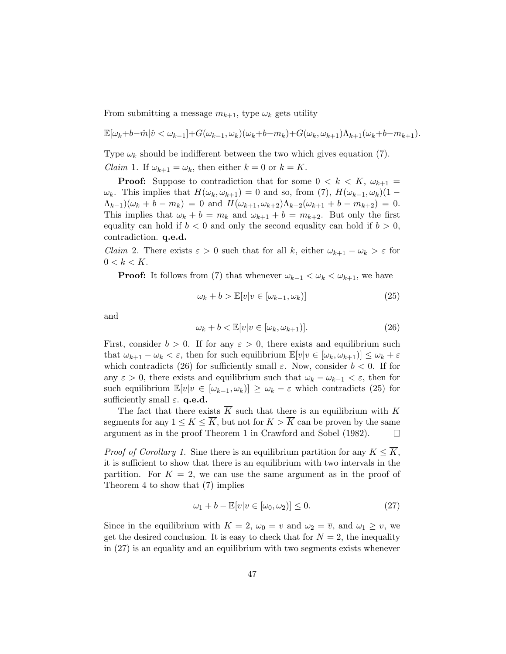From submitting a message  $m_{k+1}$ , type  $\omega_k$  gets utility

$$
\mathbb{E}[\omega_k+b-\hat{m}|\hat{v}<\omega_{k-1}]+G(\omega_{k-1},\omega_k)(\omega_k+b-m_k)+G(\omega_k,\omega_{k+1})\Lambda_{k+1}(\omega_k+b-m_{k+1}).
$$

Type  $\omega_k$  should be indifferent between the two which gives equation (7). *Claim* 1. If  $\omega_{k+1} = \omega_k$ , then either  $k = 0$  or  $k = K$ .

**Proof:** Suppose to contradiction that for some  $0 \lt k \lt K$ ,  $\omega_{k+1} =$  $\omega_k$ . This implies that  $H(\omega_k, \omega_{k+1}) = 0$  and so, from (7),  $H(\omega_{k-1}, \omega_k)(1 (\Lambda_{k-1})(\omega_k + b - m_k) = 0$  and  $H(\omega_{k+1}, \omega_{k+2})\Lambda_{k+2}(\omega_{k+1} + b - m_{k+2}) = 0$ . This implies that  $\omega_k + b = m_k$  and  $\omega_{k+1} + b = m_{k+2}$ . But only the first equality can hold if  $b < 0$  and only the second equality can hold if  $b > 0$ , contradiction. q.e.d.

*Claim* 2. There exists  $\varepsilon > 0$  such that for all k, either  $\omega_{k+1} - \omega_k > \varepsilon$  for  $0 < k < K$ .

**Proof:** It follows from (7) that whenever  $\omega_{k-1} < \omega_k < \omega_{k+1}$ , we have

$$
\omega_k + b > \mathbb{E}[v|v \in [\omega_{k-1}, \omega_k)] \tag{25}
$$

and

$$
\omega_k + b < \mathbb{E}[v|v \in [\omega_k, \omega_{k+1})].\tag{26}
$$

First, consider  $b > 0$ . If for any  $\varepsilon > 0$ , there exists and equilibrium such that  $\omega_{k+1} - \omega_k < \varepsilon$ , then for such equilibrium  $\mathbb{E}[v|v \in [\omega_k, \omega_{k+1})] \leq \omega_k + \varepsilon$ which contradicts (26) for sufficiently small  $\varepsilon$ . Now, consider  $b < 0$ . If for any  $\varepsilon > 0$ , there exists and equilibrium such that  $\omega_k - \omega_{k-1} < \varepsilon$ , then for such equilibrium  $\mathbb{E}[v|v \in [\omega_{k-1}, \omega_k)] \ge \omega_k - \varepsilon$  which contradicts (25) for sufficiently small  $\varepsilon$ . q.e.d.

The fact that there exists  $\overline{K}$  such that there is an equilibrium with K segments for any  $1 \leq K \leq \overline{K}$ , but not for  $K > \overline{K}$  can be proven by the same argument as in the proof Theorem 1 in Crawford and Sobel (1982).  $\Box$ 

*Proof of Corollary 1.* Sine there is an equilibrium partition for any  $K \leq K$ , it is sufficient to show that there is an equilibrium with two intervals in the partition. For  $K = 2$ , we can use the same argument as in the proof of Theorem 4 to show that (7) implies

$$
\omega_1 + b - \mathbb{E}[v|v \in [\omega_0, \omega_2)] \le 0. \tag{27}
$$

Since in the equilibrium with  $K = 2$ ,  $\omega_0 = \underline{v}$  and  $\omega_2 = \overline{v}$ , and  $\omega_1 \ge \underline{v}$ , we get the desired conclusion. It is easy to check that for  $N = 2$ , the inequality in (27) is an equality and an equilibrium with two segments exists whenever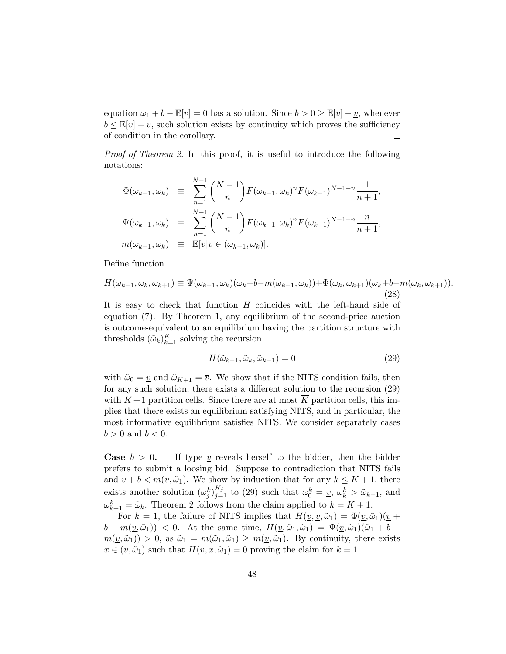equation  $\omega_1 + b - \mathbb{E}[v] = 0$  has a solution. Since  $b > 0 \ge \mathbb{E}[v] - v$ , whenever  $b \leq \mathbb{E}[v] - \underline{v}$ , such solution exists by continuity which proves the sufficiency of condition in the corollary.  $\Box$ 

*Proof of Theorem 2.* In this proof, it is useful to introduce the following notations:

$$
\Phi(\omega_{k-1}, \omega_k) \equiv \sum_{n=1}^{N-1} {N-1 \choose n} F(\omega_{k-1}, \omega_k)^n F(\omega_{k-1})^{N-1-n} \frac{1}{n+1},
$$
  

$$
\Psi(\omega_{k-1}, \omega_k) \equiv \sum_{n=1}^{N-1} {N-1 \choose n} F(\omega_{k-1}, \omega_k)^n F(\omega_{k-1})^{N-1-n} \frac{n}{n+1},
$$
  

$$
m(\omega_{k-1}, \omega_k) \equiv \mathbb{E}[v] v \in (\omega_{k-1}, \omega_k].
$$

Define function

$$
H(\omega_{k-1}, \omega_k, \omega_{k+1}) \equiv \Psi(\omega_{k-1}, \omega_k)(\omega_k + b - m(\omega_{k-1}, \omega_k)) + \Phi(\omega_k, \omega_{k+1})(\omega_k + b - m(\omega_k, \omega_{k+1})).
$$
\n(28)

It is easy to check that function H coincides with the left-hand side of equation (7). By Theorem 1, any equilibrium of the second-price auction is outcome-equivalent to an equilibrium having the partition structure with thresholds  $(\tilde{\omega}_k)_{k=1}^K$  solving the recursion

$$
H(\tilde{\omega}_{k-1}, \tilde{\omega}_k, \tilde{\omega}_{k+1}) = 0 \tag{29}
$$

with  $\tilde{\omega}_0 = v$  and  $\tilde{\omega}_{K+1} = \overline{v}$ . We show that if the NITS condition fails, then for any such solution, there exists a different solution to the recursion (29) with  $K+1$  partition cells. Since there are at most  $\overline{K}$  partition cells, this implies that there exists an equilibrium satisfying NITS, and in particular, the most informative equilibrium satisfies NITS. We consider separately cases  $b > 0$  and  $b < 0$ .

**Case**  $b > 0$ . If type v reveals herself to the bidder, then the bidder prefers to submit a loosing bid. Suppose to contradiction that NITS fails and  $\underline{v} + b < m(\underline{v}, \tilde{\omega}_1)$ . We show by induction that for any  $k \leq K + 1$ , there exists another solution  $(\omega_j^k)_{j=1}^{K_j}$  to (29) such that  $\omega_0^k = v$ ,  $\omega_k^k > \tilde{\omega}_{k-1}$ , and  $\omega_{k+1}^k = \tilde{\omega}_k$ . Theorem 2 follows from the claim applied to  $k = K + 1$ .

For  $k = 1$ , the failure of NITS implies that  $H(\underline{v}, \underline{v}, \tilde{\omega}_1) = \Phi(\underline{v}, \tilde{\omega}_1)(\underline{v} +$  $b - m(v, \tilde{\omega}_1) < 0$ . At the same time,  $H(v, \tilde{\omega}_1, \tilde{\omega}_1) = \Psi(v, \tilde{\omega}_1)(\tilde{\omega}_1 + b$  $m(\underline{v}, \tilde{\omega}_1) > 0$ , as  $\tilde{\omega}_1 = m(\tilde{\omega}_1, \tilde{\omega}_1) \geq m(\underline{v}, \tilde{\omega}_1)$ . By continuity, there exists  $x \in (\underline{v}, \tilde{\omega}_1)$  such that  $H(\underline{v}, x, \tilde{\omega}_1) = 0$  proving the claim for  $k = 1$ .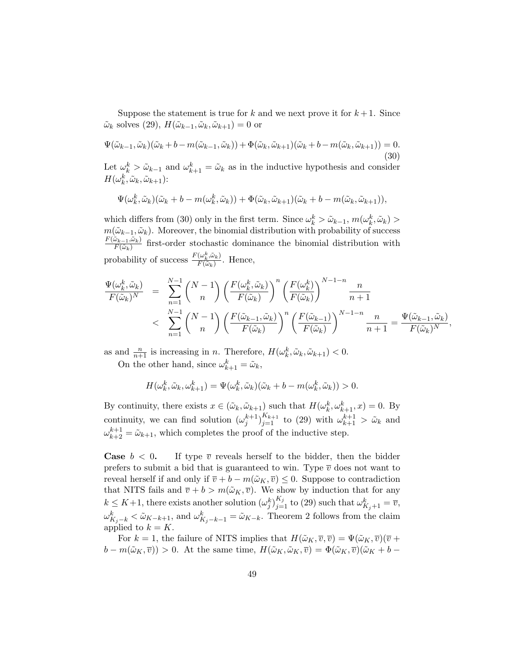Suppose the statement is true for k and we next prove it for  $k+1$ . Since  $\tilde{\omega}_k$  solves (29),  $H(\tilde{\omega}_{k-1}, \tilde{\omega}_k, \tilde{\omega}_{k+1}) = 0$  or

$$
\Psi(\tilde{\omega}_{k-1}, \tilde{\omega}_k)(\tilde{\omega}_k + b - m(\tilde{\omega}_{k-1}, \tilde{\omega}_k)) + \Phi(\tilde{\omega}_k, \tilde{\omega}_{k+1})(\tilde{\omega}_k + b - m(\tilde{\omega}_k, \tilde{\omega}_{k+1})) = 0.
$$
\n(30)

Let  $\omega_k^k > \tilde{\omega}_{k-1}$  and  $\omega_{k+1}^k = \tilde{\omega}_k$  as in the inductive hypothesis and consider  $H(\omega_k^k, \tilde{\omega}_k, \tilde{\omega}_{k+1})$ :

$$
\Psi(\omega_k^k, \tilde{\omega}_k)(\tilde{\omega}_k + b - m(\omega_k^k, \tilde{\omega}_k)) + \Phi(\tilde{\omega}_k, \tilde{\omega}_{k+1})(\tilde{\omega}_k + b - m(\tilde{\omega}_k, \tilde{\omega}_{k+1})),
$$

which differs from (30) only in the first term. Since  $\omega_k^k > \tilde{\omega}_{k-1}$ ,  $m(\omega_k^k, \tilde{\omega}_k) >$  $m(\tilde{\omega}_{k-1}, \tilde{\omega}_k)$ . Moreover, the binomial distribution with probability of success  $F(\tilde{\omega}_{k-1},\tilde{\omega}_k)$  $\frac{\partial \psi_{k-1}, \omega_k}{\partial F(\tilde{\omega}_k)}$  first-order stochastic dominance the binomial distribution with probability of success  $\frac{F(\omega_k^k, \tilde{\omega}_k)}{F(\tilde{\omega}_k)}$  $\frac{(\omega_k, \omega_k)}{F(\tilde{\omega}_k)}$ . Hence,

$$
\frac{\Psi(\omega_k^k, \tilde{\omega}_k)}{F(\tilde{\omega}_k)^N} = \sum_{n=1}^{N-1} {N-1 \choose n} \left( \frac{F(\omega_k^k, \tilde{\omega}_k)}{F(\tilde{\omega}_k)} \right)^n \left( \frac{F(\omega_k^k)}{F(\tilde{\omega}_k)} \right)^{N-1-n} \frac{n}{n+1}
$$
\n
$$
< \sum_{n=1}^{N-1} {N-1 \choose n} \left( \frac{F(\tilde{\omega}_{k-1}, \tilde{\omega}_k)}{F(\tilde{\omega}_k)} \right)^n \left( \frac{F(\tilde{\omega}_{k-1})}{F(\tilde{\omega}_k)} \right)^{N-1-n} \frac{n}{n+1} = \frac{\Psi(\tilde{\omega}_{k-1}, \tilde{\omega}_k)}{F(\tilde{\omega}_k)^N},
$$

as and  $\frac{n}{n+1}$  is increasing in n. Therefore,  $H(\omega_k^k, \tilde{\omega}_k, \tilde{\omega}_{k+1}) < 0$ .

On the other hand, since  $\omega_{k+1}^k = \tilde{\omega}_k$ ,

$$
H(\omega_k^k, \tilde{\omega}_k, \omega_{k+1}^k) = \Psi(\omega_k^k, \tilde{\omega}_k)(\tilde{\omega}_k + b - m(\omega_k^k, \tilde{\omega}_k)) > 0.
$$

By continuity, there exists  $x \in (\tilde{\omega}_k, \tilde{\omega}_{k+1})$  such that  $H(\omega_k^k, \omega_{k+1}^k, x) = 0$ . By continuity, we can find solution  $(\omega_j^{k+1})_{j=1}^{K_{k+1}}$  to (29) with  $\omega_{k+1}^{k+1} > \tilde{\omega}_k$  and  $\omega_{k+2}^{k+1} = \tilde{\omega}_{k+1}$ , which completes the proof of the inductive step.

**Case**  $b < 0$ . If type  $\overline{v}$  reveals herself to the bidder, then the bidder prefers to submit a bid that is guaranteed to win. Type  $\overline{v}$  does not want to reveal herself if and only if  $\overline{v} + b - m(\tilde{\omega}_K, \overline{v}) \leq 0$ . Suppose to contradiction that NITS fails and  $\overline{v} + b > m(\tilde{\omega}_K, \overline{v})$ . We show by induction that for any  $k \leq K+1$ , there exists another solution  $(\omega_j^k)_{j=1}^{K_j}$  to (29) such that  $\omega_{K_j+1}^k = \overline{v}$ ,  $\omega_{K_j-k}^k < \tilde{\omega}_{K-k+1}$ , and  $\omega_{K_j-k-1}^k = \tilde{\omega}_{K-k}$ . Theorem 2 follows from the claim applied to  $k = K$ .

For  $k = 1$ , the failure of NITS implies that  $H(\tilde{\omega}_K, \overline{v}, \overline{v}) = \Psi(\tilde{\omega}_K, \overline{v})(\overline{v} + \overline{v})$  $b - m(\tilde{\omega}_K, \overline{v}) > 0$ . At the same time,  $H(\tilde{\omega}_K, \tilde{\omega}_K, \overline{v}) = \Phi(\tilde{\omega}_K, \overline{v})(\tilde{\omega}_K + b -$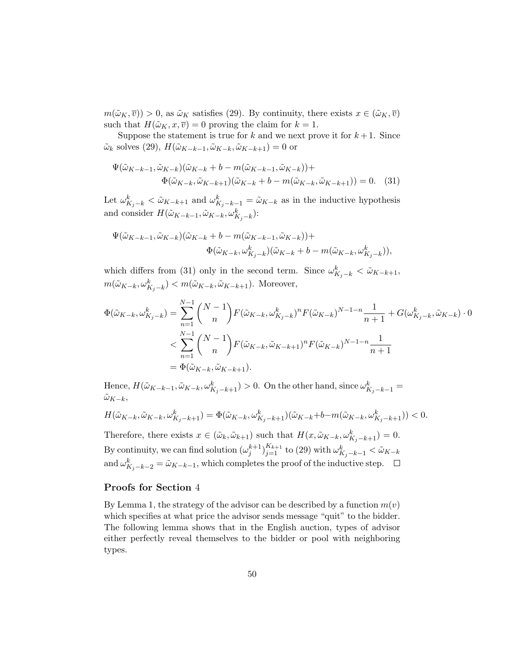$m(\tilde{\omega}_K, \overline{v}) > 0$ , as  $\tilde{\omega}_K$  satisfies (29). By continuity, there exists  $x \in (\tilde{\omega}_K, \overline{v})$ such that  $H(\tilde{\omega}_K, x, \overline{v}) = 0$  proving the claim for  $k = 1$ .

Suppose the statement is true for k and we next prove it for  $k+1$ . Since  $\tilde{\omega}_k$  solves (29),  $H(\tilde{\omega}_{K-k-1}, \tilde{\omega}_{K-k}, \tilde{\omega}_{K-k+1}) = 0$  or

$$
\Psi(\tilde{\omega}_{K-k-1}, \tilde{\omega}_{K-k})(\tilde{\omega}_{K-k} + b - m(\tilde{\omega}_{K-k-1}, \tilde{\omega}_{K-k})) +
$$
  
\n
$$
\Phi(\tilde{\omega}_{K-k}, \tilde{\omega}_{K-k+1})(\tilde{\omega}_{K-k} + b - m(\tilde{\omega}_{K-k}, \tilde{\omega}_{K-k+1})) = 0.
$$
 (31)

Let  $\omega_{K_j-k}^k < \tilde{\omega}_{K-k+1}$  and  $\omega_{K_j-k-1}^k = \tilde{\omega}_{K-k}$  as in the inductive hypothesis and consider  $H(\tilde{\omega}_{K-k-1}, \tilde{\omega}_{K-k}, \omega_{K_j-k}^k)$ :

$$
\begin{aligned} \Psi(\tilde{\omega}_{K-k-1},\tilde{\omega}_{K-k})(\tilde{\omega}_{K-k}+b-m(\tilde{\omega}_{K-k-1},\tilde{\omega}_{K-k})) +\\ \Phi(\tilde{\omega}_{K-k},\omega_{K_j-k}^k)(\tilde{\omega}_{K-k}+b-m(\tilde{\omega}_{K-k},\omega_{K_j-k}^k)), \end{aligned}
$$

which differs from (31) only in the second term. Since  $\omega_{K_j-k}^k < \tilde{\omega}_{K-k+1}$ ,  $m(\tilde{\omega}_{K-k}, \omega_{K_j-k}^k) < m(\tilde{\omega}_{K-k}, \tilde{\omega}_{K-k+1}).$  Moreover,

$$
\Phi(\tilde{\omega}_{K-k}, \omega_{K_j-k}^k) = \sum_{n=1}^{N-1} {N-1 \choose n} F(\tilde{\omega}_{K-k}, \omega_{K_j-k}^k)^n F(\tilde{\omega}_{K-k})^{N-1-n} \frac{1}{n+1} + G(\omega_{K_j-k}^k, \tilde{\omega}_{K-k}) \cdot 0
$$
  

$$
< \sum_{n=1}^{N-1} {N-1 \choose n} F(\tilde{\omega}_{K-k}, \tilde{\omega}_{K-k+1})^n F(\tilde{\omega}_{K-k})^{N-1-n} \frac{1}{n+1}
$$
  

$$
= \Phi(\tilde{\omega}_{K-k}, \tilde{\omega}_{K-k+1}).
$$

Hence,  $H(\tilde{\omega}_{K-k-1}, \tilde{\omega}_{K-k}, \omega_{K_j-k+1}^k) > 0$ . On the other hand, since  $\omega_{K_j-k-1}^k =$  $\tilde{\omega}_{K-k},$ 

$$
H(\tilde{\omega}_{K-k}, \tilde{\omega}_{K-k}, \omega_{K_j-k+1}^k) = \Phi(\tilde{\omega}_{K-k}, \omega_{K_j-k+1}^k)(\tilde{\omega}_{K-k} + b - m(\tilde{\omega}_{K-k}, \omega_{K_j-k+1}^k)) < 0.
$$

Therefore, there exists  $x \in (\tilde{\omega}_k, \tilde{\omega}_{k+1})$  such that  $H(x, \tilde{\omega}_{K-k}, \omega_{K_j-k+1}^k) = 0$ . By continuity, we can find solution  $(\omega_j^{k+1})_{j=1}^{K_{k+1}}$  to (29) with  $\omega_{K_j-k-1}^k < \tilde{\omega}_{K-k}$ and  $\omega_{K_j-k-2}^k = \tilde{\omega}_{K-k-1}$ , which completes the proof of the inductive step.

### Proofs for Section 4

By Lemma 1, the strategy of the advisor can be described by a function  $m(v)$ which specifies at what price the advisor sends message "quit" to the bidder. The following lemma shows that in the English auction, types of advisor either perfectly reveal themselves to the bidder or pool with neighboring types.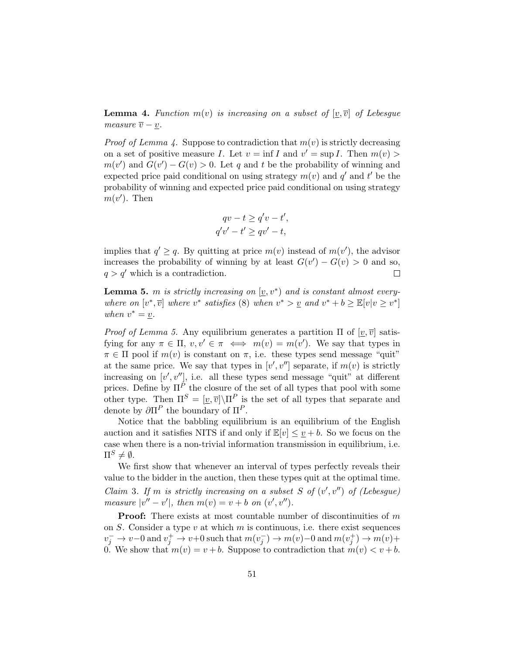**Lemma 4.** Function  $m(v)$  is increasing on a subset of  $[v, \overline{v}]$  of Lebesgue measure  $\overline{v} - \underline{v}$ .

*Proof of Lemma 4.* Suppose to contradiction that  $m(v)$  is strictly decreasing on a set of positive measure I. Let  $v = \inf I$  and  $v' = \sup I$ . Then  $m(v) >$  $m(v')$  and  $G(v') - G(v) > 0$ . Let q and t be the probability of winning and expected price paid conditional on using strategy  $m(v)$  and  $q'$  and  $t'$  be the probability of winning and expected price paid conditional on using strategy  $m(v')$ . Then

$$
qv - t \ge q'v - t',
$$
  

$$
q'v' - t' \ge qv' - t,
$$

implies that  $q' \geq q$ . By quitting at price  $m(v)$  instead of  $m(v')$ , the advisor increases the probability of winning by at least  $G(v') - G(v) > 0$  and so,  $q > q'$  which is a contradiction.  $\Box$ 

**Lemma 5.** m is strictly increasing on  $[\underline{v}, v^*)$  and is constant almost everywhere on  $[v^*, \overline{v}]$  where  $v^*$  satisfies (8) when  $v^* > v$  and  $v^* + b \geq \mathbb{E}[v|v \geq v^*]$ when  $v^* = \underline{v}$ .

*Proof of Lemma 5.* Any equilibrium generates a partition  $\Pi$  of  $[v, \overline{v}]$  satisfying for any  $\pi \in \Pi$ ,  $v, v' \in \pi \iff m(v) = m(v')$ . We say that types in  $\pi \in \Pi$  pool if  $m(v)$  is constant on  $\pi$ , i.e. these types send message "quit" at the same price. We say that types in  $[v', v'']$  separate, if  $m(v)$  is strictly increasing on  $[v', v'']$ , i.e. all these types send message "quit" at different prices. Define by  $\Pi^{\overrightarrow{P}}$  the closure of the set of all types that pool with some other type. Then  $\Pi^S = [v, \overline{v}] \setminus \Pi^P$  is the set of all types that separate and denote by  $\partial\Pi^P$  the boundary of  $\Pi^P$ .

Notice that the babbling equilibrium is an equilibrium of the English auction and it satisfies NITS if and only if  $\mathbb{E}[v] \leq v + b$ . So we focus on the case when there is a non-trivial information transmission in equilibrium, i.e.  $\Pi^S \neq \emptyset$ .

We first show that whenever an interval of types perfectly reveals their value to the bidder in the auction, then these types quit at the optimal time. Claim 3. If m is strictly increasing on a subset S of  $(v', v'')$  of (Lebesgue) measure  $|v'' - v'|$ , then  $m(v) = v + b$  on  $(v', v'')$ .

**Proof:** There exists at most countable number of discontinuities of  $m$ on  $S$ . Consider a type  $v$  at which  $m$  is continuous, i.e. there exist sequences  $v_j^- \to v-0$  and  $v_j^+ \to v+0$  such that  $m(v_j^-) \to m(v)-0$  and  $m(v_j^+) \to m(v)+$ 0. We show that  $m(v) = v + b$ . Suppose to contradiction that  $m(v) < v + b$ .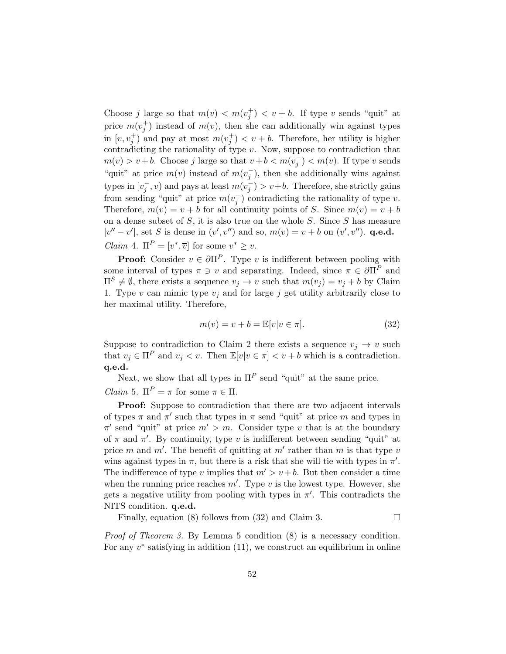Choose j large so that  $m(v) < m(v_j^+) < v + b$ . If type v sends "quit" at price  $m(v_j^+)$  instead of  $m(v)$ , then she can additionally win against types in  $[v, v_j^+]$  and pay at most  $m(v_j^+) < v + b$ . Therefore, her utility is higher contradicting the rationality of type  $v$ . Now, suppose to contradiction that  $m(v) > v + b$ . Choose j large so that  $v + b < m(v_j^-) < m(v)$ . If type v sends "quit" at price  $m(v)$  instead of  $m(v_j^-)$ , then she additionally wins against types in  $[v_j^-, v)$  and pays at least  $m(v_j^-) > v+b$ . Therefore, she strictly gains from sending "quit" at price  $m(v_j^-)$  contradicting the rationality of type v. Therefore,  $m(v) = v + b$  for all continuity points of S. Since  $m(v) = v + b$ on a dense subset of  $S$ , it is also true on the whole  $S$ . Since  $S$  has measure  $|v'' - v'|$ , set S is dense in  $(v', v'')$  and so,  $m(v) = v + b$  on  $(v', v'')$ . **q.e.d.** *Claim* 4.  $\Pi^P = [v^*, \overline{v}]$  for some  $v^* \geq v$ .

**Proof:** Consider  $v \in \partial \Pi^P$ . Type v is indifferent between pooling with some interval of types  $\pi \ni v$  and separating. Indeed, since  $\pi \in \partial \Pi^P$  and  $\Pi^S \neq \emptyset$ , there exists a sequence  $v_i \to v$  such that  $m(v_i) = v_i + b$  by Claim 1. Type v can mimic type  $v_j$  and for large j get utility arbitrarily close to her maximal utility. Therefore,

$$
m(v) = v + b = \mathbb{E}[v|v \in \pi].
$$
\n(32)

Suppose to contradiction to Claim 2 there exists a sequence  $v_i \rightarrow v$  such that  $v_i \in \Pi^P$  and  $v_i < v$ . Then  $\mathbb{E}[v|v \in \pi] < v + b$  which is a contradiction. q.e.d.

Next, we show that all types in  $\Pi^P$  send "quit" at the same price. *Claim* 5.  $\Pi^P = \pi$  for some  $\pi \in \Pi$ .

Proof: Suppose to contradiction that there are two adjacent intervals of types  $\pi$  and  $\pi'$  such that types in  $\pi$  send "quit" at price m and types in  $\pi'$  send "quit" at price  $m' > m$ . Consider type v that is at the boundary of  $\pi$  and  $\pi'$ . By continuity, type v is indifferent between sending "quit" at price m and m'. The benefit of quitting at  $m'$  rather than m is that type v wins against types in  $\pi$ , but there is a risk that she will tie with types in  $\pi'$ . The indifference of type v implies that  $m' > v + b$ . But then consider a time when the running price reaches  $m'$ . Type v is the lowest type. However, she gets a negative utility from pooling with types in  $\pi'$ . This contradicts the NITS condition. q.e.d.

Finally, equation (8) follows from (32) and Claim 3.

 $\Box$ 

Proof of Theorem 3. By Lemma 5 condition (8) is a necessary condition. For any  $v^*$  satisfying in addition  $(11)$ , we construct an equilibrium in online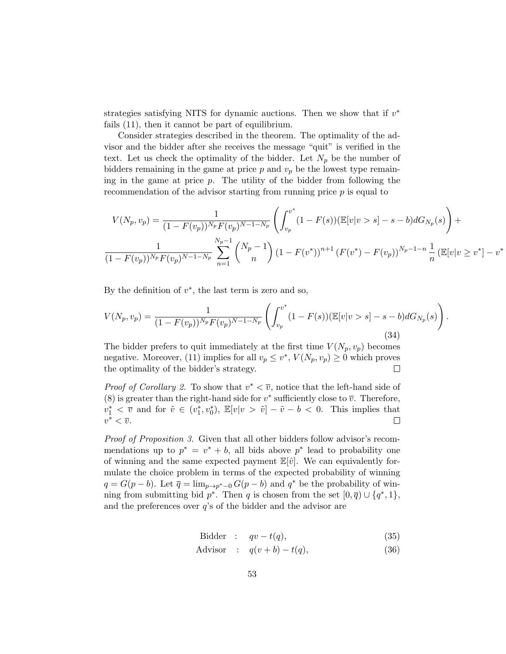strategies satisfying NITS for dynamic auctions. Then we show that if  $v^*$ fails (11), then it cannot be part of equilibrium.

Consider strategies described in the theorem. The optimality of the advisor and the bidder after she receives the message "quit" is verified in the text. Let us check the optimality of the bidder. Let  $N_p$  be the number of bidders remaining in the game at price  $p$  and  $v_p$  be the lowest type remaining in the game at price  $p$ . The utility of the bidder from following the recommendation of the advisor starting from running price p is equal to

$$
V(N_p, v_p) = \frac{1}{(1 - F(v_p))^{N_p} F(v_p)^{N - 1 - N_p}} \left( \int_{v_p}^{v^*} (1 - F(s)) (\mathbb{E}[v|v > s] - s - b) dG_{N_p}(s) \right) + \frac{1}{(1 - F(v_p))^{N_p} F(v_p)^{N - 1 - N_p}} \sum_{n=1}^{N_p - 1} {N_p - 1 \choose n} (1 - F(v^*))^{n+1} (F(v^*) - F(v_p))^{N_p - 1 - n} \frac{1}{n} (\mathbb{E}[v|v \ge v^*] - v^*)
$$

.

By the definition of  $v^*$ , the last term is zero and so,

$$
V(N_p, v_p) = \frac{1}{(1 - F(v_p))^{N_p} F(v_p)^{N-1-N_p}} \left( \int_{v_p}^{v^*} (1 - F(s)) (\mathbb{E}[v|v > s] - s - b) dG_{N_p}(s) \right)
$$
\n(34)

The bidder prefers to quit immediately at the first time  $V(N_p, v_p)$  becomes negative. Moreover, (11) implies for all  $v_p \leq v^*$ ,  $V(N_p, v_p) \geq 0$  which proves the optimality of the bidder's strategy.  $\Box$ 

*Proof of Corollary 2.* To show that  $v^* < \overline{v}$ , notice that the left-hand side of (8) is greater than the right-hand side for  $v^*$  sufficiently close to  $\overline{v}$ . Therefore,  $v_1^* < \overline{v}$  and for  $\tilde{v} \in (v_1^*, v_0^*), \mathbb{E}[v|v > \tilde{v}] - \tilde{v} - b < 0$ . This implies that  $v^* < \overline{v}$ .  $\Box$ 

Proof of Proposition 3. Given that all other bidders follow advisor's recommendations up to  $p^* = v^* + b$ , all bids above  $p^*$  lead to probability one of winning and the same expected payment  $\mathbb{E}[\hat{v}]$ . We can equivalently formulate the choice problem in terms of the expected probability of winning  $q = G(p - b)$ . Let  $\overline{q} = \lim_{p \to p^* - 0} G(p - b)$  and  $q^*$  be the probability of winning from submitting bid  $p^*$ . Then q is chosen from the set  $[0, \overline{q}) \cup \{q^*, 1\}$ , and the preferences over  $q$ 's of the bidder and the advisor are

$$
\text{Bidder} : qv - t(q), \tag{35}
$$

$$
Advisor : q(v+b) - t(q), \tag{36}
$$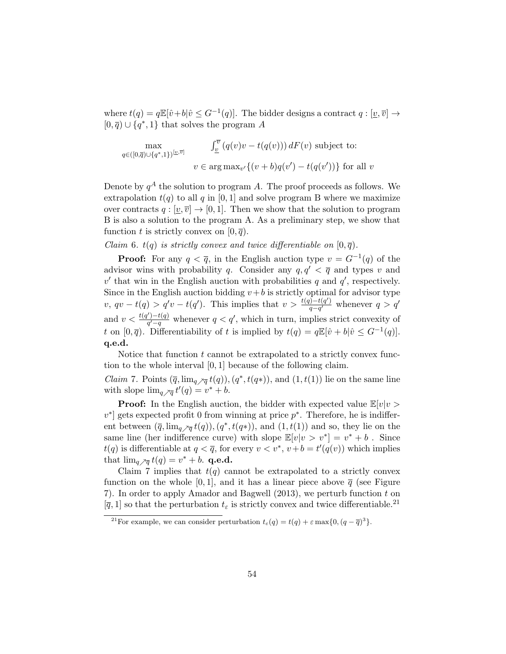where  $t(q) = q \mathbb{E}[\hat{v} + b | \hat{v} \leq G^{-1}(q)]$ . The bidder designs a contract  $q : [\underline{v}, \overline{v}] \to$  $[0, \overline{q}) \cup \{q^*, 1\}$  that solves the program A

$$
\max_{q \in ([0,\overline{q}) \cup \{q^*,1\})^{[\underline{v},\overline{v}]}} \quad \int_{\underline{v}}^{\overline{v}} (q(v)v - t(q(v))) \, dF(v) \text{ subject to:}
$$
\n
$$
v \in \arg \max_{v'} \{ (v+b)q(v') - t(q(v')) \} \text{ for all } v
$$

Denote by  $q^A$  the solution to program A. The proof proceeds as follows. We extrapolation  $t(q)$  to all q in [0, 1] and solve program B where we maximize over contracts  $q : [v, \overline{v}] \to [0, 1]$ . Then we show that the solution to program B is also a solution to the program A. As a preliminary step, we show that function t is strictly convex on  $[0, \overline{q})$ .

Claim 6.  $t(q)$  is strictly convex and twice differentiable on  $[0, \overline{q})$ .

**Proof:** For any  $q < \overline{q}$ , in the English auction type  $v = G^{-1}(q)$  of the advisor wins with probability q. Consider any  $q, q' < \overline{q}$  and types v and  $v'$  that win in the English auction with probabilities q and  $q'$ , respectively. Since in the English auction bidding  $v+b$  is strictly optimal for advisor type v, qv – t(q) > q'v – t(q'). This implies that  $v > \frac{t(q)-t(q')}{q-q'}$  $\frac{q(-q')}{q-q'}$  whenever  $q > q'$ and  $v < \frac{t(q') - t(q)}{q' - q}$  $\frac{q'-t(q)}{q'-q}$  whenever  $q < q'$ , which in turn, implies strict convexity of t on  $[0, \overline{q})$ . Differentiability of t is implied by  $t(q) = q \mathbb{E}[\hat{v} + b | \hat{v} \leq G^{-1}(q)]$ . q.e.d.

Notice that function  $t$  cannot be extrapolated to a strictly convex function to the whole interval [0, 1] because of the following claim.

*Claim* 7. Points  $(\overline{q}, \lim_{q \nearrow \overline{q}} t(q)), (q^*, t(q^*)),$  and  $(1, t(1))$  lie on the same line with slope  $\lim_{q \nearrow \overline{q}} t'(q) = v^* + b$ .

**Proof:** In the English auction, the bidder with expected value  $\mathbb{E}[v|v\rangle$  $v^*$  gets expected profit 0 from winning at price  $p^*$ . Therefore, he is indifferent between  $(\overline{q}, \lim_{q \nearrow \overline{q}} t(q)), (q^*, t(q^*)),$  and  $(1, t(1))$  and so, they lie on the same line (her indifference curve) with slope  $\mathbb{E}[v|v > v^*] = v^* + b$ . Since  $t(q)$  is differentiable at  $q < \overline{q}$ , for every  $v < v^*$ ,  $v + b = t'(q(v))$  which implies that  $\lim_{q \nearrow \overline{q}} t(q) = v^* + b$ . q.e.d.

Claim 7 implies that  $t(q)$  cannot be extrapolated to a strictly convex function on the whole [0, 1], and it has a linear piece above  $\bar{q}$  (see Figure 7). In order to apply Amador and Bagwell (2013), we perturb function t on  $[\bar{q}, 1]$  so that the perturbation  $t_{\varepsilon}$  is strictly convex and twice differentiable.<sup>21</sup>

<sup>&</sup>lt;sup>21</sup>For example, we can consider perturbation  $t_{\varepsilon}(q) = t(q) + \varepsilon \max\{0, (q - \overline{q})^3\}.$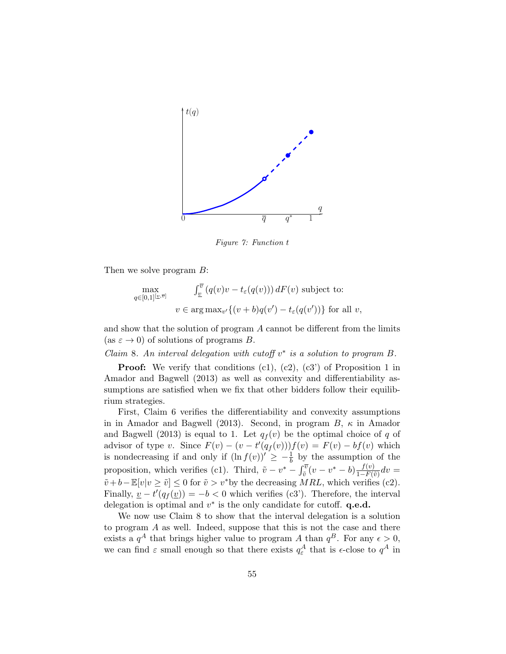

Figure 7: Function t

Then we solve program B:

$$
\max_{q \in [0,1]^{[\underline{v},\overline{v}]}} \quad \int_{\underline{v}}^{\overline{v}} \left( q(v)v - t_{\varepsilon}(q(v)) \right) dF(v) \text{ subject to:}
$$
\n
$$
v \in \arg \max_{v'} \{ (v+b)q(v') - t_{\varepsilon}(q(v')) \} \text{ for all } v,
$$

and show that the solution of program A cannot be different from the limits (as  $\varepsilon \to 0$ ) of solutions of programs B.

Claim 8. An interval delegation with cutoff  $v^*$  is a solution to program B.

**Proof:** We verify that conditions  $(c1)$ ,  $(c2)$ ,  $(c3')$  of Proposition 1 in Amador and Bagwell (2013) as well as convexity and differentiability assumptions are satisfied when we fix that other bidders follow their equilibrium strategies.

First, Claim 6 verifies the differentiability and convexity assumptions in in Amador and Bagwell (2013). Second, in program  $B$ ,  $\kappa$  in Amador and Bagwell (2013) is equal to 1. Let  $q_f(v)$  be the optimal choice of q of advisor of type v. Since  $F(v) - (v - t'(q_f(v)))f(v) = F(v) - bf(v)$  which is nondecreasing if and only if  $(\ln f(v))' \geq -\frac{1}{b}$  by the assumption of the proposition, which verifies (c1). Third,  $\tilde{v} - v^* - \int_{\tilde{v}}^{\overline{v}} (v - v^* - b) \frac{f(v)}{1 - F(v)}$  $\frac{J(v)}{1-F(\tilde{v})}dv=$  $\tilde{v} + b - \mathbb{E}[v|v \geq \tilde{v}] \leq 0$  for  $\tilde{v} > v^*$  by the decreasing  $MRL$ , which verifies (c2). Finally,  $\underline{v} - t'(q_f(\underline{v})) = -b < 0$  which verifies (c3'). Therefore, the interval delegation is optimal and  $v^*$  is the only candidate for cutoff.  $\mathbf{q.e.d.}$ 

We now use Claim 8 to show that the interval delegation is a solution to program A as well. Indeed, suppose that this is not the case and there exists a  $q^A$  that brings higher value to program A than  $q^B$ . For any  $\epsilon > 0$ , we can find  $\varepsilon$  small enough so that there exists  $q_{\varepsilon}^A$  that is  $\epsilon$ -close to  $q^A$  in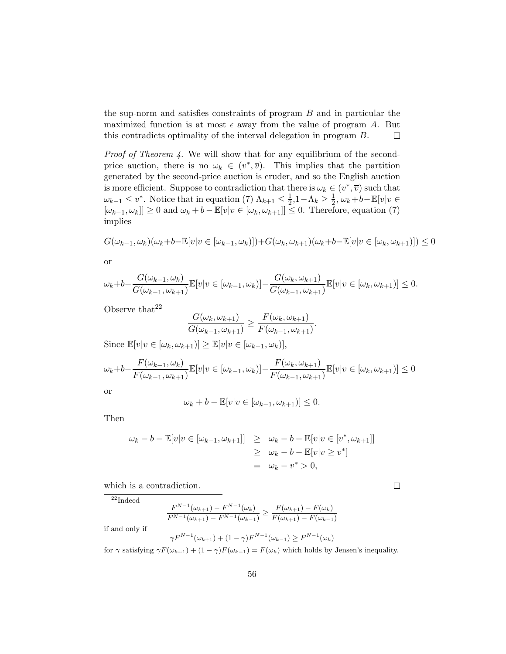the sup-norm and satisfies constraints of program B and in particular the maximized function is at most  $\epsilon$  away from the value of program A. But this contradicts optimality of the interval delegation in program B.  $\Box$ 

Proof of Theorem 4. We will show that for any equilibrium of the secondprice auction, there is no  $\omega_k \in (v^*, \overline{v})$ . This implies that the partition generated by the second-price auction is cruder, and so the English auction is more efficient. Suppose to contradiction that there is  $\omega_k \in (v^*, \overline{v})$  such that  $\omega_{k-1} \leq v^*$ . Notice that in equation (7)  $\Lambda_{k+1} \leq \frac{1}{2}$  $\frac{1}{2}, 1 - \Lambda_k \geq \frac{1}{2}$  $\frac{1}{2}$ ,  $\omega_k + b - \mathbb{E}[v]v \in$  $[\omega_{k-1}, \omega_k] \geq 0$  and  $\omega_k + b - \mathbb{E}[v]v \in [\omega_k, \omega_{k+1}] \leq 0$ . Therefore, equation (7) implies

$$
G(\omega_{k-1}, \omega_k)(\omega_k + b - \mathbb{E}[v|v \in [\omega_{k-1}, \omega_k)]) + G(\omega_k, \omega_{k+1})(\omega_k + b - \mathbb{E}[v|v \in [\omega_k, \omega_{k+1})]) \le 0
$$

or

$$
\omega_k + b - \frac{G(\omega_{k-1}, \omega_k)}{G(\omega_{k-1}, \omega_{k+1})} \mathbb{E}[v|v \in [\omega_{k-1}, \omega_k)] - \frac{G(\omega_k, \omega_{k+1})}{G(\omega_{k-1}, \omega_{k+1})} \mathbb{E}[v|v \in [\omega_k, \omega_{k+1})] \leq 0.
$$

Observe that  $22$ 

$$
\frac{G(\omega_k, \omega_{k+1})}{G(\omega_{k-1}, \omega_{k+1})} \ge \frac{F(\omega_k, \omega_{k+1})}{F(\omega_{k-1}, \omega_{k+1})}.
$$

Since  $\mathbb{E}[v|v \in [\omega_k, \omega_{k+1})] \geq \mathbb{E}[v|v \in [\omega_{k-1}, \omega_k)],$ 

$$
\omega_k + b - \frac{F(\omega_{k-1}, \omega_k)}{F(\omega_{k-1}, \omega_{k+1})} \mathbb{E}[v|v \in [\omega_{k-1}, \omega_k)] - \frac{F(\omega_k, \omega_{k+1})}{F(\omega_{k-1}, \omega_{k+1})} \mathbb{E}[v|v \in [\omega_k, \omega_{k+1})] \le 0
$$
or

$$
\omega_k + b - \mathbb{E}[v|v \in [\omega_{k-1}, \omega_{k+1})] \leq 0.
$$

Then

$$
\omega_k - b - \mathbb{E}[v|v \in [\omega_{k-1}, \omega_{k+1}]] \geq \omega_k - b - \mathbb{E}[v|v \in [v^*, \omega_{k+1}]]
$$
  

$$
\geq \omega_k - b - \mathbb{E}[v|v \geq v^*]
$$
  

$$
= \omega_k - v^* > 0,
$$

which is a contradiction.

 $\overline{^{22}}$ Indeed

$$
\frac{F^{N-1}(\omega_{k+1}) - F^{N-1}(\omega_k)}{F^{N-1}(\omega_{k+1}) - F^{N-1}(\omega_{k-1})} \ge \frac{F(\omega_{k+1}) - F(\omega_k)}{F(\omega_{k+1}) - F(\omega_{k-1})}
$$

if and only if

$$
\gamma F^{N-1}(\omega_{k+1}) + (1 - \gamma) F^{N-1}(\omega_{k-1}) \ge F^{N-1}(\omega_k)
$$

for  $\gamma$  satisfying  $\gamma F(\omega_{k+1}) + (1 - \gamma)F(\omega_{k-1}) = F(\omega_k)$  which holds by Jensen's inequality.

 $\Box$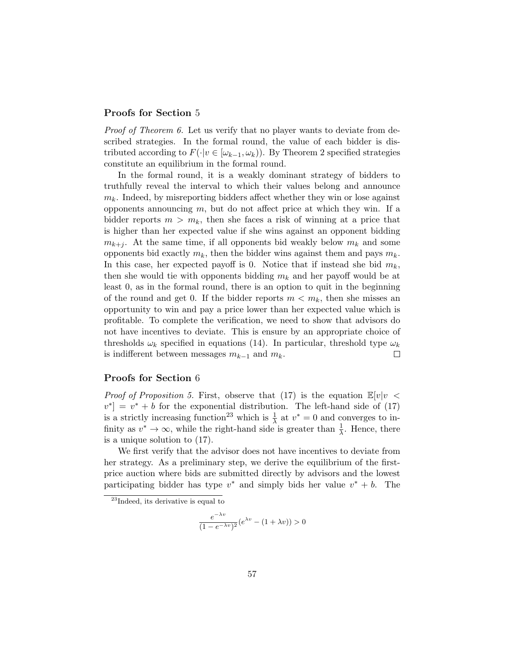### Proofs for Section 5

Proof of Theorem 6. Let us verify that no player wants to deviate from described strategies. In the formal round, the value of each bidder is distributed according to  $F(\cdot|v \in [\omega_{k-1}, \omega_k))$ . By Theorem 2 specified strategies constitute an equilibrium in the formal round.

In the formal round, it is a weakly dominant strategy of bidders to truthfully reveal the interval to which their values belong and announce  $m_k$ . Indeed, by misreporting bidders affect whether they win or lose against opponents announcing  $m$ , but do not affect price at which they win. If a bidder reports  $m > m_k$ , then she faces a risk of winning at a price that is higher than her expected value if she wins against an opponent bidding  $m_{k+j}$ . At the same time, if all opponents bid weakly below  $m_k$  and some opponents bid exactly  $m_k$ , then the bidder wins against them and pays  $m_k$ . In this case, her expected payoff is 0. Notice that if instead she bid  $m_k$ , then she would tie with opponents bidding  $m_k$  and her payoff would be at least 0, as in the formal round, there is an option to quit in the beginning of the round and get 0. If the bidder reports  $m < m_k$ , then she misses an opportunity to win and pay a price lower than her expected value which is profitable. To complete the verification, we need to show that advisors do not have incentives to deviate. This is ensure by an appropriate choice of thresholds  $\omega_k$  specified in equations (14). In particular, threshold type  $\omega_k$ is indifferent between messages  $m_{k-1}$  and  $m_k$ .  $\Box$ 

### Proofs for Section 6

*Proof of Proposition 5.* First, observe that (17) is the equation  $\mathbb{E}[v]v <$  $v^*$  =  $v^*$  + b for the exponential distribution. The left-hand side of (17) is a strictly increasing function<sup>23</sup> which is  $\frac{1}{\lambda}$  at  $v^* = 0$  and converges to infinity as  $v^* \to \infty$ , while the right-hand side is greater than  $\frac{1}{\lambda}$ . Hence, there is a unique solution to (17).

We first verify that the advisor does not have incentives to deviate from her strategy. As a preliminary step, we derive the equilibrium of the firstprice auction where bids are submitted directly by advisors and the lowest participating bidder has type  $v^*$  and simply bids her value  $v^* + b$ . The

$$
\frac{e^{-\lambda v}}{(1 - e^{-\lambda v})^2} (e^{\lambda v} - (1 + \lambda v)) > 0
$$

 $^{23}$ Indeed, its derivative is equal to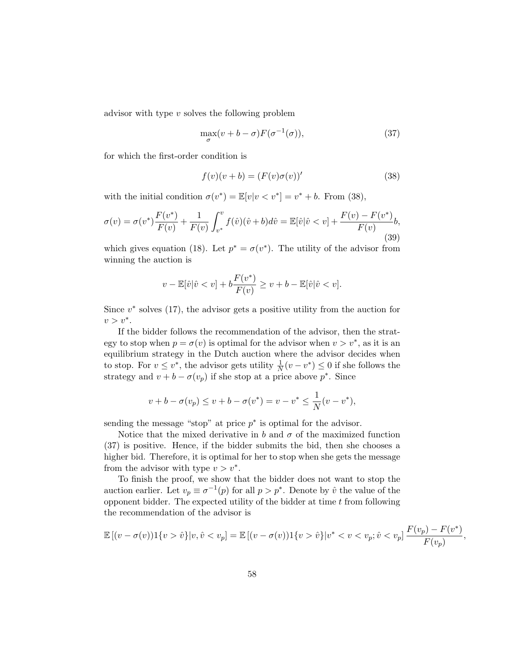advisor with type v solves the following problem

$$
\max_{\sigma}(v+b-\sigma)F(\sigma^{-1}(\sigma)),\tag{37}
$$

for which the first-order condition is

$$
f(v)(v+b) = (F(v)\sigma(v))'
$$
\n(38)

with the initial condition  $\sigma(v^*) = \mathbb{E}[v|v < v^*] = v^* + b$ . From (38),

$$
\sigma(v) = \sigma(v^*) \frac{F(v^*)}{F(v)} + \frac{1}{F(v)} \int_{v^*}^v f(\hat{v}) (\hat{v} + b) d\hat{v} = \mathbb{E}[\hat{v} | \hat{v} < v] + \frac{F(v) - F(v^*)}{F(v)} b,
$$
\n<sup>(39)</sup>

which gives equation (18). Let  $p^* = \sigma(v^*)$ . The utility of the advisor from winning the auction is

$$
v - \mathbb{E}[\hat{v}|\hat{v} < v] + b\frac{F(v^*)}{F(v)} \ge v + b - \mathbb{E}[\hat{v}|\hat{v} < v].
$$

Since  $v^*$  solves (17), the advisor gets a positive utility from the auction for  $v > v^*$ .

If the bidder follows the recommendation of the advisor, then the strategy to stop when  $p = \sigma(v)$  is optimal for the advisor when  $v > v^*$ , as it is an equilibrium strategy in the Dutch auction where the advisor decides when to stop. For  $v \leq v^*$ , the advisor gets utility  $\frac{1}{N}(v - v^*) \leq 0$  if she follows the strategy and  $v + b - \sigma(v_p)$  if she stop at a price above  $p^*$ . Since

$$
v + b - \sigma(v_p) \le v + b - \sigma(v^*) = v - v^* \le \frac{1}{N}(v - v^*),
$$

sending the message "stop" at price  $p^*$  is optimal for the advisor.

Notice that the mixed derivative in b and  $\sigma$  of the maximized function (37) is positive. Hence, if the bidder submits the bid, then she chooses a higher bid. Therefore, it is optimal for her to stop when she gets the message from the advisor with type  $v > v^*$ .

To finish the proof, we show that the bidder does not want to stop the auction earlier. Let  $v_p \equiv \sigma^{-1}(p)$  for all  $p > p^*$ . Denote by  $\hat{v}$  the value of the opponent bidder. The expected utility of the bidder at time  $t$  from following the recommendation of the advisor is

$$
\mathbb{E}[(v-\sigma(v))1\{v > \hat{v}\}|v, \hat{v} < v_p] = \mathbb{E}[(v-\sigma(v))1\{v > \hat{v}\}|v^* < v < v_p; \hat{v} < v_p] \frac{F(v_p) - F(v^*)}{F(v_p)},
$$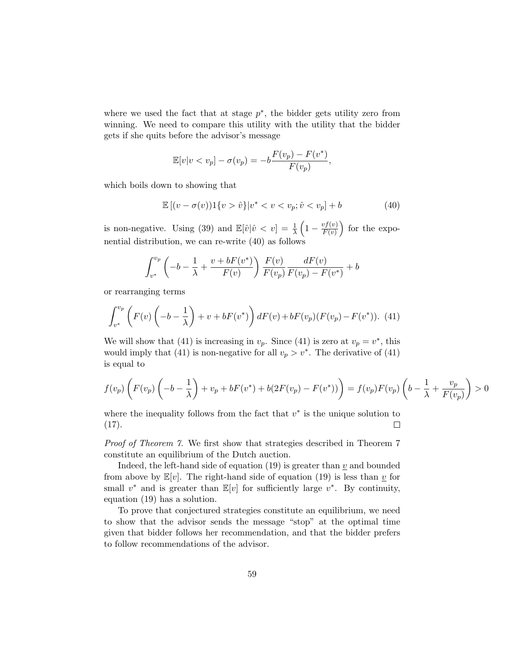where we used the fact that at stage  $p^*$ , the bidder gets utility zero from winning. We need to compare this utility with the utility that the bidder gets if she quits before the advisor's message

$$
\mathbb{E}[v|v
$$

which boils down to showing that

$$
\mathbb{E}[(v - \sigma(v))1\{v > \hat{v}\}|v^* < v < v_p; \hat{v} < v_p] + b \tag{40}
$$

is non-negative. Using (39) and  $\mathbb{E}[\hat{v}|\hat{v} < v] = \frac{1}{\lambda} \left(1 - \frac{v f(v)}{F(v)}\right)$  $\frac{v f(v)}{F(v)}$  for the exponential distribution, we can re-write (40) as follows

$$
\int_{v^*}^{v_p} \left( -b - \frac{1}{\lambda} + \frac{v + bF(v^*)}{F(v)} \right) \frac{F(v)}{F(v_p)} \frac{dF(v)}{F(v_p) - F(v^*)} + b
$$

or rearranging terms

$$
\int_{v^*}^{v_p} \left( F(v) \left( -b - \frac{1}{\lambda} \right) + v + bF(v^*) \right) dF(v) + bF(v_p)(F(v_p) - F(v^*)). \tag{41}
$$

We will show that (41) is increasing in  $v_p$ . Since (41) is zero at  $v_p = v^*$ , this would imply that (41) is non-negative for all  $v_p > v^*$ . The derivative of (41) is equal to

$$
f(v_p)\left(F(v_p)\left(-b-\frac{1}{\lambda}\right)+v_p+bF(v^*)+b(2F(v_p)-F(v^*))\right)=f(v_p)F(v_p)\left(b-\frac{1}{\lambda}+\frac{v_p}{F(v_p)}\right)>0
$$

where the inequality follows from the fact that  $v^*$  is the unique solution to  $(17).$  $\Box$ 

Proof of Theorem 7. We first show that strategies described in Theorem 7 constitute an equilibrium of the Dutch auction.

Indeed, the left-hand side of equation (19) is greater than  $\underline{v}$  and bounded from above by  $\mathbb{E}[v]$ . The right-hand side of equation (19) is less than  $\underline{v}$  for small  $v^*$  and is greater than  $\mathbb{E}[v]$  for sufficiently large  $v^*$ . By continuity, equation (19) has a solution.

To prove that conjectured strategies constitute an equilibrium, we need to show that the advisor sends the message "stop" at the optimal time given that bidder follows her recommendation, and that the bidder prefers to follow recommendations of the advisor.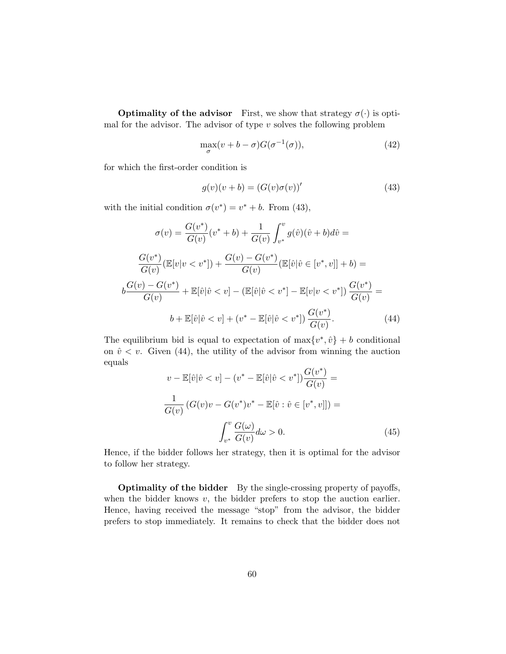**Optimality of the advisor** First, we show that strategy  $\sigma(\cdot)$  is optimal for the advisor. The advisor of type  $v$  solves the following problem

$$
\max_{\sigma}(v+b-\sigma)G(\sigma^{-1}(\sigma)),\tag{42}
$$

for which the first-order condition is

$$
g(v)(v+b) = (G(v)\sigma(v))'
$$
\n(43)

with the initial condition  $\sigma(v^*) = v^* + b$ . From (43),

$$
\sigma(v) = \frac{G(v^*)}{G(v)}(v^* + b) + \frac{1}{G(v)} \int_{v^*}^v g(\hat{v})(\hat{v} + b) d\hat{v} =
$$

$$
\frac{G(v^*)}{G(v)}(\mathbb{E}[v|v < v^*]) + \frac{G(v) - G(v^*)}{G(v)}(\mathbb{E}[\hat{v}|\hat{v} \in [v^*, v]] + b) =
$$

$$
b\frac{G(v) - G(v^*)}{G(v)} + \mathbb{E}[\hat{v}|\hat{v} < v] - (\mathbb{E}[\hat{v}|\hat{v} < v^*] - \mathbb{E}[v|v < v^*])\frac{G(v^*)}{G(v)} =
$$

$$
b + \mathbb{E}[\hat{v}|\hat{v} < v] + (v^* - \mathbb{E}[\hat{v}|\hat{v} < v^*])\frac{G(v^*)}{G(v)}.
$$
(44)

The equilibrium bid is equal to expectation of  $\max\{v^*, \hat{v}\}$  + b conditional on  $\hat{v} < v$ . Given (44), the utility of the advisor from winning the auction equals ∗

$$
v - \mathbb{E}[\hat{v}|\hat{v} < v] - (v^* - \mathbb{E}[\hat{v}|\hat{v} < v^*])\frac{G(v^*)}{G(v)} =
$$
\n
$$
\frac{1}{G(v)}\left(G(v)v - G(v^*)v^* - \mathbb{E}[\hat{v} : \hat{v} \in [v^*, v]]\right) =
$$
\n
$$
\int_{v^*}^v \frac{G(\omega)}{G(v)} d\omega > 0. \tag{45}
$$

Hence, if the bidder follows her strategy, then it is optimal for the advisor to follow her strategy.

**Optimality of the bidder** By the single-crossing property of payoffs, when the bidder knows  $v$ , the bidder prefers to stop the auction earlier. Hence, having received the message "stop" from the advisor, the bidder prefers to stop immediately. It remains to check that the bidder does not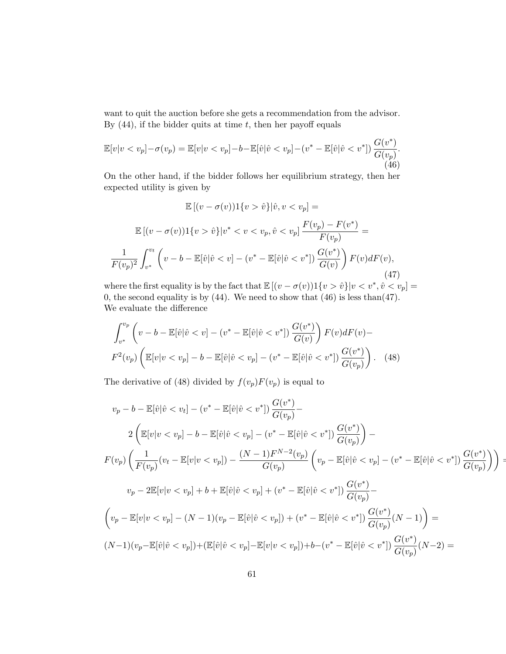want to quit the auction before she gets a recommendation from the advisor. By  $(44)$ , if the bidder quits at time t, then her payoff equals

$$
\mathbb{E}[v|v\n(46)
$$

On the other hand, if the bidder follows her equilibrium strategy, then her expected utility is given by

$$
\mathbb{E}[(v - \sigma(v))1\{v > \hat{v}\}|\hat{v}, v < v_p] =
$$
  

$$
\mathbb{E}[(v - \sigma(v))1\{v > \hat{v}\}|v^* < v < v_p, \hat{v} < v_p] \frac{F(v_p) - F(v^*)}{F(v_p)} =
$$
  

$$
\frac{1}{F(v_p)^2} \int_{v^*}^{v_t} \left(v - b - \mathbb{E}[\hat{v}|\hat{v} < v] - (v^* - \mathbb{E}[\hat{v}|\hat{v} < v^*]) \frac{G(v^*)}{G(v)}\right) F(v) dF(v),
$$
(47)

where the first equality is by the fact that  $\mathbb{E}[(v - \sigma(v))1\{v > \hat{v}\}|v < v^*, \hat{v} < v_p] =$ 0, the second equality is by (44). We need to show that  $(46)$  is less than(47). We evaluate the difference

$$
\int_{v^*}^{v_p} \left( v - b - \mathbb{E}[\hat{v}|\hat{v} < v] - (v^* - \mathbb{E}[\hat{v}|\hat{v} < v^*]) \frac{G(v^*)}{G(v)} \right) F(v) dF(v) -
$$
\n
$$
F^2(v_p) \left( \mathbb{E}[v|v < v_p] - b - \mathbb{E}[\hat{v}|\hat{v} < v_p] - (v^* - \mathbb{E}[\hat{v}|\hat{v} < v^*]) \frac{G(v^*)}{G(v_p)} \right). \tag{48}
$$

The derivative of (48) divided by  $f(v_p)F(v_p)$  is equal to

$$
v_p - b - \mathbb{E}[\hat{v}|\hat{v} < v_t] - (v^* - \mathbb{E}[\hat{v}|\hat{v} < v^*]) \frac{G(v^*)}{G(v_p)} -
$$
\n
$$
2\left(\mathbb{E}[v|v < v_p] - b - \mathbb{E}[\hat{v}|\hat{v} < v_p] - (v^* - \mathbb{E}[\hat{v}|\hat{v} < v^*]) \frac{G(v^*)}{G(v_p)}\right) -
$$
\n
$$
F(v_p)\left(\frac{1}{F(v_p)}(v_t - \mathbb{E}[v|v < v_p]) - \frac{(N-1)F^{N-2}(v_p)}{G(v_p)}\left(v_p - \mathbb{E}[\hat{v}|\hat{v} < v_p] - (v^* - \mathbb{E}[\hat{v}|\hat{v} < v^*]) \frac{G(v^*)}{G(v_p)}\right)\right) =
$$
\n
$$
v_p - 2\mathbb{E}[v|v < v_p] + b + \mathbb{E}[\hat{v}|\hat{v} < v_p] + (v^* - \mathbb{E}[\hat{v}|\hat{v} < v^*]) \frac{G(v^*)}{G(v_p)} -
$$
\n
$$
\left(v_p - \mathbb{E}[v|v < v_p] - (N-1)(v_p - \mathbb{E}[\hat{v}|\hat{v} < v_p]) + (v^* - \mathbb{E}[\hat{v}|\hat{v} < v^*]) \frac{G(v^*)}{G(v_p)}(N-1)\right) =
$$
\n
$$
(N-1)(v_p - \mathbb{E}[\hat{v}|\hat{v} < v_p]) + (\mathbb{E}[\hat{v}|\hat{v} < v_p] - \mathbb{E}[v|v < v_p]) + b - (v^* - \mathbb{E}[\hat{v}|\hat{v} < v^*]) \frac{G(v^*)}{G(v_p)}(N-2) =
$$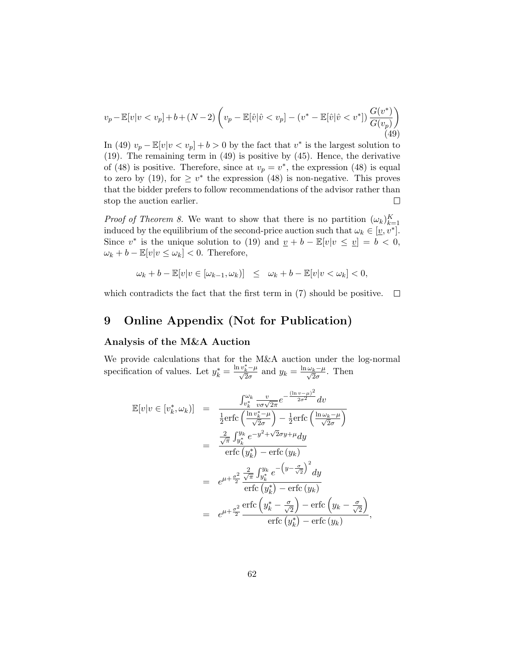$$
v_p - \mathbb{E}[v|v < v_p] + b + (N - 2) \left( v_p - \mathbb{E}[\hat{v}|\hat{v} < v_p] - (v^* - \mathbb{E}[\hat{v}|\hat{v} < v^*]) \frac{G(v^*)}{G(v_p)} \right)
$$
\n(49)

In (49)  $v_p - \mathbb{E}[v|v v_p] + b > 0$  by the fact that  $v^*$  is the largest solution to (19). The remaining term in (49) is positive by (45). Hence, the derivative of (48) is positive. Therefore, since at  $v_p = v^*$ , the expression (48) is equal to zero by (19), for  $\geq v^*$  the expression (48) is non-negative. This proves that the bidder prefers to follow recommendations of the advisor rather than stop the auction earlier.  $\Box$ 

*Proof of Theorem 8.* We want to show that there is no partition  $(\omega_k)_{k=1}^K$ induced by the equilibrium of the second-price auction such that  $\omega_k \in [\underline{v}, v^*]$ . Since v<sup>\*</sup> is the unique solution to (19) and  $\underline{v} + b - \mathbb{E}[v|v \le \underline{v}] = b < 0$ ,  $\omega_k + b - \mathbb{E}[v]v \leq \omega_k] < 0.$  Therefore,

$$
\omega_k + b - \mathbb{E}[v|v \in [\omega_{k-1}, \omega_k)] \leq \omega_k + b - \mathbb{E}[v|v < \omega_k] < 0,
$$

which contradicts the fact that the first term in (7) should be positive.  $\square$ 

# 9 Online Appendix (Not for Publication)

### Analysis of the M&A Auction

We provide calculations that for the M&A auction under the log-normal specification of values. Let  $y_k^* = \frac{\ln v_k^* - \mu}{\sqrt{2}\sigma}$  and  $y_k = \frac{\ln \omega_k - \mu}{\sqrt{2}\sigma}$ . Then

$$
\mathbb{E}[v|v \in [v_k^*, \omega_k)] = \frac{\int_{v_k^*}^{\omega_k} \frac{v}{v \sigma \sqrt{2\pi}} e^{-\frac{(\ln v - \mu)^2}{2\sigma^2}} dv}{\frac{1}{2} \text{erfc}\left(\frac{\ln v_k^* - \mu}{\sqrt{2\sigma}}\right) - \frac{1}{2} \text{erfc}\left(\frac{\ln \omega_k - \mu}{\sqrt{2\sigma}}\right)}
$$
  
\n
$$
= \frac{\frac{2}{\sqrt{\pi}} \int_{y_k^*}^{y_k} e^{-y^2 + \sqrt{2\sigma}y + \mu} dy}{\text{erfc}\left(y_k^*\right) - \text{erfc}\left(y_k\right)}
$$
  
\n
$$
= e^{\mu + \frac{\sigma^2}{2}} \frac{\frac{2}{\sqrt{\pi}} \int_{y_k^*}^{y_k} e^{-\left(y - \frac{\sigma}{\sqrt{2}}\right)^2} dy}{\text{erfc}\left(y_k^*\right) - \text{erfc}\left(y_k\right)}
$$
  
\n
$$
= e^{\mu + \frac{\sigma^2}{2}} \frac{\text{erfc}\left(y_k^* - \frac{\sigma}{\sqrt{2}}\right) - \text{erfc}\left(y_k - \frac{\sigma}{\sqrt{2}}\right)}{\text{erfc}\left(y_k^* \right) - \text{erfc}\left(y_k\right)},
$$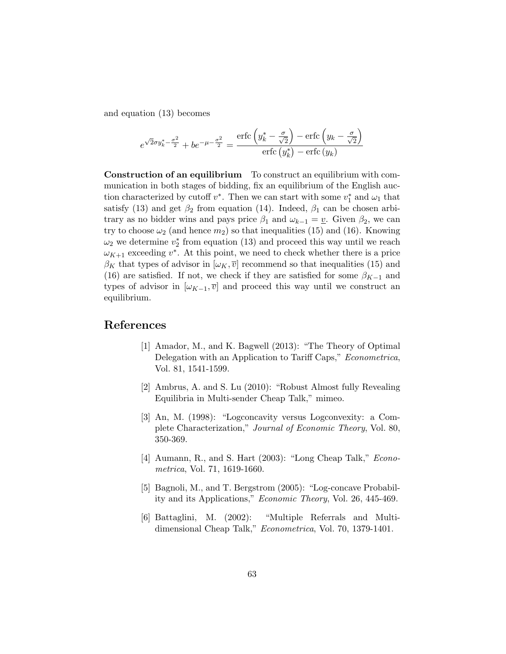and equation (13) becomes

$$
e^{\sqrt{2}\sigma y_k^* - \frac{\sigma^2}{2}} + be^{-\mu - \frac{\sigma^2}{2}} = \frac{\operatorname{erfc}\left(y_k^* - \frac{\sigma}{\sqrt{2}}\right) - \operatorname{erfc}\left(y_k - \frac{\sigma}{\sqrt{2}}\right)}{\operatorname{erfc}\left(y_k^*\right) - \operatorname{erfc}\left(y_k\right)}
$$

Construction of an equilibrium To construct an equilibrium with communication in both stages of bidding, fix an equilibrium of the English auction characterized by cutoff  $v^*$ . Then we can start with some  $v_1^*$  and  $\omega_1$  that satisfy (13) and get  $\beta_2$  from equation (14). Indeed,  $\beta_1$  can be chosen arbitrary as no bidder wins and pays price  $\beta_1$  and  $\omega_{k-1} = \underline{v}$ . Given  $\beta_2$ , we can try to choose  $\omega_2$  (and hence  $m_2$ ) so that inequalities (15) and (16). Knowing  $\omega_2$  we determine  $v_2^*$  from equation (13) and proceed this way until we reach  $\omega_{K+1}$  exceeding  $v^*$ . At this point, we need to check whether there is a price  $\beta_K$  that types of advisor in  $[\omega_K, \overline{v}]$  recommend so that inequalities (15) and (16) are satisfied. If not, we check if they are satisfied for some  $\beta_{K-1}$  and types of advisor in  $[\omega_{K-1}, \overline{v}]$  and proceed this way until we construct an equilibrium.

# References

- [1] Amador, M., and K. Bagwell (2013): "The Theory of Optimal Delegation with an Application to Tariff Caps," *Econometrica*, Vol. 81, 1541-1599.
- [2] Ambrus, A. and S. Lu (2010): "Robust Almost fully Revealing Equilibria in Multi-sender Cheap Talk," mimeo.
- [3] An, M. (1998): "Logconcavity versus Logconvexity: a Complete Characterization," Journal of Economic Theory, Vol. 80, 350-369.
- [4] Aumann, R., and S. Hart (2003): "Long Cheap Talk," *Econo*metrica, Vol. 71, 1619-1660.
- [5] Bagnoli, M., and T. Bergstrom (2005): "Log-concave Probability and its Applications," Economic Theory, Vol. 26, 445-469.
- [6] Battaglini, M. (2002): "Multiple Referrals and Multidimensional Cheap Talk," Econometrica, Vol. 70, 1379-1401.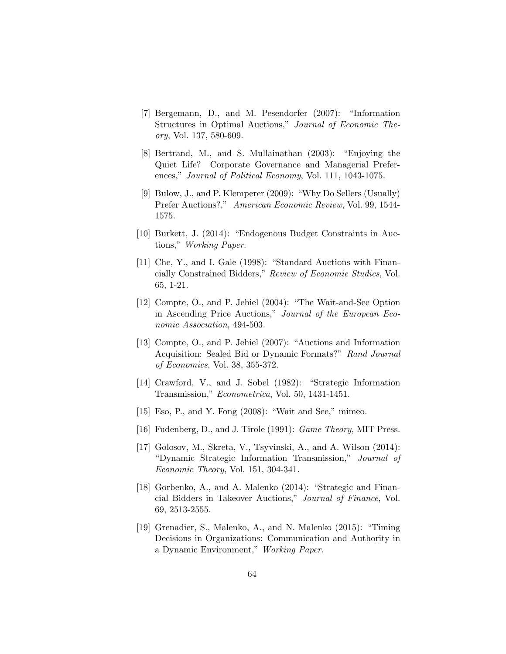- [7] Bergemann, D., and M. Pesendorfer (2007): "Information Structures in Optimal Auctions," Journal of Economic Theory, Vol. 137, 580-609.
- [8] Bertrand, M., and S. Mullainathan (2003): "Enjoying the Quiet Life? Corporate Governance and Managerial Preferences," Journal of Political Economy, Vol. 111, 1043-1075.
- [9] Bulow, J., and P. Klemperer (2009): "Why Do Sellers (Usually) Prefer Auctions?," American Economic Review, Vol. 99, 1544- 1575.
- [10] Burkett, J. (2014): "Endogenous Budget Constraints in Auctions," Working Paper.
- [11] Che, Y., and I. Gale (1998): "Standard Auctions with Financially Constrained Bidders," Review of Economic Studies, Vol. 65, 1-21.
- [12] Compte, O., and P. Jehiel (2004): "The Wait-and-See Option in Ascending Price Auctions," Journal of the European Economic Association, 494-503.
- [13] Compte, O., and P. Jehiel (2007): "Auctions and Information Acquisition: Sealed Bid or Dynamic Formats?" Rand Journal of Economics, Vol. 38, 355-372.
- [14] Crawford, V., and J. Sobel (1982): "Strategic Information Transmission," Econometrica, Vol. 50, 1431-1451.
- [15] Eso, P., and Y. Fong (2008): "Wait and See," mimeo.
- [16] Fudenberg, D., and J. Tirole (1991): *Game Theory*, MIT Press.
- [17] Golosov, M., Skreta, V., Tsyvinski, A., and A. Wilson (2014): "Dynamic Strategic Information Transmission," Journal of Economic Theory, Vol. 151, 304-341.
- [18] Gorbenko, A., and A. Malenko (2014): "Strategic and Financial Bidders in Takeover Auctions," Journal of Finance, Vol. 69, 2513-2555.
- [19] Grenadier, S., Malenko, A., and N. Malenko (2015): "Timing Decisions in Organizations: Communication and Authority in a Dynamic Environment," Working Paper.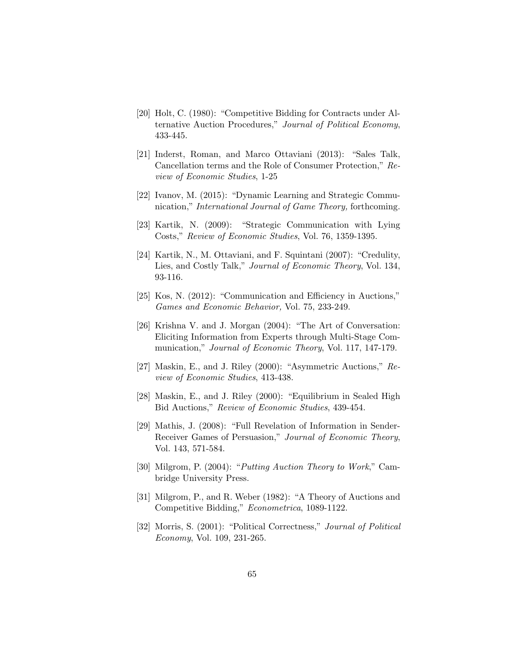- [20] Holt, C. (1980): "Competitive Bidding for Contracts under Alternative Auction Procedures," Journal of Political Economy, 433-445.
- [21] Inderst, Roman, and Marco Ottaviani (2013): "Sales Talk, Cancellation terms and the Role of Consumer Protection," Review of Economic Studies, 1-25
- [22] Ivanov, M. (2015): "Dynamic Learning and Strategic Communication," International Journal of Game Theory, forthcoming.
- [23] Kartik, N. (2009): "Strategic Communication with Lying Costs," Review of Economic Studies, Vol. 76, 1359-1395.
- [24] Kartik, N., M. Ottaviani, and F. Squintani (2007): "Credulity, Lies, and Costly Talk," *Journal of Economic Theory*, Vol. 134, 93-116.
- [25] Kos, N. (2012): "Communication and Efficiency in Auctions," Games and Economic Behavior, Vol. 75, 233-249.
- [26] Krishna V. and J. Morgan (2004): "The Art of Conversation: Eliciting Information from Experts through Multi-Stage Communication," *Journal of Economic Theory*, Vol. 117, 147-179.
- [27] Maskin, E., and J. Riley (2000): "Asymmetric Auctions," Review of Economic Studies, 413-438.
- [28] Maskin, E., and J. Riley (2000): "Equilibrium in Sealed High Bid Auctions," Review of Economic Studies, 439-454.
- [29] Mathis, J. (2008): "Full Revelation of Information in Sender-Receiver Games of Persuasion," Journal of Economic Theory, Vol. 143, 571-584.
- [30] Milgrom, P. (2004): "Putting Auction Theory to Work," Cambridge University Press.
- [31] Milgrom, P., and R. Weber (1982): "A Theory of Auctions and Competitive Bidding," Econometrica, 1089-1122.
- [32] Morris, S. (2001): "Political Correctness," Journal of Political Economy, Vol. 109, 231-265.